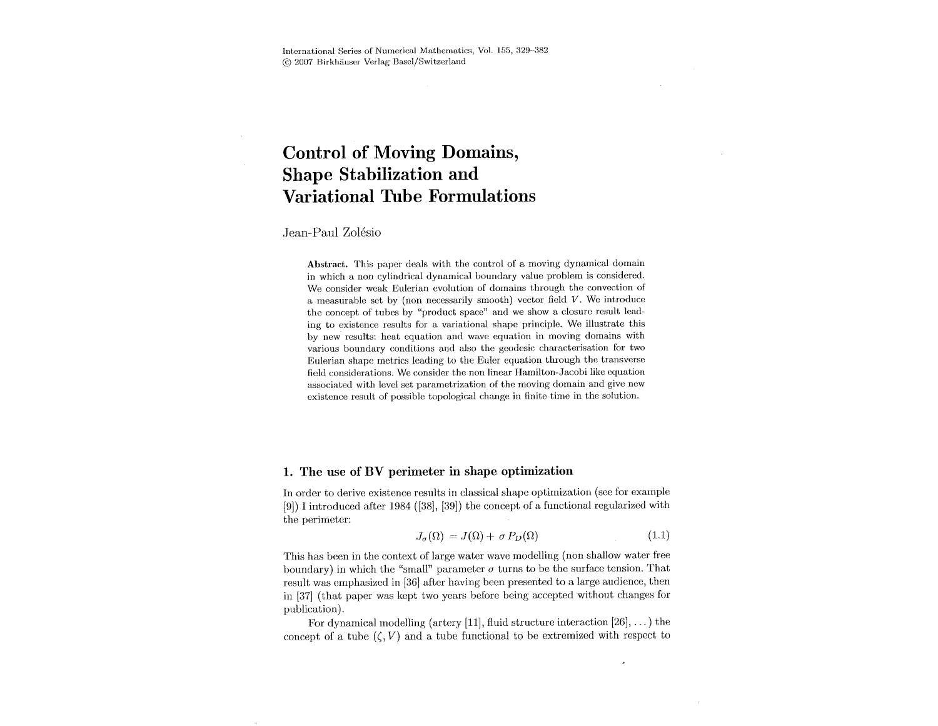# **Control of Moving Domains, Shape Stabilization and Variational Tube Formulations**

## Jean-Paul Zolésio

Abstract. This paper deals with the control of a moving dynamical domain in which a non cylindrical dynamical boundary value problem is considered. We consider weak Eulerian evolution of domains through the convection of a measurable set by (non necessarily smooth) vector field  $V$ . We introduce the concept of tubes by "product space" and we show a closure result leading to existence results for a variational shape principle. We illustrate this by new results: heat equation and wave equation in moving domains with various boundary conditions and also the geodesic characterisation for two Eulerian shape metrics leading to the Euler equation through the transverse field considerations. We consider the non linear Hamilton-Jacobi like equation associated with level set parametrization of the moving domain and give new existence result of possible topological change in finite time in the solution.

## 1. The use of BV perimeter in shape optimization

In order to derive existence results in classical shape optimization (see for example  $[9]$ ) I introduced after 1984 ([38], [39]) the concept of a functional regularized with the perimeter:

$$
J_{\sigma}(\Omega) = J(\Omega) + \sigma P_D(\Omega) \tag{1.1}
$$

 $\overline{\phantom{a}}$ 

This has been in the context of large water wave modelling (non shallow water free boundary) in which the "small" parameter  $\sigma$  turns to be the surface tension. That result was emphasized in [36] after having been presented to a large audience, then in [37] (that paper was kept two years before being accepted without changes for publication).

For dynamical modelling (artery [11], fluid structure interaction [26], ... ) the concept of a tube  $(\zeta, V)$  and a tube functional to be extremized with respect to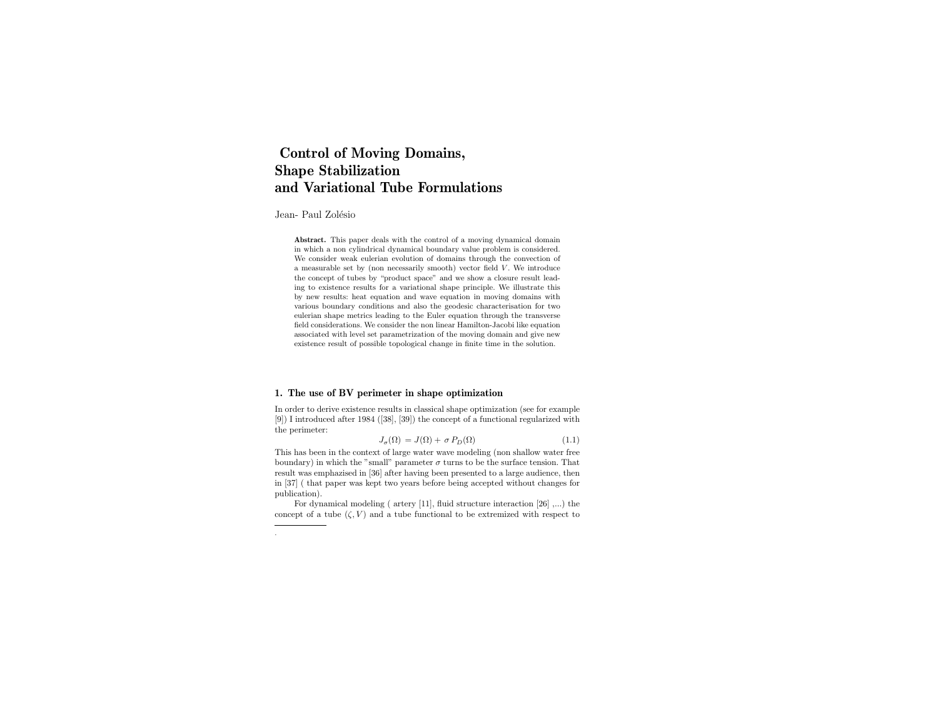## Control of Moving Domains, Shape Stabilization and Variational Tube Formulations

Jean- Paul Zolésio

.

Abstract. This paper deals with the control of a moving dynamical domain in which a non cylindrical dynamical boundary value problem is considered. We consider weak eulerian evolution of domains through the convection of a measurable set by (non necessarily smooth) vector field  $V$ . We introduce the concept of tubes by "product space" and we show a closure result leading to existence results for a variational shape principle. We illustrate this by new results: heat equation and wave equation in moving domains with various boundary conditions and also the geodesic characterisation for two eulerian shape metrics leading to the Euler equation through the transverse field considerations. We consider the non linear Hamilton-Jacobi like equation associated with level set parametrization of the moving domain and give new existence result of possible topological change in finite time in the solution.

## 1. The use of BV perimeter in shape optimization

In order to derive existence results in classical shape optimization (see for example [9]) I introduced after 1984 ([38], [39]) the concept of a functional regularized with the perimeter:

$$
J_{\sigma}(\Omega) = J(\Omega) + \sigma P_D(\Omega) \tag{1.1}
$$

This has been in the context of large water wave modeling (non shallow water free boundary) in which the "small" parameter  $\sigma$  turns to be the surface tension. That result was emphazised in [36] after having been presented to a large audience, then in [37] ( that paper was kept two years before being accepted without changes for publication).

For dynamical modeling ( artery [11], fluid structure interaction [26] ,...) the concept of a tube  $(\zeta, V)$  and a tube functional to be extremized with respect to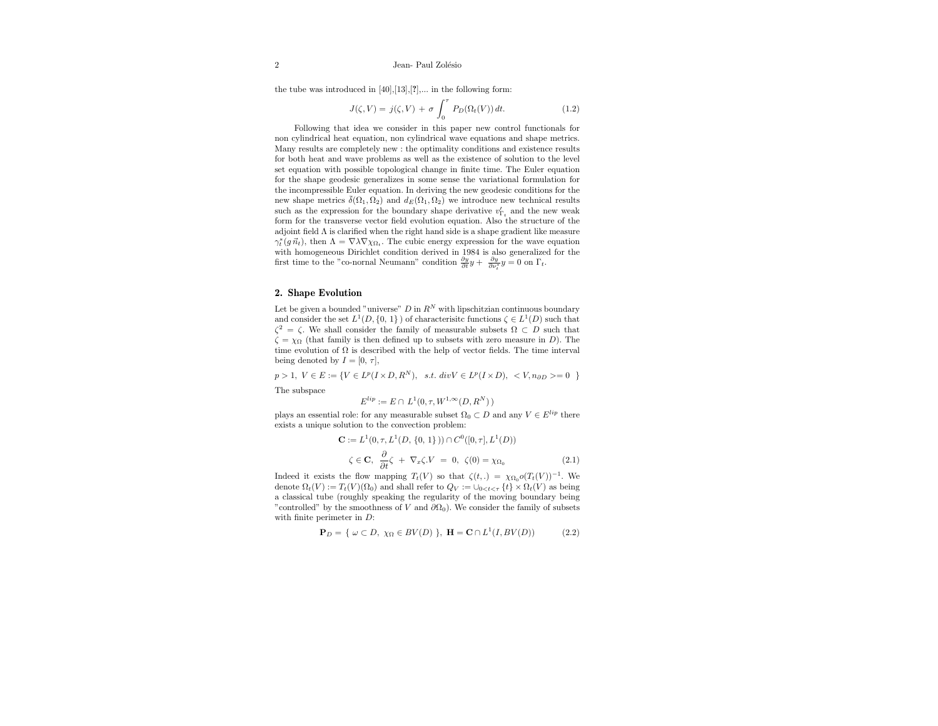the tube was introduced in  $[40],[13],[?]$ ,... in the following form:

$$
J(\zeta, V) = j(\zeta, V) + \sigma \int_0^{\tau} P_D(\Omega_t(V)) dt.
$$
 (1.2)

Following that idea we consider in this paper new control functionals for non cylindrical heat equation, non cylindrical wave equations and shape metrics. Many results are completely new : the optimality conditions and existence results for both heat and wave problems as well as the existence of solution to the level set equation with possible topological change in finite time. The Euler equation for the shape geodesic generalizes in some sense the variational formulation for the incompressible Euler equation. In deriving the new geodesic conditions for the new shape metrics  $\bar{\delta}(\Omega_1, \Omega_2)$  and  $d_E(\Omega_1, \Omega_2)$  we introduce new technical results such as the expression for the boundary shape derivative  $v_{\Gamma_t}'$  and the new weak form for the transverse vector field evolution equation. Also the structure of the adjoint field Λ is clarified when the right hand side is a shape gradient like measure  $\gamma_t^*(g \, \vec{n}_t)$ , then  $\Lambda = \nabla \lambda \nabla \chi_{\Omega_t}$ . The cubic energy expression for the wave equation with homogeneous Dirichlet condition derived in 1984 is also generalized for the first time to the "co-nornal Neumann" condition  $\frac{\partial y}{\partial t}y + \frac{\partial y}{\partial \nu_i^*}y = 0$  on  $\Gamma_t$ .

#### 2. Shape Evolution

Let be given a bounded "universe"  $D$  in  $R^N$  with lipschitzian continuous boundary and consider the set  $L^1(D, \{0, 1\})$  of characterisitc functions  $\zeta \in L^1(D)$  such that  $\zeta^2 = \zeta$ . We shall consider the family of measurable subsets  $\Omega \subset D$  such that  $\zeta = \chi_{\Omega}$  (that family is then defined up to subsets with zero measure in D). The time evolution of  $\Omega$  is described with the help of vector fields. The time interval being denoted by  $I = [0, \tau]$ ,

 $p > 1, V \in E := \{ V \in L^p(I \times D, R^N), \text{ s.t.} div V \in L^p(I \times D), \langle V, n_{\partial D} \rangle = 0 \}$ 

The subspace

 $E^{lip} := E \cap L^1(0, \tau, W^{1,\infty}(D, R^N))$ 

plays an essential role: for any measurable subset  $\Omega_0\subset D$  and any  $V\in E^{lip}$  there exists a unique solution to the convection problem:

$$
\mathbf{C} := L^{1}(0, \tau, L^{1}(D, \{0, 1\})) \cap C^{0}([0, \tau], L^{1}(D))
$$
  

$$
\zeta \in \mathbf{C}, \quad \frac{\partial}{\partial t}\zeta + \nabla_{x}\zeta.V = 0, \quad \zeta(0) = \chi_{\Omega_{0}}
$$
 (2.1)

Indeed it exists the flow mapping  $T_t(V)$  so that  $\zeta(t,.) = \chi_{\Omega_0} o(T_t(V))^{-1}$ . We denote  $\Omega_t(V) := T_t(V)(\Omega_0)$  and shall refer to  $Q_V := \bigcup_{0 \le t \le T} \{t\} \times \Omega_t(V)$  as being a classical tube (roughly speaking the regularity of the moving boundary being "controlled" by the smoothness of V and  $\partial\Omega_0$ ). We consider the family of subsets with finite perimeter in D:

$$
\mathbf{P}_D = \{ \omega \subset D, \ \chi_{\Omega} \in BV(D) \ \}, \ \mathbf{H} = \mathbf{C} \cap L^1(I, BV(D)) \tag{2.2}
$$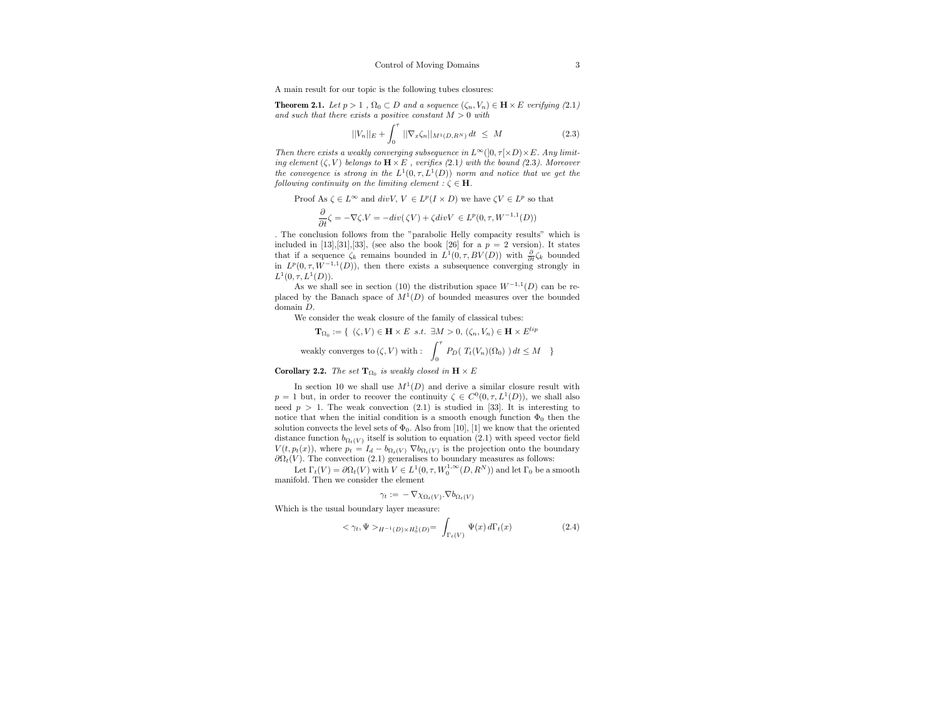A main result for our topic is the following tubes closures:

**Theorem 2.1.** Let  $p > 1$ ,  $\Omega_0 \subset D$  and a sequence  $(\zeta_n, V_n) \in \mathbf{H} \times E$  verifying (2.1) and such that there exists a positive constant  $M > 0$  with

$$
||V_n||_E + \int_0^{\tau} ||\nabla_x \zeta_n||_{M^1(D, R^N)} dt \leq M \tag{2.3}
$$

Then there exists a weakly converging subsequence in  $L^{\infty}(]0, \tau[\times D) \times E$ . Any limiting element  $(\zeta, V)$  belongs to  $\mathbf{H} \times E$ , verifies (2.1) with the bound (2.3). Moreover the convegence is strong in the  $L^1(0,\tau,L^1(D))$  norm and notice that we get the following continuity on the limiting element :  $\zeta \in \mathbf{H}$ .

Proof As 
$$
\zeta \in L^{\infty}
$$
 and  $div V$ ,  $V \in L^{p}(I \times D)$  we have  $\zeta V \in L^{p}$  so that

$$
\frac{\partial}{\partial t}\zeta = -\nabla \zeta.V = -div(\zeta V) + \zeta div V \in L^{p}(0, \tau, W^{-1,1}(D))
$$

. The conclusion follows from the "parabolic Helly compacity results" which is included in [13],[31],[33], (see also the book [26] for a  $p = 2$  version). It states that if a sequence  $\zeta_k$  remains bounded in  $L^1(0, \tau, BV(D))$  with  $\frac{\partial}{\partial t} \zeta_k$  bounded in  $L^p(0,\tau,W^{-1,1}(D))$ , then there exists a subsequence converging strongly in  $L^1(0,\tau,L^1(D)).$ 

As we shall see in section (10) the distribution space  $W^{-1,1}(D)$  can be replaced by the Banach space of  $M<sup>1</sup>(D)$  of bounded measures over the bounded domain D.

We consider the weak closure of the family of classical tubes:

$$
\mathbf{T}_{\Omega_0} := \{ ( \zeta, V) \in \mathbf{H} \times E \text{ s.t. } \exists M > 0, (\zeta_n, V_n) \in \mathbf{H} \times E^{lip} \}
$$
  
weakly converges to  $(\zeta, V)$  with :  $\int_0^{\tau} P_D(T_t(V_n)(\Omega_0)) dt \le M \}$ 

**Corollary 2.2.** The set  $\mathbf{T}_{\Omega_0}$  is weakly closed in  $\mathbf{H} \times E$ 

In section 10 we shall use  $M^1(D)$  and derive a similar closure result with  $p = 1$  but, in order to recover the continuity  $\zeta \in C^0(0, \tau, L^1(D))$ , we shall also need  $p > 1$ . The weak convection (2.1) is studied in [33]. It is interesting to notice that when the initial condition is a smooth enough function  $\Phi_0$  then the solution convects the level sets of  $\Phi_0$ . Also from [10], [1] we know that the oriented distance function  $b_{\Omega_t(V)}$  itself is solution to equation (2.1) with speed vector field  $V(t, p_t(x))$ , where  $p_t = I_d - b_{\Omega_t(V)} \nabla b_{\Omega_t(V)}$  is the projection onto the boundary  $\partial\Omega_t(V)$ . The convection (2.1) generalises to boundary measures as follows:

Let  $\Gamma_t(V) = \partial \Omega_t(V)$  with  $V \in L^1(0, \tau, W_0^{1, \infty}(D, R^N))$  and let  $\Gamma_0$  be a smooth manifold. Then we consider the element

$$
\gamma_t := -\nabla \chi_{\Omega_t(V)} . \nabla b_{\Omega_t(V)}
$$

Which is the usual boundary layer measure:

$$
\langle \gamma_t, \Psi \rangle_{H^{-1}(D) \times H_0^1(D)} = \int_{\Gamma_t(V)} \Psi(x) \, d\Gamma_t(x) \tag{2.4}
$$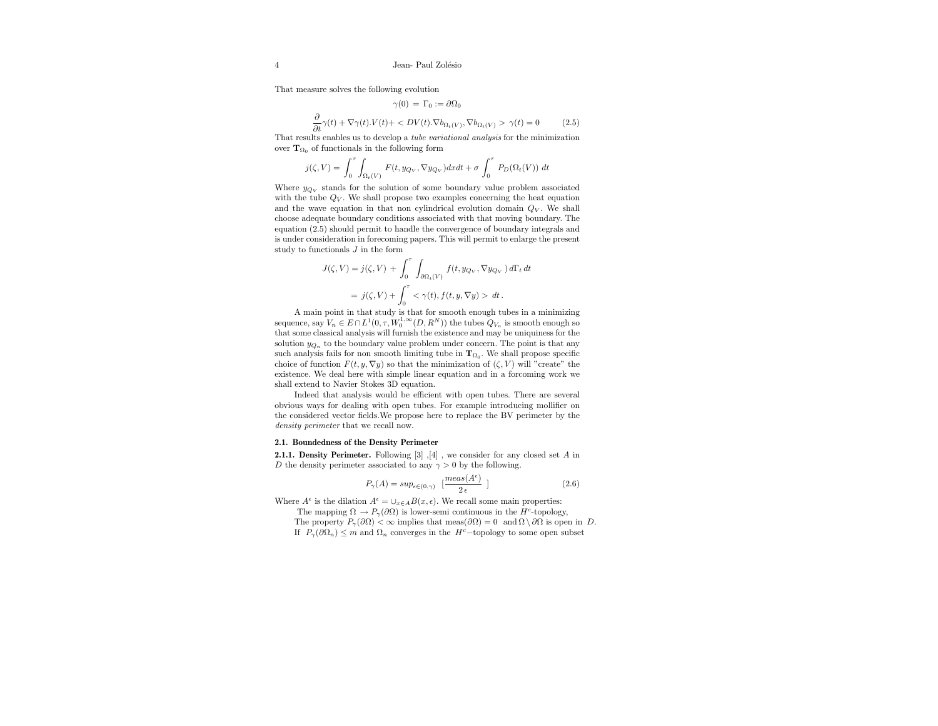That measure solves the following evolution

$$
\gamma(0) = \Gamma_0 := \partial\Omega_0
$$
  

$$
\frac{\partial}{\partial t}\gamma(t) + \nabla\gamma(t) \cdot V(t) + \langle DV(t) \cdot \nabla b_{\Omega_t(V)}, \nabla b_{\Omega_t(V)} \rangle \gamma(t) = 0
$$
 (2.5)

That results enables us to develop a tube variational analysis for the minimization over  $\mathbf{T}_{\Omega_0}$  of functionals in the following form

$$
j(\zeta, V) = \int_0^{\tau} \int_{\Omega_t(V)} F(t, y_{Q_V}, \nabla y_{Q_V}) dx dt + \sigma \int_0^{\tau} P_D(\Omega_t(V)) dt
$$

Where  $y_{Q_V}$  stands for the solution of some boundary value problem associated with the tube  $Q_V$ . We shall propose two examples concerning the heat equation and the wave equation in that non cylindrical evolution domain  $Q_V$ . We shall choose adequate boundary conditions associated with that moving boundary. The equation (2.5) should permit to handle the convergence of boundary integrals and is under consideration in forecoming papers. This will permit to enlarge the present study to functionals  $J$  in the form

$$
J(\zeta, V) = j(\zeta, V) + \int_0^{\tau} \int_{\partial\Omega_t(V)} f(t, y_{Q_V}, \nabla y_{Q_V}) d\Gamma_t dt
$$
  
=  $j(\zeta, V) + \int_0^{\tau} < \gamma(t), f(t, y, \nabla y) > dt.$ 

A main point in that study is that for smooth enough tubes in a minimizing sequence, say  $V_n \in E \cap L^1(0, \tau, W_0^{1,\infty}(D,R^N))$  the tubes  $Q_{V_n}$  is smooth enough so that some classical analysis will furnish the existence and may be uniquiness for the solution  $y_{Q_n}$  to the boundary value problem under concern. The point is that any such analysis fails for non smooth limiting tube in  $\mathbf{T}_{\Omega_0}$ . We shall propose specific choice of function  $F(t, y, \nabla y)$  so that the minimization of  $(\zeta, V)$  will "create" the existence. We deal here with simple linear equation and in a forcoming work we shall extend to Navier Stokes 3D equation.

Indeed that analysis would be efficient with open tubes. There are several obvious ways for dealing with open tubes. For example introducing mollifier on the considered vector fields.We propose here to replace the BV perimeter by the density perimeter that we recall now.

#### 2.1. Boundedness of the Density Perimeter

2.1.1. Density Perimeter. Following [3]  $\vert 4 \vert$ , we consider for any closed set A in D the density perimeter associated to any  $\gamma > 0$  by the following.

$$
P_{\gamma}(A) = \sup_{\epsilon \in (0,\gamma)} \left[ \frac{meas(A^{\epsilon})}{2 \epsilon} \right] \tag{2.6}
$$

Where  $A^{\epsilon}$  is the dilation  $A^{\epsilon} = \bigcup_{x \in A} B(x, \epsilon)$ . We recall some main properties:

The mapping  $\Omega \to P_{\gamma}(\partial \Omega)$  is lower-semi continuous in the H<sup>c</sup>-topology, The property  $P_{\gamma}(\partial \Omega) < \infty$  implies that meas $(\partial \Omega) = 0$  and  $\Omega \setminus \partial \Omega$  is open in D. If  $P_{\gamma}(\partial \Omega_n) \leq m$  and  $\Omega_n$  converges in the H<sup>c</sup>−topology to some open subset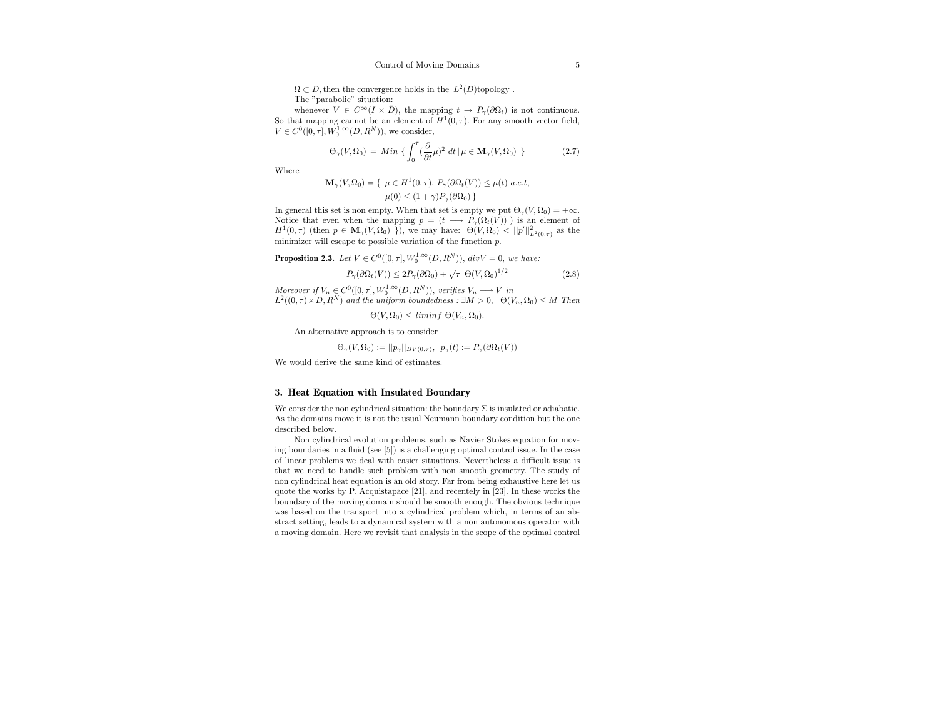$\Omega \subset D$ , then the convergence holds in the  $L^2(D)$ topology. The "parabolic" situation:

whenever  $V \in C^{\infty}(I \times \overline{D})$ , the mapping  $t \to P_{\gamma}(\partial \Omega_t)$  is not continuous. So that mapping cannot be an element of  $H^1(0, \tau)$ . For any smooth vector field,  $V \in C^0([0, \tau], W_0^{1, \infty}(D, R^N)),$  we consider,

$$
\Theta_{\gamma}(V,\Omega_0) = Min \left\{ \int_0^{\tau} (\frac{\partial}{\partial t} \mu)^2 dt | \mu \in \mathbf{M}_{\gamma}(V,\Omega_0) \right\}
$$
 (2.7)

Where

$$
\mathbf{M}_{\gamma}(V,\Omega_0) = \{ \mu \in H^1(0,\tau), P_{\gamma}(\partial \Omega_t(V)) \le \mu(t) \ a.e.t,
$$

$$
\mu(0) \le (1+\gamma) P_{\gamma}(\partial \Omega_0) \}
$$

In general this set is non empty. When that set is empty we put  $\Theta_{\gamma}(V, \Omega_0) = +\infty$ . Notice that even when the mapping  $p = (t \longrightarrow P_{\gamma}(\Omega_t(V)))$  is an element of  $H^1(0,\tau)$  (then  $p \in \mathbf{M}_{\gamma}(V,\Omega_0)$ ), we may have:  $\Theta(V,\Omega_0) < ||p'||_{L^2(0,\tau)}^2$  as the minimizer will escape to possible variation of the function  $p$ .

**Proposition 2.3.** Let 
$$
V \in C^0([0, \tau], W_0^{1, \infty}(D, R^N))
$$
,  $div V = 0$ , we have:

$$
P_{\gamma}(\partial \Omega_t(V)) \le 2P_{\gamma}(\partial \Omega_0) + \sqrt{\tau} \ \Theta(V, \Omega_0)^{1/2}
$$
\n(2.8)

Moreover if  $V_n \in C^0([0, \tau], W_0^{1, \infty}(D, R^N))$ , verifies  $V_n \longrightarrow V$  in  $L^2((0,\tau)\times D, R^N)$  and the uniform boundedness :  $\exists M>0, \Theta(V_n,\Omega_0)\leq M$  Then

 $\Theta(V, \Omega_0) \leq \liminf \Theta(V_n, \Omega_0).$ 

An alternative approach is to consider

$$
\tilde{\Theta}_{\gamma}(V,\Omega_0) := ||p_{\gamma}||_{BV(0,\tau)}, \ \ p_{\gamma}(t) := P_{\gamma}(\partial \Omega_t(V))
$$

We would derive the same kind of estimates.

## 3. Heat Equation with Insulated Boundary

We consider the non cylindrical situation: the boundary  $\Sigma$  is insulated or adiabatic. As the domains move it is not the usual Neumann boundary condition but the one described below.

Non cylindrical evolution problems, such as Navier Stokes equation for moving boundaries in a fluid (see [5]) is a challenging optimal control issue. In the case of linear problems we deal with easier situations. Nevertheless a difficult issue is that we need to handle such problem with non smooth geometry. The study of non cylindrical heat equation is an old story. Far from being exhaustive here let us quote the works by P. Acquistapace [21], and recentely in [23]. In these works the boundary of the moving domain should be smooth enough. The obvious technique was based on the transport into a cylindrical problem which, in terms of an abstract setting, leads to a dynamical system with a non autonomous operator with a moving domain. Here we revisit that analysis in the scope of the optimal control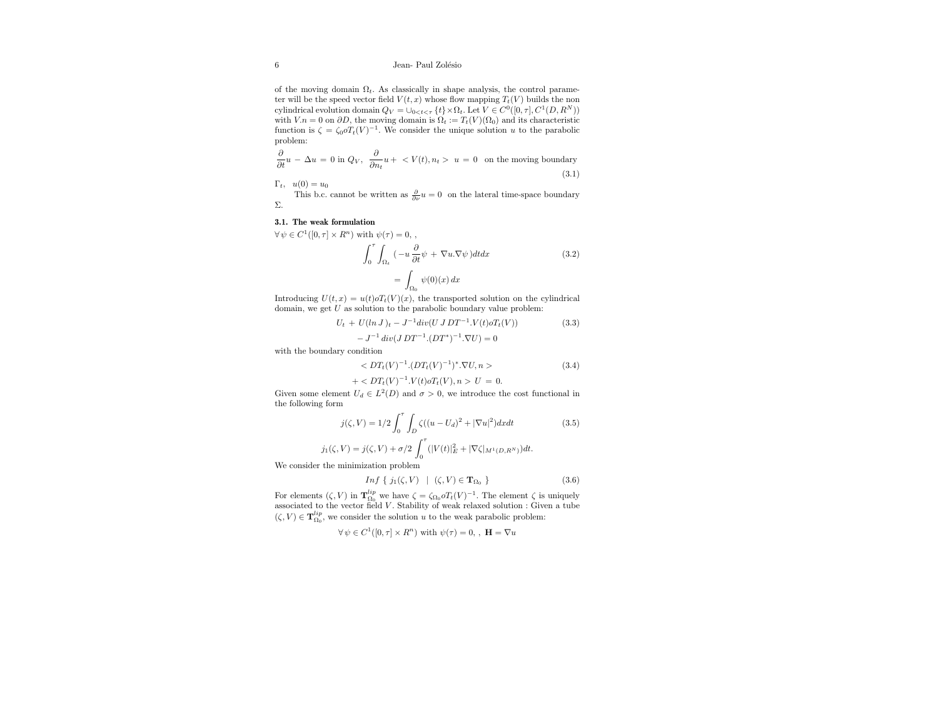## 6 Jean- Paul Zolésio

of the moving domain  $\Omega_t$ . As classically in shape analysis, the control parameter will be the speed vector field  $V(t, x)$  whose flow mapping  $T_t(V)$  builds the non cylindrical evolution domain  $Q_V = \bigcup_{0 \le t \le \tau} {\t\{t\}} \times \Omega_t$ . Let  $V \in C^0([0, \tau], C^1(D, R^N))$ with  $V.n = 0$  on  $\partial D$ , the moving domain is  $\Omega_t := T_t(V)(\Omega_0)$  and its characteristic function is  $\zeta = \zeta_0 \sigma T_t(V)^{-1}$ . We consider the unique solution u to the parabolic problem:

$$
\frac{\partial}{\partial t}u - \Delta u = 0 \text{ in } Q_V, \quad \frac{\partial}{\partial n_t}u + \langle V(t), n_t \rangle u = 0 \quad \text{on the moving boundary}
$$
\n(3.1)

 $\Gamma_t$ ,  $u(0) = u_0$ 

This b.c. cannot be written as  $\frac{\partial}{\partial \nu}u = 0$  on the lateral time-space boundary Σ.

## 3.1. The weak formulation

 $\forall \psi \in C^1([0, \tau] \times R^n)$  with  $\psi(\tau) = 0$ ,

$$
\int_0^{\tau} \int_{\Omega_t} \left( -u \frac{\partial}{\partial t} \psi + \nabla u. \nabla \psi \right) dt dx
$$
\n
$$
= \int_{\Omega_0} \psi(0)(x) dx
$$
\n(3.2)

Introducing  $U(t, x) = u(t) \circ T_t(V)(x)$ , the transported solution on the cylindrical domain, we get  $U$  as solution to the parabolic boundary value problem:

$$
U_t + U(ln J)_t - J^{-1}div(U J DT^{-1} . V(t) \circ T_t(V))
$$
\n
$$
-J^{-1}div(J DT^{-1} . (DT^*)^{-1} . \nabla U) = 0
$$
\n(3.3)

with the boundary condition

$$
\langle DT_t(V)^{-1}.(DT_t(V)^{-1})^*.\nabla U, n \rangle \tag{3.4}
$$

$$
+ < DT_t(V)^{-1}.V(t)\circ T_t(V), n > U = 0.
$$

Given some element  $U_d \in L^2(D)$  and  $\sigma > 0$ , we introduce the cost functional in the following form

$$
j(\zeta, V) = 1/2 \int_0^{\tau} \int_D \zeta((u - U_d)^2 + |\nabla u|^2) dx dt
$$
 (3.5)  

$$
\zeta, V) = j(\zeta, V) + \sigma/2 \int_0^{\tau} (|V(t)|_E^2 + |\nabla \zeta|_{M^1(D, R^N)}) dt.
$$

$$
j_1(\zeta, V) = j(\zeta, V) + \sigma/2 \int_0^{\infty} (|V(t)|_E^2 + |\nabla \zeta|_{M^1(D)})
$$

We consider the minimization problem

$$
Inf \{ j_1(\zeta, V) \mid (\zeta, V) \in \mathbf{T}_{\Omega_0} \}
$$
\n
$$
(3.6)
$$

For elements  $(\zeta, V)$  in  ${\bf T}_{\Omega_0}^{lip}$  we have  $\zeta = \zeta_{\Omega_0} o T_t(V)^{-1}$ . The element  $\zeta$  is uniquely associated to the vector field  $V$ . Stability of weak relaxed solution : Given a tube  $(\zeta,V)\in\mathbf{T}_{\Omega_0}^{lip},$  we consider the solution  $u$  to the weak parabolic problem:

$$
\forall\, \psi\in C^1([0,\tau]\times R^n)
$$
 with  $\psi(\tau)=0,$  ,  $\,{\bf H}=\nabla u$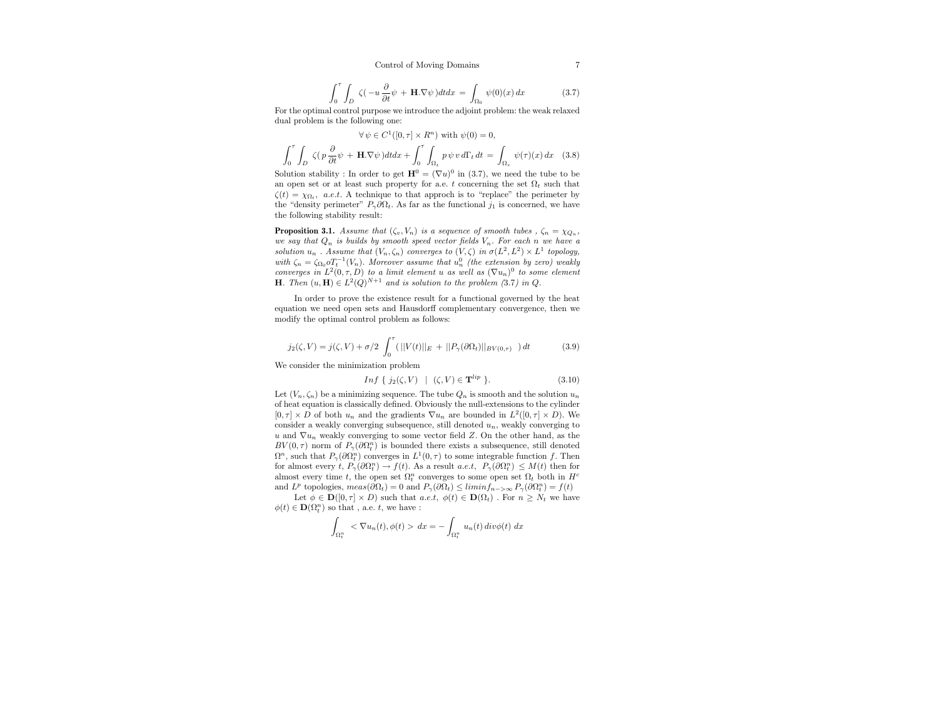$$
\int_0^{\tau} \int_D \zeta(-u \frac{\partial}{\partial t} \psi + \mathbf{H} \cdot \nabla \psi) dt dx = \int_{\Omega_0} \psi(0)(x) dx \tag{3.7}
$$

For the optimal control purpose we introduce the adjoint problem: the weak relaxed dual problem is the following one:

$$
\forall \psi \in C^{1}([0, \tau] \times R^{n}) \text{ with } \psi(0) = 0,
$$

$$
\int_{0}^{\tau} \int_{D} \zeta(p \frac{\partial}{\partial t} \psi + \mathbf{H} \cdot \nabla \psi) dt dx + \int_{0}^{\tau} \int_{\Omega_{t}} p \psi v d\Gamma_{t} dt = \int_{\Omega_{\tau}} \psi(\tau)(x) dx \quad (3.8)
$$

Solution stability : In order to get  $\mathbf{H}^0 = (\nabla u)^0$  in (3.7), we need the tube to be an open set or at least such property for a.e. t concerning the set  $\Omega_t$  such that  $\zeta(t) = \chi_{\Omega_t}$ , a.e.t. A technique to that approch is to "replace" the perimeter by the "density perimeter"  $P_{\gamma}\partial\Omega_t$ . As far as the functional  $j_1$  is concerned, we have the following stability result:

**Proposition 3.1.** Assume that  $(\zeta_v, V_n)$  is a sequence of smooth tubes,  $\zeta_n = \chi_{Q_n}$ , we say that  $Q_n$  is builds by smooth speed vector fields  $V_n$ . For each n we have a solution  $u_n$ . Assume that  $(V_n, \zeta_n)$  converges to  $(V, \zeta)$  in  $\sigma(L^2, L^2) \times L^1$  topology, with  $\zeta_n = \zeta_{\Omega_0} \sigma_t^{-1}(V_n)$ . Moreover assume that  $u_n^0$  (the extension by zero) weakly converges in  $L^2(0, \tau, D)$  to a limit element u as well as  $(\nabla u_n)^0$  to some element **H**. Then  $(u, H) \in L^2(Q)^{N+1}$  and is solution to the problem (3.7) in Q.

In order to prove the existence result for a functional governed by the heat equation we need open sets and Hausdorff complementary convergence, then we modify the optimal control problem as follows:

$$
j_2(\zeta, V) = j(\zeta, V) + \sigma/2 \int_0^{\tau} (||V(t)||_E + ||P_\gamma(\partial \Omega_t)||_{BV(0, \tau)}) dt \qquad (3.9)
$$

We consider the minimization problem

$$
Inf\{j_2(\zeta, V) \mid (\zeta, V) \in \mathbf{T}^{lip} \}.
$$
\n(3.10)

Let  $(V_n, \zeta_n)$  be a minimizing sequence. The tube  $Q_n$  is smooth and the solution  $u_n$ of heat equation is classically defined. Obviously the null-extensions to the cylinder  $[0, \tau] \times D$  of both  $u_n$  and the gradients  $\nabla u_n$  are bounded in  $L^2([0, \tau] \times D)$ . We consider a weakly converging subsequence, still denoted  $u_n$ , weakly converging to u and  $\nabla u_n$  weakly converging to some vector field Z. On the other hand, as the  $BV(0, \tau)$  norm of  $P_{\gamma}(\partial \Omega_t^n)$  is bounded there exists a subsequence, still denoted  $\Omega^n$ , such that  $P_\gamma(\partial \Omega_t^n)$  converges in  $L^1(0, \tau)$  to some integrable function f. Then for almost every  $t, P_{\gamma}(\partial \Omega_t^n) \to f(t)$ . As a result  $a.e.t, P_{\gamma}(\partial \Omega_t^n) \leq M(t)$  then for almost every time t, the open set  $\Omega_t^n$  converges to some open set  $\Omega_t$  both in  $H^c$ and  $L^p$  topologies,  $meas(\partial \Omega_t) = 0$  and  $P_\gamma(\partial \Omega_t) \leq \liminf_{n \to \infty} P_\gamma(\partial \Omega_t^n) = f(t)$ 

Let  $\phi \in \mathbf{D}([0, \tau] \times D)$  such that  $a.e.t, \phi(t) \in \mathbf{D}(\Omega_t)$ . For  $n \geq N_t$  we have  $\phi(t)\in\mathbf{D}(\Omega_t^n)$  so that , a.e.  $t,$  we have :

$$
\int_{\Omega_t^n} \langle \nabla u_n(t), \phi(t) \rangle \, dx = - \int_{\Omega_t^n} u_n(t) \, div \phi(t) \, dx
$$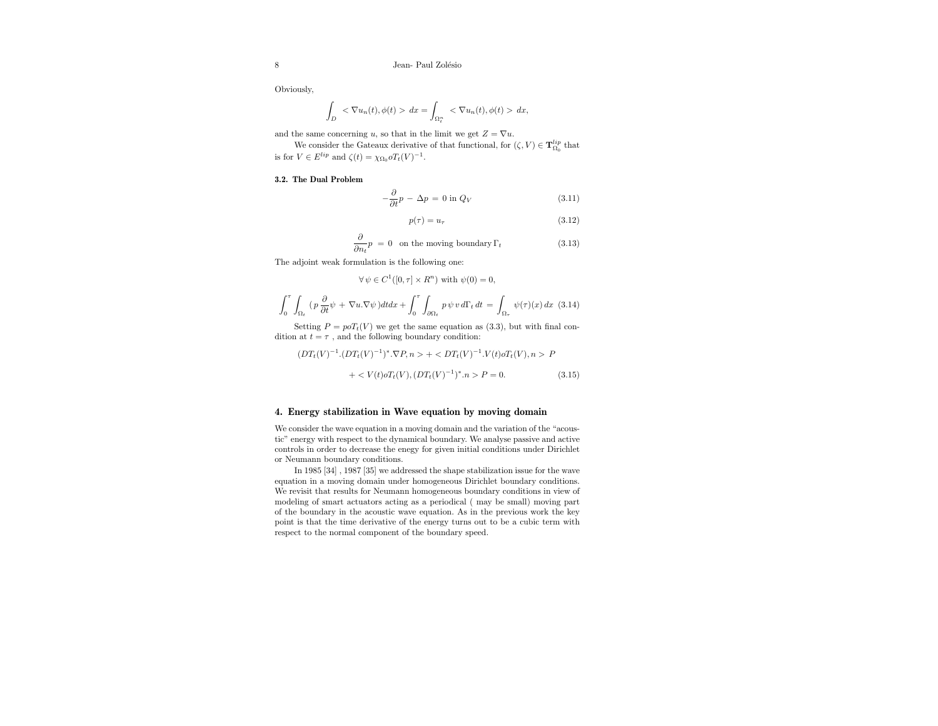Obviously,

$$
\int_D \langle \nabla u_n(t), \phi(t) \rangle \, dx = \int_{\Omega_t^n} \langle \nabla u_n(t), \phi(t) \rangle \, dx,
$$

and the same concerning u, so that in the limit we get  $Z = \nabla u$ .

We consider the Gateaux derivative of that functional, for  $(\zeta, V) \in {\bf T}_{\Omega_0}^{lip}$  that is for  $V \in E^{lip}$  and  $\zeta(t) = \chi_{\Omega_0} o T_t(V)^{-1}$ .

#### 3.2. The Dual Problem

$$
-\frac{\partial}{\partial t}p - \Delta p = 0 \text{ in } Q_V \tag{3.11}
$$

$$
p(\tau) = u_{\tau} \tag{3.12}
$$

$$
\frac{\partial}{\partial n_t} p = 0 \quad \text{on the moving boundary } \Gamma_t \tag{3.13}
$$

The adjoint weak formulation is the following one:

 $\forall \psi \in C^1([0, \tau] \times R^n)$  with  $\psi(0) = 0$ ,

$$
\int_0^{\tau} \int_{\Omega_t} (p \frac{\partial}{\partial t} \psi + \nabla u \cdot \nabla \psi) dt dx + \int_0^{\tau} \int_{\partial \Omega_t} p \psi v d\Gamma_t dt = \int_{\Omega_\tau} \psi(\tau)(x) dx
$$
 (3.14)

Setting  $P = poT_t(V)$  we get the same equation as (3.3), but with final condition at  $t = \tau$ , and the following boundary condition:

$$
(DT_t(V)^{-1}.(DT_t(V)^{-1})^*.\nabla P, n> + P
$$

$$
+ \langle V(t) \circ T_t(V), (DT_t(V)^{-1})^* . n \rangle P = 0. \tag{3.15}
$$

## 4. Energy stabilization in Wave equation by moving domain

We consider the wave equation in a moving domain and the variation of the "acoustic" energy with respect to the dynamical boundary. We analyse passive and active controls in order to decrease the enegy for given initial conditions under Dirichlet or Neumann boundary conditions.

In 1985 [34] , 1987 [35] we addressed the shape stabilization issue for the wave equation in a moving domain under homogeneous Dirichlet boundary conditions. We revisit that results for Neumann homogeneous boundary conditions in view of modeling of smart actuators acting as a periodical ( may be small) moving part of the boundary in the acoustic wave equation. As in the previous work the key point is that the time derivative of the energy turns out to be a cubic term with respect to the normal component of the boundary speed.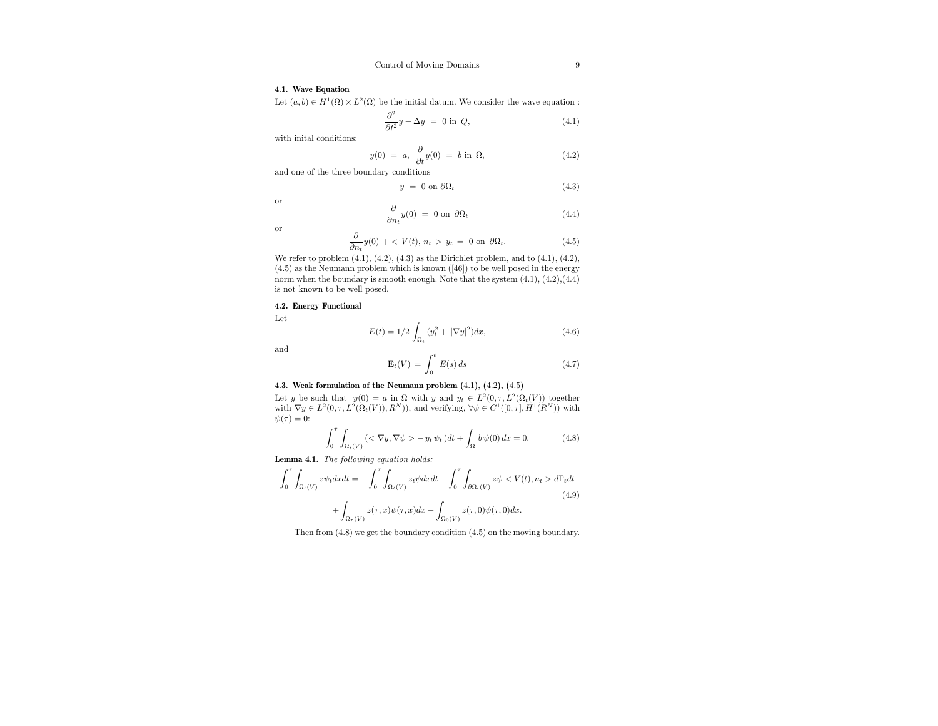## 4.1. Wave Equation

Let  $(a, b) \in H^1(\Omega) \times L^2(\Omega)$  be the initial datum. We consider the wave equation :

$$
\frac{\partial^2}{\partial t^2}y - \Delta y = 0 \text{ in } Q,\tag{4.1}
$$

with inital conditions:

$$
y(0) = a, \frac{\partial}{\partial t}y(0) = b \text{ in } \Omega,
$$
\n(4.2)

and one of the three boundary conditions

$$
y = 0 \text{ on } \partial \Omega_t \tag{4.3}
$$

or

$$
\frac{\partial}{\partial n_t} y(0) = 0 \text{ on } \partial \Omega_t \tag{4.4}
$$

or

$$
\frac{\partial}{\partial n_t} y(0) + \langle V(t), n_t \rangle y_t = 0 \text{ on } \partial \Omega_t.
$$
 (4.5)

We refer to problem  $(4.1)$ ,  $(4.2)$ ,  $(4.3)$  as the Dirichlet problem, and to  $(4.1)$ ,  $(4.2)$ , (4.5) as the Neumann problem which is known ([46]) to be well posed in the energy norm when the boundary is smooth enough. Note that the system  $(4.1)$ ,  $(4.2)$ ,  $(4.4)$ is not known to be well posed.

## 4.2. Energy Functional

Let

$$
E(t) = 1/2 \int_{\Omega_t} (y_t^2 + |\nabla y|^2) dx,
$$
\n(4.6)

and

$$
\mathbf{E}_t(V) = \int_0^t E(s) \, ds \tag{4.7}
$$

## 4.3. Weak formulation of the Neumann problem (4.1), (4.2), (4.5)

Let y be such that  $y(0) = a$  in  $\Omega$  with y and  $y_t \in L^2(0, \tau, L^2(\Omega_t(V))$  together with  $\nabla y \in L^2(0, \tau, L^2(\Omega_t(V)), R^N)$ , and verifying,  $\forall \psi \in C^1([0, \tau], H^1(R^N))$  with  $\psi(\tau) = 0$ :

$$
\int_0^{\tau} \int_{\Omega_t(V)} \left( \langle \nabla y, \nabla \psi \rangle - y_t \psi_t \right) dt + \int_{\Omega} b \psi(0) dx = 0. \tag{4.8}
$$

Lemma 4.1. The following equation holds:

$$
\int_0^{\tau} \int_{\Omega_t(V)} z \psi_t dx dt = -\int_0^{\tau} \int_{\Omega_t(V)} z_t \psi dx dt - \int_0^{\tau} \int_{\partial \Omega_t(V)} z \psi < V(t), n_t > d\Gamma_t dt
$$
\n
$$
+ \int_{\Omega_{\tau}(V)} z(\tau, x) \psi(\tau, x) dx - \int_{\Omega_0(V)} z(\tau, 0) \psi(\tau, 0) dx. \tag{4.9}
$$

Then from (4.8) we get the boundary condition (4.5) on the moving boundary.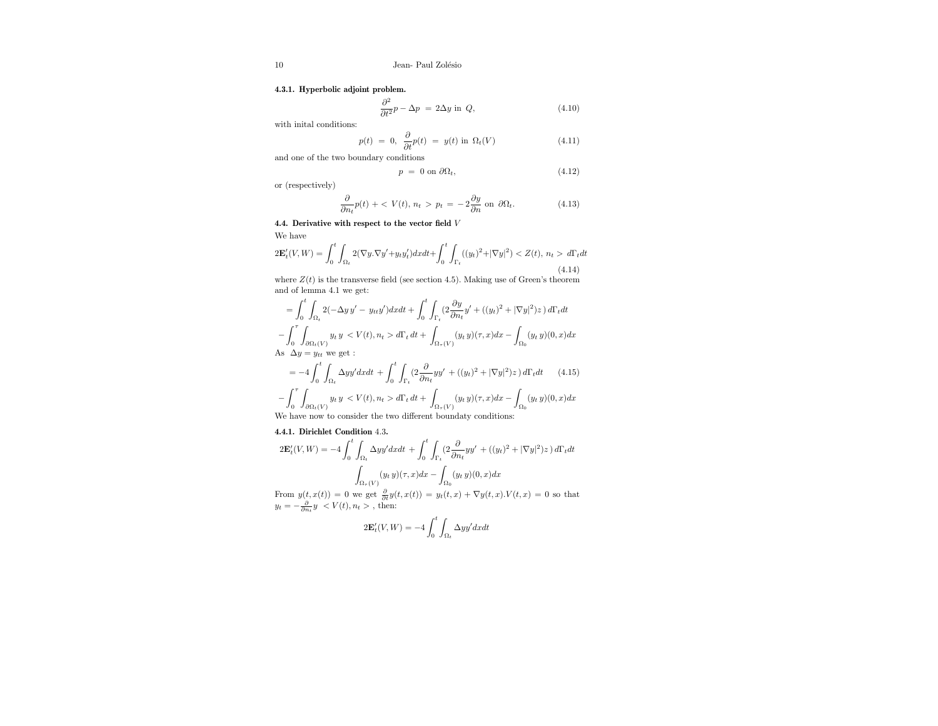## 4.3.1. Hyperbolic adjoint problem.

$$
\frac{\partial^2}{\partial t^2}p - \Delta p = 2\Delta y \text{ in } Q,\tag{4.10}
$$

with inital conditions:

$$
p(t) = 0, \frac{\partial}{\partial t}p(t) = y(t) \text{ in } \Omega_t(V) \tag{4.11}
$$

and one of the two boundary conditions

$$
p = 0 \text{ on } \partial \Omega_t,\tag{4.12}
$$

or (respectively)

$$
\frac{\partial}{\partial n_t}p(t) + \langle V(t), n_t \rangle p_t = -2\frac{\partial y}{\partial n} \text{ on } \partial \Omega_t.
$$
 (4.13)

4.4. Derivative with respect to the vector field V

We have

$$
2\mathbf{E}'_t(V,W) = \int_0^t \int_{\Omega_t} 2(\nabla y.\nabla y' + y_t y_t') dx dt + \int_0^t \int_{\Gamma_t} ((y_t)^2 + |\nabla y|^2) < Z(t), \ n_t > d\Gamma_t dt \tag{4.14}
$$

where  $Z(t)$  is the transverse field (see section 4.5). Making use of Green's theorem and of lemma 4.1 we get:

$$
= \int_0^t \int_{\Omega_t} 2(-\Delta y y' - y_{tt}y') dx dt + \int_0^t \int_{\Gamma_t} (2 \frac{\partial y}{\partial n_t} y' + ((y_t)^2 + |\nabla y|^2) z) d\Gamma_t dt
$$
  

$$
- \int_0^{\tau} \int_{\partial \Omega_t(V)} y_t y \langle V(t), n_t \rangle d\Gamma_t dt + \int_{\Omega_{\tau}(V)} (y_t y)(\tau, x) dx - \int_{\Omega_0} (y_t y)(0, x) dx
$$
  
As  $\Delta y = y_{tt}$  we get :

$$
= -4 \int_0^t \int_{\Omega_t} \Delta y y' dx dt + \int_0^t \int_{\Gamma_t} (2 \frac{\partial}{\partial n_t} y y' + ((y_t)^2 + |\nabla y|^2) z) d\Gamma_t dt \qquad (4.15)
$$

$$
- \int_0^{\tau} \int_{\partial \Omega_t(V)} y_t y \langle V(t), n_t \rangle d\Gamma_t dt + \int_{\Omega_{\tau}(V)} (y_t y)(\tau, x) dx - \int_{\Omega_0} (y_t y)(0, x) dx
$$
  
We have now to consider the two different boundary conditions:

4.4.1. Dirichlet Condition 4.3.

$$
2\mathbf{E}'_t(V,W) = -4\int_0^t\int_{\Omega_t}\Delta y y' dxdt + \int_0^t\int_{\Gamma_t}(2\frac{\partial}{\partial n_t}yy' + ((y_t)^2 + |\nabla y|^2)z)\,d\Gamma_t dt
$$
  

$$
\int_{\Omega_T(V)}(y_t\,y)(\tau,x)dx - \int_{\Omega_0}(y_t\,y)(0,x)dx
$$

From  $y(t, x(t)) = 0$  we get  $\frac{\partial}{\partial t}y(t, x(t)) = y_t(t, x) + \nabla y(t, x) \cdot V(t, x) = 0$  so that  $y_t = -\frac{\partial}{\partial n_t} y \langle V(t), n_t \rangle$ , then:

$$
2\mathbf{E}_t'(V,W)=-4\int_0^t\int_{\Omega_t}\Delta y y' dxdt
$$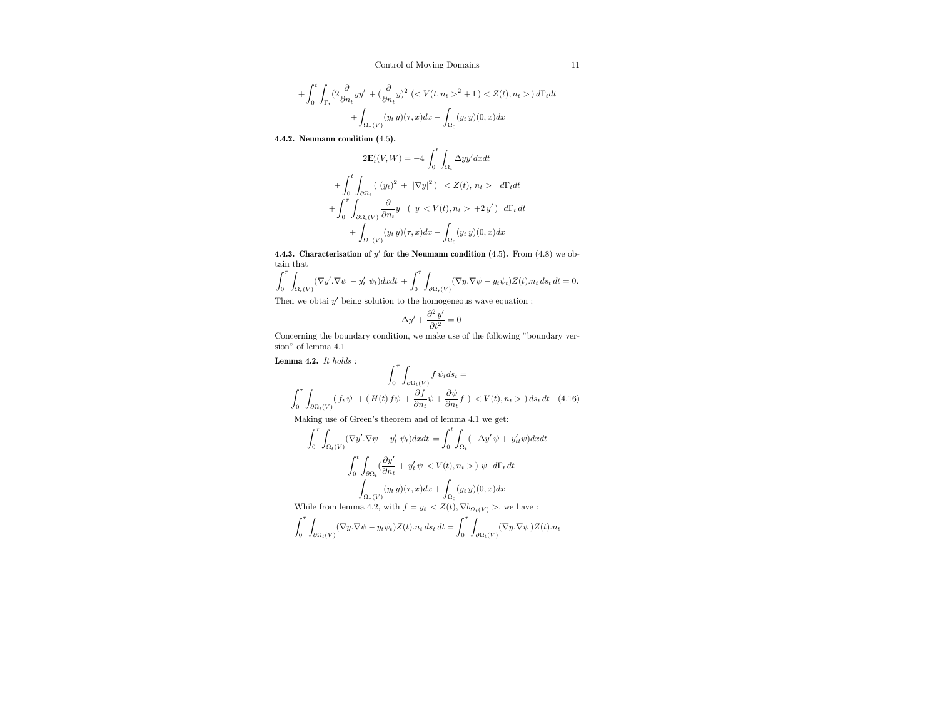$$
+ \int_0^t \int_{\Gamma_t} (2 \frac{\partial}{\partial n_t} y y' + (\frac{\partial}{\partial n_t} y)^2 \left( \langle V(t, n_t \rangle^2 + 1) \langle Z(t), n_t \rangle \right) d\Gamma_t dt + \int_{\Omega_\tau(V)} (y_t y)(\tau, x) dx - \int_{\Omega_0} (y_t y)(0, x) dx
$$

4.4.2. Neumann condition (4.5).

$$
2\mathbf{E}'_t(V,W) = -4\int_0^t \int_{\Omega_t} \Delta y y' dx dt
$$
  
+ 
$$
\int_0^t \int_{\partial\Omega_t} ((y_t)^2 + |\nabla y|^2) < Z(t), n_t > d\Gamma_t dt
$$
  
+ 
$$
\int_0^{\tau} \int_{\partial\Omega_t(V)} \frac{\partial}{\partial n_t} y \quad (y < V(t), n_t > +2y') d\Gamma_t dt
$$
  
+ 
$$
\int_{\Omega_T(V)} (y_t y)(\tau, x) dx - \int_{\Omega_0} (y_t y)(0, x) dx
$$

4.4.3. Characterisation of  $y'$  for the Neumann condition (4.5). From (4.8) we obtain that

$$
\int_0^{\tau} \int_{\Omega_t(V)} (\nabla y' \cdot \nabla \psi - y'_t \psi_t) dx dt + \int_0^{\tau} \int_{\partial \Omega_t(V)} (\nabla y \cdot \nabla \psi - y_t \psi_t) Z(t) . n_t ds_t dt = 0.
$$

Then we obtai  $y'$  being solution to the homogeneous wave equation :

$$
-\Delta y' + \frac{\partial^2 y'}{\partial t^2} = 0
$$

Concerning the boundary condition, we make use of the following "boundary version" of lemma 4.1

Lemma 4.2.  $It\ holds$  :

$$
\int_0^\tau \int_{\partial\Omega_t(V)} f \psi_t ds_t =
$$
  

$$
- \int_0^\tau \int_{\partial\Omega_t(V)} (f_t \psi + (H(t) f \psi + \frac{\partial f}{\partial n_t} \psi + \frac{\partial \psi}{\partial n_t} f) < V(t), n_t >) ds_t dt \quad (4.16)
$$

Making use of Green's theorem and of lemma 4.1 we get:

$$
\int_0^{\tau} \int_{\Omega_t(V)} (\nabla y'. \nabla \psi - y'_t \psi_t) dx dt = \int_0^t \int_{\Omega_t} (-\Delta y' \psi + y'_{tt} \psi) dx dt
$$

$$
+ \int_0^t \int_{\partial \Omega_t} (\frac{\partial y'}{\partial n_t} + y'_t \psi < V(t), n_t > ) \psi \ d\Gamma_t dt
$$

$$
- \int_{\Omega_\tau(V)} (y_t y)(\tau, x) dx + \int_{\Omega_0} (y_t y)(0, x) dx
$$
While from lemma 4.2, with  $f = y_t < Z(t), \nabla b_{\Omega_t(V)} >$ , we have :

$$
\int_0^{\tau} \int_{\partial \Omega_t(V)} (\nabla y. \nabla \psi - y_t \psi_t) Z(t) . n_t ds_t dt = \int_0^{\tau} \int_{\partial \Omega_t(V)} (\nabla y. \nabla \psi) Z(t) . n_t
$$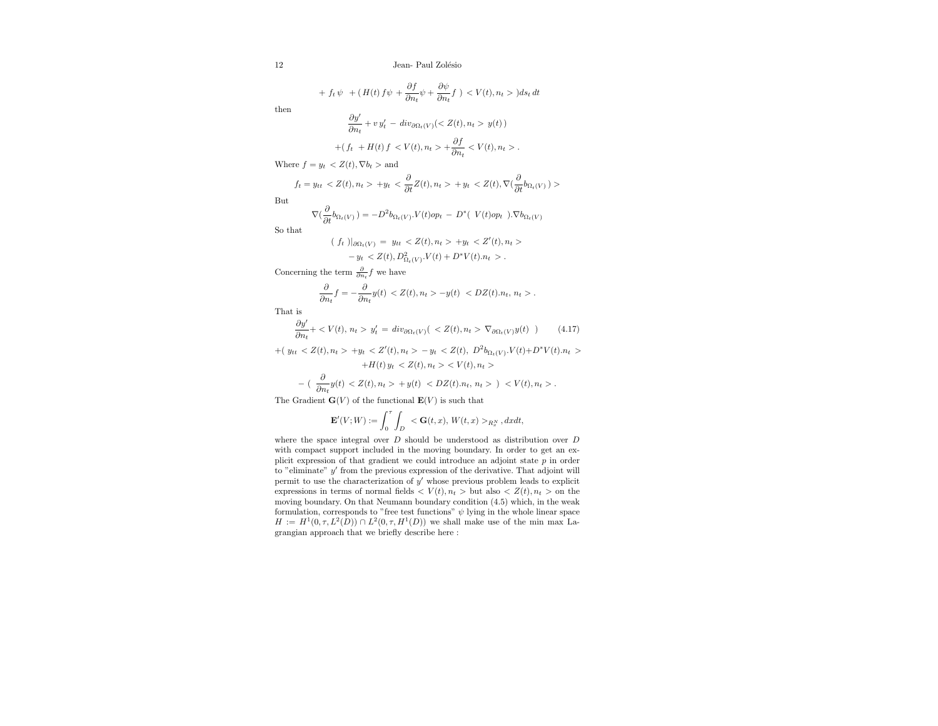+ 
$$
f_t \psi
$$
 +  $(H(t) f \psi + \frac{\partial f}{\partial n_t} \psi + \frac{\partial \psi}{\partial n_t} f) < V(t), n_t > ) ds_t dt$ 

then

$$
\frac{\partial y'}{\partial n_t} + v y'_t - \operatorname{div}_{\partial \Omega_t(V)}( y(t))
$$
  
+ 
$$
+ (f_t + H(t) f < V(t), n_t > + \frac{\partial f}{\partial n_t} < V(t), n_t > .
$$

Where  $f = y_t \langle Z(t), \nabla b_t \rangle$  and

∂

$$
f_t = y_{tt} < Z(t), n_t > +y_t < \frac{\partial}{\partial t} Z(t), n_t > +y_t < Z(t), \nabla \left( \frac{\partial}{\partial t} b_{\Omega_t(V)} \right) > \frac{\partial}{\partial t} \left( \frac{\partial}{\partial t} b_{\Omega_t(V)} \right)
$$

But

$$
\nabla\big(\frac{\partial}{\partial t}b_{\Omega_t(V)}\big) = -D^2b_{\Omega_t(V)}\cdot V(t)op_t - D^*\big(\ V(t)op_t\big)\cdot\nabla b_{\Omega_t(V)}
$$

So that

$$
(f_t)|_{\partial\Omega_t(V)} = y_{tt} < Z(t), n_t > +y_t < Z'(t), n_t > \\
-y_t < Z(t), D^2_{\Omega_t(V)} \cdot V(t) + D^* V(t) \cdot n_t > \, .
$$

Concerning the term  $\frac{\partial}{\partial n_i} f$  we have

$$
\frac{\partial}{\partial n_t}f = -\frac{\partial}{\partial n_t}y(t) < Z(t), \, n_t > -y(t) < DZ(t). \, n_t, \, n_t > \, .
$$

That is

$$
\frac{\partial y'}{\partial n_t} + \langle V(t), n_t \rangle y'_t = \operatorname{div}_{\partial \Omega_t(V)}( \langle Z(t), n_t \rangle \nabla_{\partial \Omega_t(V)} y(t) ) \tag{4.17}
$$

 $+( y_{tt} < Z(t), n_t > +y_t < Z'(t), n_t > -y_t < Z(t), D^2b_{\Omega_t(V)}.V(t)+D^*V(t).n_t >$ 

$$
+H(t) y_t < Z(t), n_t > \langle V(t), n_t >
$$
  

$$
- \left( \frac{\partial}{\partial n_t} y(t) < Z(t), n_t > + y(t) < DZ(t).n_t, n_t > \right) < V(t), n_t >.
$$

The Gradient  $\mathbf{G}(V)$  of the functional  $\mathbf{E}(V)$  is such that

$$
\mathbf{E}'(V;W):=\int_0^\tau\int_D\ <\mathbf{G}(t,x),\,W(t,x)>_{R_x^N},dxdt,
$$

where the space integral over  $D$  should be understood as distribution over  $D$ with compact support included in the moving boundary. In order to get an explicit expression of that gradient we could introduce an adjoint state  $\bar{p}$  in order to "eliminate"  $y'$  from the previous expression of the derivative. That adjoint will permit to use the characterization of  $y'$  whose previous problem leads to explicit expressions in terms of normal fields  $\langle V(t), n_t \rangle$  but also  $\langle Z(t), n_t \rangle$  on the moving boundary. On that Neumann boundary condition (4.5) which, in the weak formulation, corresponds to "free test functions"  $\psi$  lying in the whole linear space  $H := H<sup>1</sup>(0, \tau, L<sup>2</sup>(D)) \cap L<sup>2</sup>(0, \tau, H<sup>1</sup>(D))$  we shall make use of the min max Lagrangian approach that we briefly describe here :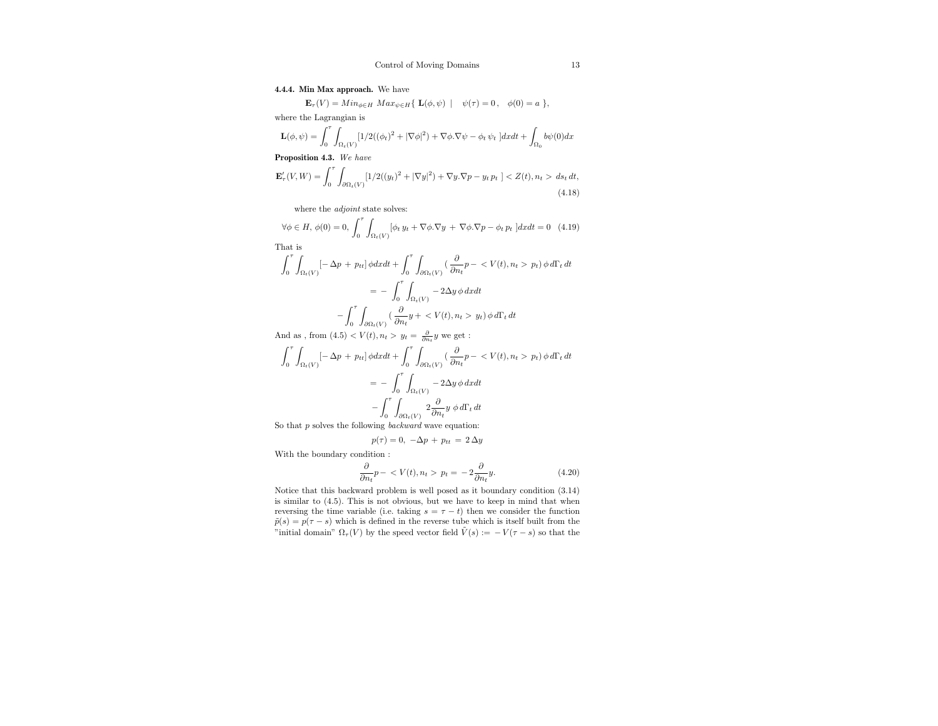## 4.4.4. Min Max approach. We have

 $\mathbf{E}_{\tau}(V) = Min_{\phi \in H} Max_{\psi \in H} \{ \mathbf{L}(\phi, \psi) \mid \psi(\tau) = 0, \phi(0) = a \},$ 

where the Lagrangian is

$$
\mathbf{L}(\phi,\psi)=\int_0^\tau\int_{\Omega_t(V)}[1/2((\phi_t)^2+|\nabla \phi|^2)+\nabla \phi.\nabla \psi-\phi_t\,\psi_t\;]dxdt+\int_{\Omega_0}b\psi(0)dx
$$

Proposition 4.3. We have

$$
\mathbf{E}_{\tau}'(V, W) = \int_0^{\tau} \int_{\partial \Omega_t(V)} [1/2((y_t)^2 + |\nabla y|^2) + \nabla y. \nabla p - y_t p_t] < Z(t), n_t > ds_t \, dt,\tag{4.18}
$$

where the *adjoint* state solves:

$$
\forall \phi \in H, \ \phi(0) = 0, \ \int_0^{\tau} \int_{\Omega_t(V)} [\phi_t y_t + \nabla \phi \cdot \nabla y + \nabla \phi \cdot \nabla p - \phi_t p_t] dx dt = 0 \tag{4.19}
$$

That is

$$
\int_0^{\tau} \int_{\Omega_t(V)} \left[-\Delta p + p_{tt}\right] \phi dx dt + \int_0^{\tau} \int_{\partial\Omega_t(V)} \left(\frac{\partial}{\partial n_t} p - \langle V(t), n_t \rangle p_t\right) \phi d\Gamma_t dt
$$

$$
= -\int_0^{\tau} \int_{\Omega_t(V)} -2\Delta y \phi dx dt
$$

$$
-\int_0^{\tau} \int_{\partial\Omega_t(V)} \left(\frac{\partial}{\partial n_t} y + \langle V(t), n_t \rangle p_t\right) \phi d\Gamma_t dt
$$

And as , from  $(4.5) < V(t), n_t > y_t = \frac{\partial}{\partial n_t} y$  we get :

$$
\int_0^{\tau} \int_{\Omega_t(V)} \left[ -\Delta p + p_{tt} \right] \phi dx dt + \int_0^{\tau} \int_{\partial \Omega_t(V)} \left( \frac{\partial}{\partial n_t} p - \langle V(t), n_t \rangle p_t \right) \phi d\Gamma_t dt
$$

$$
= - \int_0^{\tau} \int_{\Omega_t(V)} -2 \Delta y \phi dx dt
$$

$$
- \int_0^{\tau} \int_{\partial \Omega_t(V)} 2 \frac{\partial}{\partial n_t} y \phi d\Gamma_t dt
$$

So that  $p$  solves the following *backward* wave equation:

$$
p(\tau) = 0, \ -\Delta p + p_{tt} = 2 \, \Delta y
$$

With the boundary condition :

$$
\frac{\partial}{\partial n_t} p - \langle V(t), n_t \rangle p_t = -2 \frac{\partial}{\partial n_t} y. \tag{4.20}
$$

Notice that this backward problem is well posed as it boundary condition (3.14) is similar to (4.5). This is not obvious, but we have to keep in mind that when reversing the time variable (i.e. taking  $s = \tau - t$ ) then we consider the function  $\tilde{p}(s) = p(\tau - s)$  which is defined in the reverse tube which is itself built from the "initial domain"  $\Omega_{\tau}(V)$  by the speed vector field  $\tilde{V}(s) := -V(\tau - s)$  so that the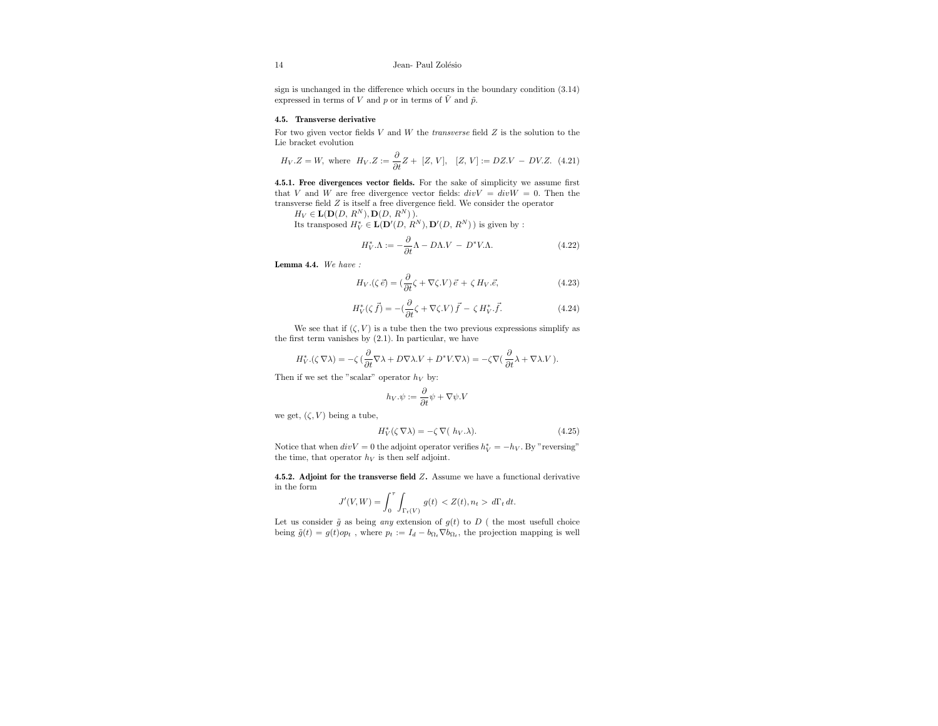sign is unchanged in the difference which occurs in the boundary condition (3.14) expressed in terms of V and p or in terms of  $\tilde{V}$  and  $\tilde{p}$ .

## 4.5. Transverse derivative

For two given vector fields  $V$  and  $W$  the *transverse* field  $Z$  is the solution to the Lie bracket evolution

$$
H_V.Z = W
$$
, where  $H_V.Z := \frac{\partial}{\partial t} Z + [Z, V], [Z, V] := DZ.V - DV.Z.$  (4.21)

4.5.1. Free divergences vector fields. For the sake of simplicity we assume first that V and W are free divergence vector fields:  $divV = divW = 0$ . Then the transverse field Z is itself a free divergence field. We consider the operator

 $H_V \in \mathbf{L}(\mathbf{D}(D, R^N), \mathbf{D}(D, R^N)).$ 

Its transposed  $H_V^* \in \mathbf{L}(\mathbf{D}'(D,\,R^N),\mathbf{D}'(D,\,R^N))$  is given by :

$$
H_V^* \Lambda := -\frac{\partial}{\partial t} \Lambda - D\Lambda.V - D^* V \Lambda.
$$
 (4.22)

Lemma 4.4. We have :

$$
H_V.(\zeta \, \vec{e}) = \left(\frac{\partial}{\partial t} \zeta + \nabla \zeta . V\right) \vec{e} + \zeta \, H_V. \vec{e},\tag{4.23}
$$

$$
H_V^*(\zeta \vec{f}) = -(\frac{\partial}{\partial t}\zeta + \nabla \zeta.V)\vec{f} - \zeta H_V^* \cdot \vec{f}.
$$
 (4.24)

We see that if  $(\zeta, V)$  is a tube then the two previous expressions simplify as the first term vanishes by (2.1). In particular, we have

$$
H_V^* .(\zeta\,\nabla\lambda) = -\zeta\, (\frac{\partial}{\partial t}\nabla\lambda + D\nabla\lambda.V+D^*V.\nabla\lambda) = -\zeta\nabla(\,\frac{\partial}{\partial t}\lambda + \nabla\lambda.V\,).
$$

Then if we set the "scalar" operator  $h_V$  by:

$$
h_V.\psi := \frac{\partial}{\partial t}\psi + \nabla\psi.V
$$

we get,  $(\zeta, V)$  being a tube,

$$
H_V^*(\zeta \nabla \lambda) = -\zeta \nabla (h_V. \lambda). \tag{4.25}
$$

Notice that when  $div V = 0$  the adjoint operator verifies  $h_V^* = -h_V$ . By "reversing" the time, that operator  $h_V$  is then self adjoint.

4.5.2. Adjoint for the transverse field Z. Assume we have a functional derivative in the form

$$
J'(V, W) = \int_0^{\tau} \int_{\Gamma_t(V)} g(t) \, < Z(t), n_t > d\Gamma_t \, dt.
$$

Let us consider  $\tilde{g}$  as being any extension of  $g(t)$  to D ( the most usefull choice being  $\tilde{g}(t) = g(t)op_t$ , where  $p_t := I_d - b_{\Omega_t} \nabla b_{\Omega_t}$ , the projection mapping is well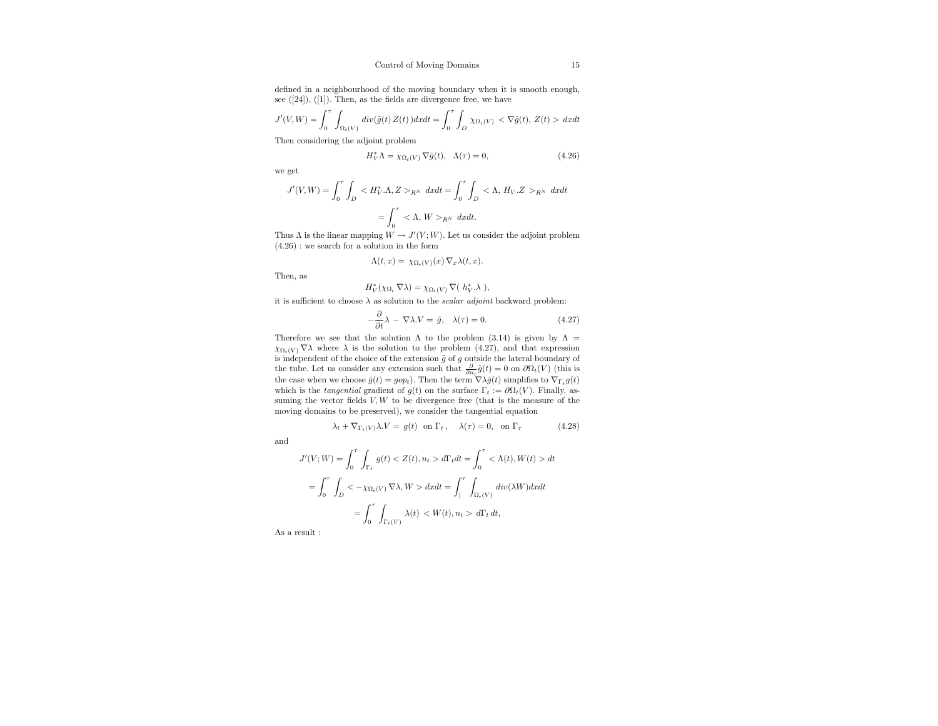defined in a neighbourhood of the moving boundary when it is smooth enough, see  $([24]), ([1]).$  Then, as the fields are divergence free, we have

$$
J'(V,W) = \int_0^{\tau} \int_{\Omega_t(V)} \operatorname{div}(\tilde{g}(t) \, Z(t)) \, dx \, dt = \int_0^{\tau} \int_D \chi_{\Omega_t(V)} < \nabla \tilde{g}(t), \, Z(t) > \, dx \, dt
$$

Then considering the adjoint problem

$$
H_V^*\Lambda = \chi_{\Omega_t(V)} \nabla \tilde{g}(t), \quad \Lambda(\tau) = 0,
$$
\n(4.26)

we get

$$
J'(V, W) = \int_0^{\tau} \int_D \langle H_V^* . \Lambda, Z \rangle_{R^N} dx dt = \int_0^{\tau} \int_D \langle \Lambda, H_V . Z \rangle_{R^N} dx dt
$$

$$
= \int_0^{\tau} \langle \Lambda, W \rangle_{R^N} dx dt.
$$

Thus  $\Lambda$  is the linear mapping  $W \to J'(V;W)$ . Let us consider the adjoint problem (4.26) : we search for a solution in the form

$$
\Lambda(t,x) = \chi_{\Omega_t(V)}(x) \nabla_x \lambda(t,x).
$$

Then, as

$$
H_V^*(\chi_{\Omega_t} \nabla \lambda) = \chi_{\Omega_t(V)} \nabla (h_V^* \lambda),
$$

it is sufficient to choose  $\lambda$  as solution to the  $scalar$   $adjoint$  backward problem:

$$
-\frac{\partial}{\partial t}\lambda - \nabla\lambda.V = \tilde{g}, \quad \lambda(\tau) = 0.
$$
 (4.27)

Therefore we see that the solution  $\Lambda$  to the problem (3.14) is given by  $\Lambda$  =  $\chi_{\Omega_t(V)} \nabla \lambda$  where  $\lambda$  is the solution to the problem (4.27), and that expression is independent of the choice of the extension  $\tilde{g}$  of g outside the lateral boundary of the tube. Let us consider any extension such that  $\frac{\partial}{\partial n_t}\tilde{g}(t) = 0$  on  $\partial\Omega_t(V)$  (this is the case when we choose  $\tilde{g}(t) = g \circ p_t$ . Then the term  $\nabla \lambda \tilde{g}(t)$  simplifies to  $\nabla_{\Gamma_t} g(t)$ which is the tangential gradient of  $g(t)$  on the surface  $\Gamma_t := \partial \Omega_t(V)$ . Finally, assuming the vector fields  $V, W$  to be divergence free (that is the measure of the moving domains to be preserved), we consider the tangential equation

$$
\lambda_t + \nabla_{\Gamma_t(V)} \lambda.V = g(t) \ \ \text{on} \ \Gamma_t \, , \quad \lambda(\tau) = 0, \ \ \text{on} \ \Gamma_\tau \eqno{(4.28)}
$$

and

$$
J'(V;W) = \int_0^{\tau} \int_{\Gamma_t} g(t) < Z(t), n_t > d\Gamma_t dt = \int_0^{\tau} \langle \Lambda(t), W(t) \rangle dt
$$
\n
$$
= \int_0^{\tau} \int_D \langle -\chi_{\Omega_t(V)} \nabla \lambda, W \rangle dx dt = \int_0^{\tau} \int_{\Omega_t(V)} \frac{div(\lambda W) dx dt}{\Gamma_t} dt
$$
\n
$$
= \int_0^{\tau} \int_{\Gamma_t(V)} \lambda(t) < W(t), n_t > d\Gamma_t dt,
$$

As a result :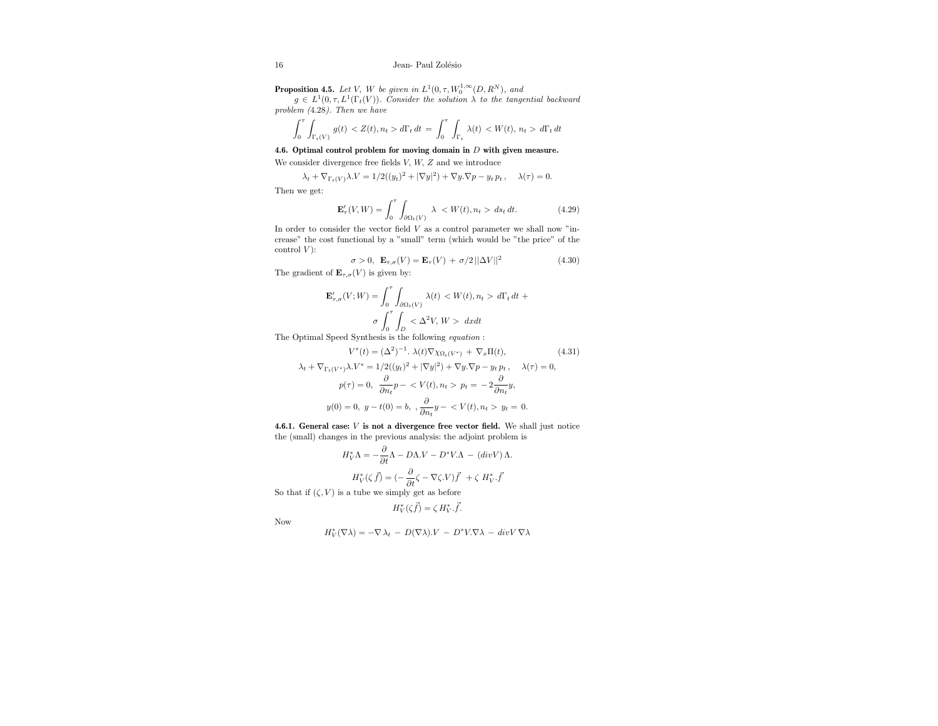**Proposition 4.5.** Let V, W be given in  $L^1(0, \tau, W_0^{1,\infty}(D, R^N))$ , and

 $g \in L^1(0,\tau,L^1(\Gamma_t(V)).$  Consider the solution  $\lambda$  to the tangential backward problem (4.28). Then we have

$$
\int_0^{\tau} \int_{\Gamma_t(V)} g(t) < Z(t), n_t > d\Gamma_t \, dt = \int_0^{\tau} \int_{\Gamma_t} \lambda(t) < W(t), n_t > d\Gamma_t \, dt
$$

4.6. Optimal control problem for moving domain in D with given measure.

We consider divergence free fields V, W, Z and we introduce

$$
\lambda_t + \nabla_{\Gamma_t(V)} \lambda V = 1/2((y_t)^2 + |\nabla y|^2) + \nabla y.\nabla p - y_t p_t, \quad \lambda(\tau) = 0.
$$

Then we get:

$$
\mathbf{E}_{\tau}'(V,W) = \int_0^{\tau} \int_{\partial \Omega_t(V)} \lambda \langle W(t), n_t \rangle ds_t dt.
$$
 (4.29)

In order to consider the vector field  $V$  as a control parameter we shall now "increase" the cost functional by a "small" term (which would be "the price" of the control  $V$ :

$$
\sigma > 0, \ \mathbf{E}_{\tau,\sigma}(V) = \mathbf{E}_{\tau}(V) + \sigma/2 ||\Delta V||^2 \tag{4.30}
$$

The gradient of  $\mathbf{E}_{\tau,\sigma}(V)$  is given by:

$$
\mathbf{E}_{\tau,\sigma}'(V;W) = \int_0^{\tau} \int_{\partial\Omega_t(V)} \lambda(t) < W(t), n_t > d\Gamma_t \, dt + \sigma \int_0^{\tau} \int_{\Gamma} < \Delta^2 V, \, W > \, dxdt
$$

 $J_0$   $J_D$ <br>The Optimal Speed Synthesis is the following *equation* :

$$
V^*(t) = (\Delta^2)^{-1} \cdot \lambda(t) \nabla \chi_{\Omega_t(V^*)} + \nabla_x \Pi(t), \tag{4.31}
$$

$$
\lambda_t + \nabla_{\Gamma_t(V^*)}\lambda.V^* = 1/2((y_t)^2 + |\nabla y|^2) + \nabla y.\nabla p - y_t p_t, \quad \lambda(\tau) = 0,
$$
  

$$
p(\tau) = 0, \quad \frac{\partial}{\partial n_t}p - \langle V(t), n_t \rangle p_t = -2\frac{\partial}{\partial n_t}y,
$$
  

$$
y(0) = 0, \ y - t(0) = b, \ \frac{\partial}{\partial n_t}y - \langle V(t), n_t \rangle y_t = 0.
$$

4.6.1. General case:  $V$  is not a divergence free vector field. We shall just notice the (small) changes in the previous analysis: the adjoint problem is

$$
H_V^* \Lambda = -\frac{\partial}{\partial t} \Lambda - D\Lambda V - D^* V \Lambda - (div V) \Lambda.
$$

$$
H_V^* (\zeta \vec{f}) = (-\frac{\partial}{\partial t} \zeta - \nabla \zeta V) \vec{f} + \zeta H_V^* \vec{f}
$$

So that if  $(\zeta, V)$  is a tube we simply get as before

$$
H_V^*(\zeta \vec{f}) = \zeta H_V^* \cdot \vec{f}.
$$

Now

$$
H_V^*(\nabla \lambda) = -\nabla \lambda_t - D(\nabla \lambda).V - D^*V.\nabla \lambda - div V \, \nabla \lambda
$$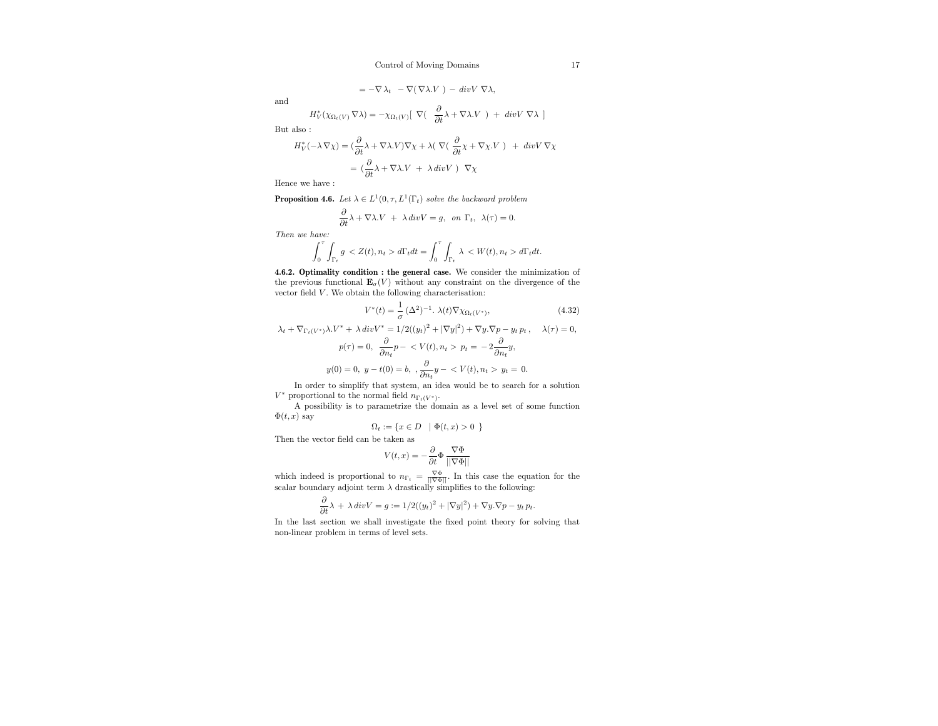$$
= -\nabla \lambda_t - \nabla (\nabla \lambda V) - \text{div} V \nabla \lambda,
$$

and

$$
H_V^*(\chi_{\Omega_t(V)} \nabla \lambda) = -\chi_{\Omega_t(V)} [\nabla (\frac{\partial}{\partial t} \lambda + \nabla \lambda.V) + \text{div} V \nabla \lambda ]
$$

∂

But also :

$$
H_V^*(-\lambda \nabla \chi) = \left(\frac{\partial}{\partial t}\lambda + \nabla \lambda V\right)\nabla \chi + \lambda \left(\nabla \left(\frac{\partial}{\partial t}\chi + \nabla \chi V\right) + \operatorname{div} V \nabla \chi\right)
$$

$$
= \left(\frac{\partial}{\partial t}\lambda + \nabla \lambda V + \lambda \operatorname{div} V\right) \nabla \chi
$$

Hence we have :

**Proposition 4.6.** Let  $\lambda \in L^1(0, \tau, L^1(\Gamma_t))$  solve the backward problem

$$
\frac{\partial}{\partial t}\lambda + \nabla\lambda.V + \lambda \operatorname{div}V = g, \text{ on } \Gamma_t, \lambda(\tau) = 0.
$$

Then we have:

$$
\int_0^\tau \int_{\Gamma_t} g \, d\Gamma_t dt = \int_0^\tau \int_{\Gamma_t} \, \lambda \,  d\Gamma_t dt.
$$

4.6.2. Optimality condition : the general case. We consider the minimization of the previous functional  $\mathbf{E}_{\sigma}(V)$  without any constraint on the divergence of the vector field  $V.$  We obtain the following characterisation:

$$
V^*(t) = \frac{1}{\sigma} \left(\Delta^2\right)^{-1} \cdot \lambda(t) \nabla \chi_{\Omega_t(V^*)},\tag{4.32}
$$

$$
\lambda_t + \nabla_{\Gamma_t(V^*)}\lambda.V^* + \lambda \operatorname{div}V^* = 1/2((y_t)^2 + |\nabla y|^2) + \nabla y.\nabla p - y_t p_t, \quad \lambda(\tau) = 0,
$$
  

$$
p(\tau) = 0, \quad \frac{\partial}{\partial n_t}p - \langle V(t), n_t \rangle p_t = -2\frac{\partial}{\partial n_t}y,
$$
  

$$
y(0) = 0, \quad y - t(0) = b, \quad \frac{\partial}{\partial n_t}y - \langle V(t), n_t \rangle p_t = 0.
$$

In order to simplify that system, an idea would be to search for a solution  $V^*$  proportional to the normal field  $n_{\Gamma_t(V^*)}$ .

A possibility is to parametrize the domain as a level set of some function  $\Phi(t, x)$  say

$$
\Omega_t := \{ x \in D \mid \Phi(t, x) > 0 \}
$$

Then the vector field can be taken as

$$
V(t,x)=-\frac{\partial}{\partial t}\Phi\,\frac{\nabla\Phi}{||\nabla\Phi||}
$$

which indeed is proportional to  $n_{\Gamma_t} = \frac{\nabla \Phi}{|\nabla \Phi|}$ . In this case the equation for the scalar boundary adjoint term  $\lambda$  drastically simplifies to the following:

$$
\frac{\partial}{\partial t}\lambda + \lambda \operatorname{div} V = g := 1/2((y_t)^2 + |\nabla y|^2) + \nabla y.\nabla p - y_t p_t.
$$

In the last section we shall investigate the fixed point theory for solving that non-linear problem in terms of level sets.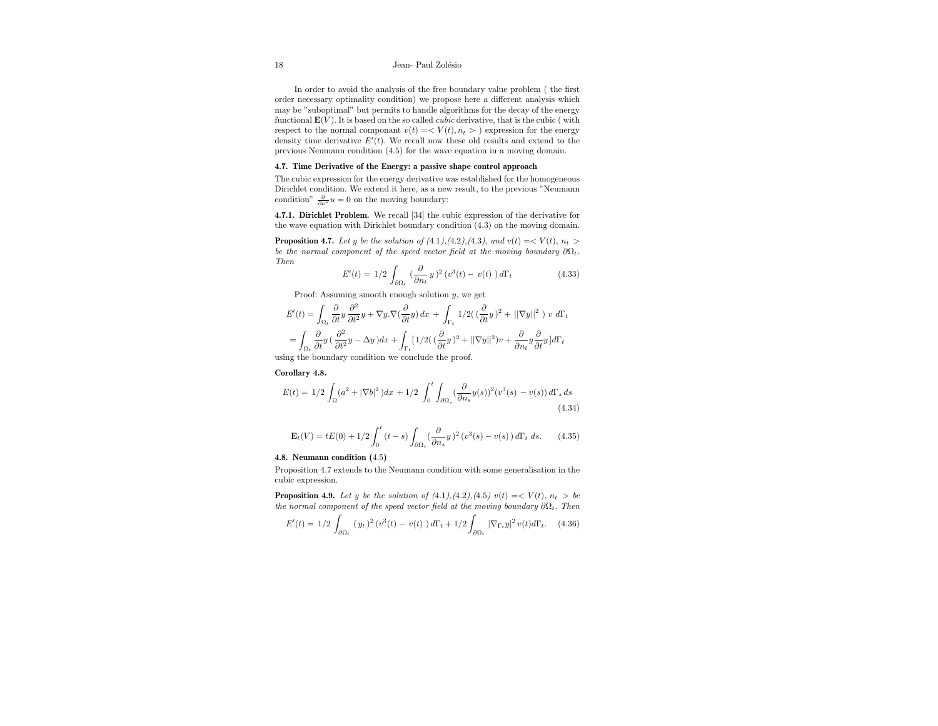#### 18 Jean- Paul Zolésio

In order to avoid the analysis of the free boundary value problem ( the first order necessary optimality condition) we propose here a different analysis which may be "suboptimal" but permits to handle algorithms for the decay of the energy functional  $\mathbf{E}(V)$ . It is based on the so called *cubic* derivative, that is the cubic (with respect to the normal componant  $v(t) = \langle V(t), n_t \rangle$  expression for the energy density time derivative  $E'(t)$ . We recall now these old results and extend to the previous Neumann condition (4.5) for the wave equation in a moving domain.

#### 4.7. Time Derivative of the Energy: a passive shape control approach

The cubic expression for the energy derivative was established for the homogeneous Dirichlet condition. We extend it here, as a new result, to the previous "Neumann condition"  $\frac{\partial}{\partial \nu^*} u = 0$  on the moving boundary:

4.7.1. Dirichlet Problem. We recall [34] the cubic expression of the derivative for the wave equation with Dirichlet boundary condition (4.3) on the moving domain.

**Proposition 4.7.** Let y be the solution of (4.1),(4.2),(4.3), and  $v(t) = \langle V(t), n_t \rangle$ be the normal component of the speed vector field at the moving boundary  $\partial\Omega_t$ . Then

$$
E'(t) = 1/2 \int_{\partial\Omega_t} \left(\frac{\partial}{\partial n_t} y\right)^2 (v^3(t) - v(t)) d\Gamma_t \tag{4.33}
$$

Proof: Assuming smooth enough solution  $y$ , we get

$$
\begin{split} E'(t) =&\ \int_{\Omega_t} \frac{\partial}{\partial t} y \, \frac{\partial^2}{\partial t^2} y + \nabla y. \nabla (\frac{\partial}{\partial t} y) \, dx \, + \, \int_{\Gamma_t} \, 1/2 \big( \, (\frac{\partial}{\partial t} y)^2 + \, ||\nabla y||^2 \, \big) \, \, v \, \, d\Gamma_t \\ =&\ \int_{\Omega_t} \frac{\partial}{\partial t} y \, (\, \frac{\partial^2}{\partial t^2} y - \Delta y \, ) dx + \int_{\Gamma_t} \big[ \, 1/2 \big( \, (\frac{\partial}{\partial t} y)^2 + \, ||\nabla y||^2 \big) v \, + \, \frac{\partial}{\partial n_t} y \frac{\partial}{\partial t} y \, \big] d\Gamma_t \end{split}
$$

using the boundary condition we conclude the proof.

## Corollary 4.8.

$$
E(t) = 1/2 \int_{\Omega} (a^2 + |\nabla b|^2) dx + 1/2 \int_0^t \int_{\partial \Omega_s} (\frac{\partial}{\partial n_s} y(s))^2 (v^3(s) - v(s)) d\Gamma_s ds
$$
\n(4.34)

$$
\mathbf{E}_{t}(V) = tE(0) + 1/2 \int_{0}^{t} (t - s) \int_{\partial \Omega_{s}} (\frac{\partial}{\partial n_{s}} y)^{2} (v^{3}(s) - v(s)) d\Gamma_{t} ds.
$$
 (4.35)

## 4.8. Neumann condition (4.5)

Proposition 4.7 extends to the Neumann condition with some generalisation in the cubic expression.

**Proposition 4.9.** Let y be the solution of  $(4.1), (4.2), (4.5)$   $v(t) = \langle V(t), n_t \rangle$  be the normal component of the speed vector field at the moving boundary  $\partial\Omega_t$ . Then

$$
E'(t) = 1/2 \int_{\partial \Omega_t} (y_t)^2 (v^3(t) - v(t)) d\Gamma_t + 1/2 \int_{\partial \Omega_t} |\nabla_{\Gamma_t} y|^2 v(t) d\Gamma_t.
$$
 (4.36)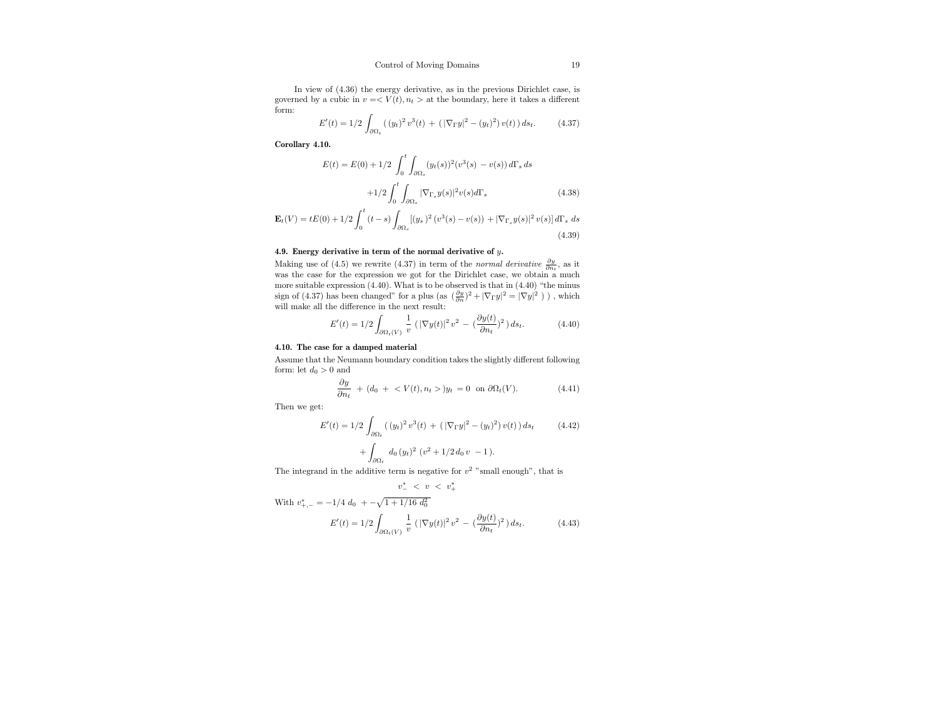In view of (4.36) the energy derivative, as in the previous Dirichlet case, is governed by a cubic in  $v = \langle V(t), n_t \rangle$  at the boundary, here it takes a different form:

$$
E'(t) = 1/2 \int_{\partial\Omega_t} ((y_t)^2 v^3(t) + (|\nabla_{\Gamma} y|^2 - (y_t)^2) v(t)) ds_t.
$$
 (4.37)

Corollary 4.10.

$$
E(t) = E(0) + 1/2 \int_0^t \int_{\partial\Omega_s} (y_t(s))^2 (v^3(s) - v(s)) d\Gamma_s ds
$$
  
+1/2  $\int_0^t \int_{\partial\Omega_s} |\nabla_{\Gamma_s} y(s)|^2 v(s) d\Gamma_s$  (4.38)

$$
\mathbf{E}_{t}(V) = tE(0) + 1/2 \int_{0}^{t} (t - s) \int_{\partial\Omega_{s}} [(y_{s})^{2} (v^{3}(s) - v(s)) + |\nabla_{\Gamma_{s}} y(s)|^{2} v(s)] d\Gamma_{s} ds
$$
\n(4.39)

## 4.9. Energy derivative in term of the normal derivative of  $y$ .

Making use of (4.5) we rewrite (4.37) in term of the *normal derivative*  $\frac{\partial y}{\partial n_t}$ , as it was the case for the expression we got for the Dirichlet case, we obtain a much more suitable expression (4.40). What is to be observed is that in (4.40) "the minus sign of (4.37) has been changed" for a plus (as  $(\frac{\partial y}{\partial n})^2+|\nabla_\Gamma y|^2=|\nabla y|^2$ ) ) , which will make all the difference in the next result:

$$
E'(t) = 1/2 \int_{\partial \Omega_t(V)} \frac{1}{v} \left( |\nabla y(t)|^2 v^2 - \left( \frac{\partial y(t)}{\partial n} \right)^2 \right) ds_t.
$$
 (4.40)

#### 4.10. The case for a damped material

Assume that the Neumann boundary condition takes the slightly different following form: let  $d_0 > 0$  and

$$
\frac{\partial y}{\partial n_t} + (d_0 + \langle V(t), n_t \rangle) y_t = 0 \text{ on } \partial \Omega_t(V). \tag{4.41}
$$

Then we get:

$$
E'(t) = 1/2 \int_{\partial \Omega_t} ((y_t)^2 v^3(t) + (|\nabla_{\Gamma} y|^2 - (y_t)^2) v(t)) ds_t
$$
 (4.42)  
+ 
$$
\int_{\partial \Omega_t} d_0 (y_t)^2 (v^2 + 1/2 d_0 v - 1).
$$

The integrand in the additive term is negative for  $v^2$  "small enough", that is

$$
v_{+}^{*} < v < v_{+}^{*}
$$
\n
$$
\text{With } v_{+,-}^{*} = -1/4 \, d_{0} \, + -\sqrt{1+1/16} \, d_{0}^{2}
$$
\n
$$
E'(t) = 1/2 \int_{\partial\Omega_{t}(V)} \frac{1}{v} \left( |\nabla y(t)|^{2} \, v^{2} - \left( \frac{\partial y(t)}{\partial n_{t}} \right)^{2} \right) ds_{t}.
$$
\n(4.43)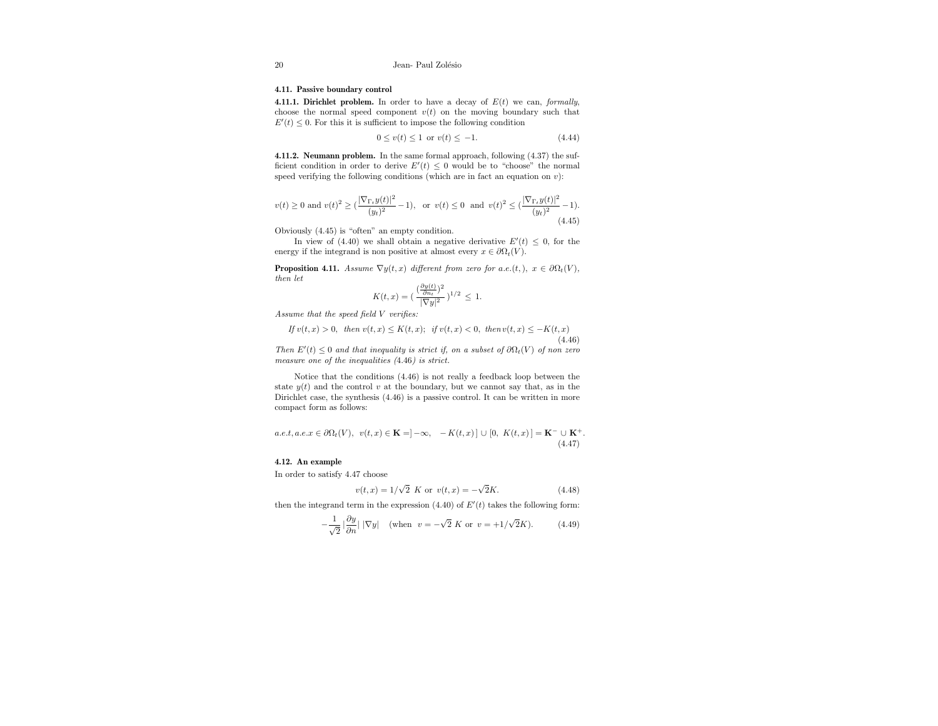#### 4.11. Passive boundary control

4.11.1. Dirichlet problem. In order to have a decay of  $E(t)$  we can, formally, choose the normal speed component  $v(t)$  on the moving boundary such that  $E'(t) \leq 0$ . For this it is sufficient to impose the following condition

$$
0 \le v(t) \le 1 \text{ or } v(t) \le -1. \tag{4.44}
$$

4.11.2. Neumann problem. In the same formal approach, following (4.37) the sufficient condition in order to derive  $E'(t) \leq 0$  would be to "choose" the normal speed verifying the following conditions (which are in fact an equation on  $v$ ):

$$
v(t) \ge 0 \text{ and } v(t)^2 \ge (\frac{|\nabla_{\Gamma_t} y(t)|^2}{(y_t)^2} - 1), \text{ or } v(t) \le 0 \text{ and } v(t)^2 \le (\frac{|\nabla_{\Gamma_t} y(t)|^2}{(y_t)^2} - 1).
$$
\n(4.45)

Obviously (4.45) is "often" an empty condition.

In view of (4.40) we shall obtain a negative derivative  $E'(t) \leq 0$ , for the energy if the integrand is non positive at almost every  $x \in \partial \Omega_t(V)$ .

**Proposition 4.11.** Assume  $\nabla y(t, x)$  different from zero for a.e.(t,),  $x \in \partial \Omega_t(V)$ , then let

$$
K(t, x) = \left(\frac{\left(\frac{\partial y(t)}{\partial n_t}\right)^2}{|\nabla y|^2}\right)^{1/2} \le 1.
$$

Assume that the speed field V verifies:

If 
$$
v(t, x) > 0
$$
, then  $v(t, x) \le K(t, x)$ ; if  $v(t, x) < 0$ , then  $v(t, x) \le -K(t, x)$  (4.46)

Then  $E'(t) \leq 0$  and that inequality is strict if, on a subset of  $\partial \Omega_t(V)$  of non zero measure one of the inequalities (4.46) is strict.

Notice that the conditions (4.46) is not really a feedback loop between the state  $y(t)$  and the control v at the boundary, but we cannot say that, as in the Dirichlet case, the synthesis (4.46) is a passive control. It can be written in more compact form as follows:

$$
a.e.t, a.e. x \in \partial\Omega_t(V), \ \ v(t, x) \in \mathbf{K} = ]-\infty, \ -K(t, x)] \cup [0, \ K(t, x)] = \mathbf{K}^- \cup \mathbf{K}^+.
$$
\n
$$
(4.47)
$$

#### 4.12. An example

In order to satisfy 4.47 choose

$$
v(t, x) = 1/\sqrt{2} K
$$
 or  $v(t, x) = -\sqrt{2}K$ . (4.48)

then the integrand term in the expression  $(4.40)$  of  $E'(t)$  takes the following form:

$$
-\frac{1}{\sqrt{2}}\left|\frac{\partial y}{\partial n}\right| |\nabla y| \quad \text{(when} \ \ v=-\sqrt{2} \ K \ \text{or} \ \ v=+1/\sqrt{2}K\text{)}.
$$
 (4.49)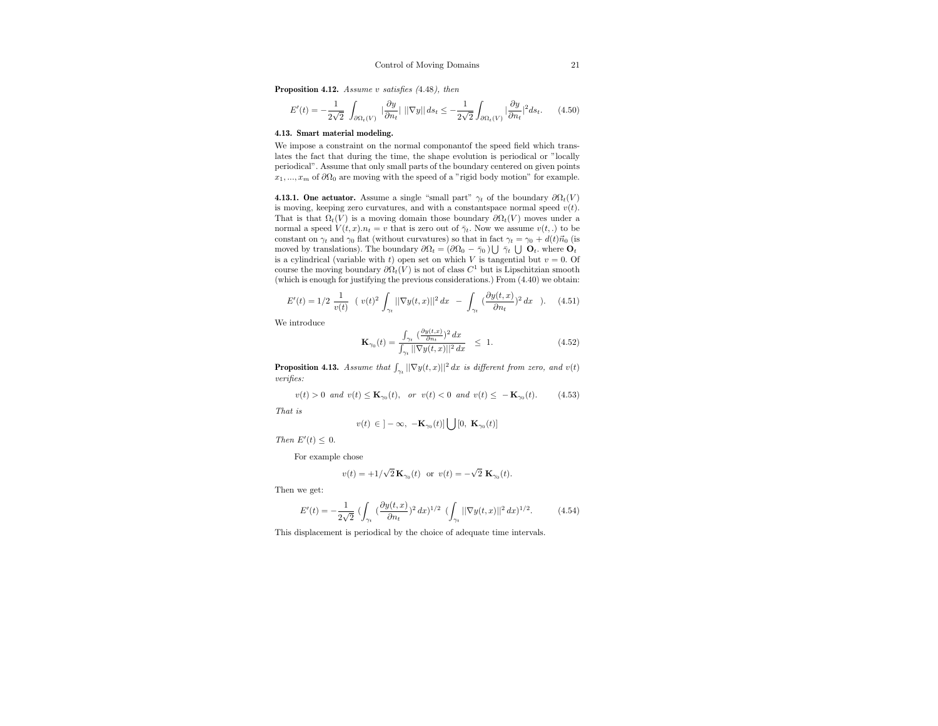Proposition 4.12. Assume v satisfies  $(4.48)$ , then

$$
E'(t) = -\frac{1}{2\sqrt{2}} \int_{\partial\Omega_t(V)} \, |\frac{\partial y}{\partial n_t}| \, ||\nabla y|| \, ds_t \leq -\frac{1}{2\sqrt{2}} \int_{\partial\Omega_t(V)} |\frac{\partial y}{\partial n_t}|^2 ds_t. \tag{4.50}
$$

#### 4.13. Smart material modeling.

We impose a constraint on the normal componantof the speed field which translates the fact that during the time, the shape evolution is periodical or "locally periodical". Assume that only small parts of the boundary centered on given points  $x_1, ..., x_m$  of  $\partial\Omega_0$  are moving with the speed of a "rigid body motion" for example.

**4.13.1. One actuator.** Assume a single "small part"  $\gamma_t$  of the boundary  $\partial \Omega_t(V)$ is moving, keeping zero curvatures, and with a constantspace normal speed  $v(t)$ . That is that  $\Omega_t(V)$  is a moving domain those boundary  $\partial \Omega_t(V)$  moves under a normal a speed  $V(t, x) \cdot n_t = v$  that is zero out of  $\bar{\gamma}_t$ . Now we assume  $v(t,.)$  to be constant on  $\gamma_t$  and  $\gamma_0$  flat (without curvatures) so that in fact  $\gamma_t = \gamma_0 + d(t)\vec{n}_0$  (is moved by translations). The boundary  $\partial\Omega_t = (\partial\Omega_0 - \bar{\gamma}_0) \bigcup \bar{\gamma}_t \bigcup \mathbf{O}_t$ . where  $\mathbf{O}_t$ is a cylindrical (variable with t) open set on which V is tangential but  $v = 0$ . Of course the moving boundary  $\partial \Omega_t(V)$  is not of class  $C^1$  but is Lipschitzian smooth (which is enough for justifying the previous considerations.) From (4.40) we obtain:

$$
E'(t) = 1/2 \frac{1}{v(t)} \left( v(t)^2 \int_{\gamma_t} ||\nabla y(t,x)||^2 dx - \int_{\gamma_t} \left( \frac{\partial y(t,x)}{\partial n_t} \right)^2 dx \right). \tag{4.51}
$$
  
le introduce

We introduce

$$
\mathbf{K}_{\gamma_0}(t) = \frac{\int_{\gamma_t} \left(\frac{\partial y(t,x)}{\partial n_t}\right)^2 dx}{\int_{\gamma_t} ||\nabla y(t,x)||^2 dx} \le 1.
$$
 (4.52)

**Proposition 4.13.** Assume that  $\int_{\gamma_t} ||\nabla y(t,x)||^2 dx$  is different from zero, and  $v(t)$ verifies:

$$
v(t) > 0 \text{ and } v(t) \le \mathbf{K}_{\gamma_0}(t), \text{ or } v(t) < 0 \text{ and } v(t) \le -\mathbf{K}_{\gamma_0}(t). \tag{4.53}
$$

That is

$$
v(t) \in \left] -\infty, \ -\mathbf{K}_{\gamma_0}(t) \right] \bigcup \left[ 0, \ \mathbf{K}_{\gamma_0}(t) \right]
$$

Then  $E'(t) \leq 0$ .

For example chose

$$
v(t) = +1/\sqrt{2} \mathbf{K}_{\gamma_0}(t)
$$
 or  $v(t) = -\sqrt{2} \mathbf{K}_{\gamma_0}(t)$ .

Then we get:

$$
E'(t)=-\frac{1}{2\sqrt{2}}\ (\int_{\gamma_t}\ (\frac{\partial y(t,x)}{\partial n_t})^2\ dx)^{1/2}\ (\int_{\gamma_t}\ ||\nabla y(t,x)||^2\ dx)^{1/2}.\eqno(4.54)
$$

This displacement is periodical by the choice of adequate time intervals.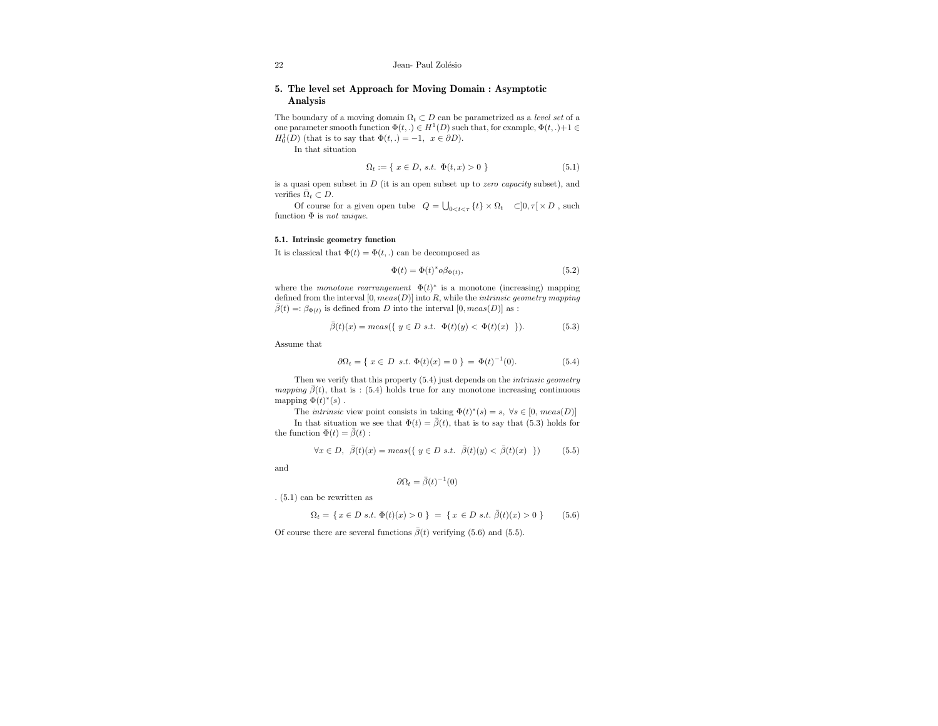22 Jean- Paul Zolésio

## 5. The level set Approach for Moving Domain : Asymptotic Analysis

The boundary of a moving domain  $\Omega_t \subset D$  can be parametrized as a *level set* of a one parameter smooth function  $\Phi(t,.) \in H^1(D)$  such that, for example,  $\Phi(t,.)+1 \in$  $H_0^1(D)$  (that is to say that  $\Phi(t,.) = -1, x \in \partial D$ ).

In that situation

$$
\Omega_t := \{ \ x \in D, \ s.t. \ \Phi(t, x) > 0 \ \} \tag{5.1}
$$

is a quasi open subset in  $D$  (it is an open subset up to *zero capacity* subset), and verifies  $\bar{\Omega}_t \subset D$ .

Of course for a given open tube  $Q = \bigcup_{0 \leq t \leq \tau} \{t\} \times \Omega_t \quad \subset ]0, \tau[ \times D$ , such function  $\Phi$  is *not unique*.

#### 5.1. Intrinsic geometry function

It is classical that  $\Phi(t) = \Phi(t,.)$  can be decomposed as

$$
\Phi(t) = \Phi(t)^* o \beta_{\Phi(t)},\tag{5.2}
$$

where the *monotone rearrangement*  $\Phi(t)^*$  is a monotone (increasing) mapping defined from the interval  $[0, meas(D)]$  into  $R$ , while the *intrinsic geometry mapping*  $\bar{\beta}(t) = \beta_{\Phi(t)}$  is defined from D into the interval  $[0, meas(D)]$  as :

$$
\bar{\beta}(t)(x) = meas(\{ y \in D \text{ s.t. } \Phi(t)(y) < \Phi(t)(x) \} ). \tag{5.3}
$$

Assume that

$$
\partial \Omega_t = \{ x \in D \text{ s.t. } \Phi(t)(x) = 0 \} = \Phi(t)^{-1}(0). \tag{5.4}
$$

Then we verify that this property  $(5.4)$  just depends on the *intrinsic geometry mapping*  $\bar{\beta}(t)$ , that is : (5.4) holds true for any monotone increasing continuous mapping  $\Phi(t)^*(s)$ .

The *intrinsic* view point consists in taking  $\Phi(t)^*(s) = s, \ \forall s \in [0, \text{meas}(D)]$ In that situation we see that  $\Phi(t) = \bar{\beta}(t)$ , that is to say that (5.3) holds for the function  $\Phi(t) = \bar{\beta}(t)$ :

$$
\forall x \in D, \ \overline{\beta}(t)(x) = meas(\{ y \in D \ s.t. \ \overline{\beta}(t)(y) < \overline{\beta}(t)(x) \ \}) \tag{5.5}
$$

and

$$
\partial \Omega_t = \bar{\beta}(t)^{-1}(0)
$$

. (5.1) can be rewritten as

$$
\Omega_t = \{ x \in D \text{ s.t. } \Phi(t)(x) > 0 \} = \{ x \in D \text{ s.t. } \overline{\beta}(t)(x) > 0 \}
$$
 (5.6)

Of course there are several functions  $\bar{\beta}(t)$  verifying (5.6) and (5.5).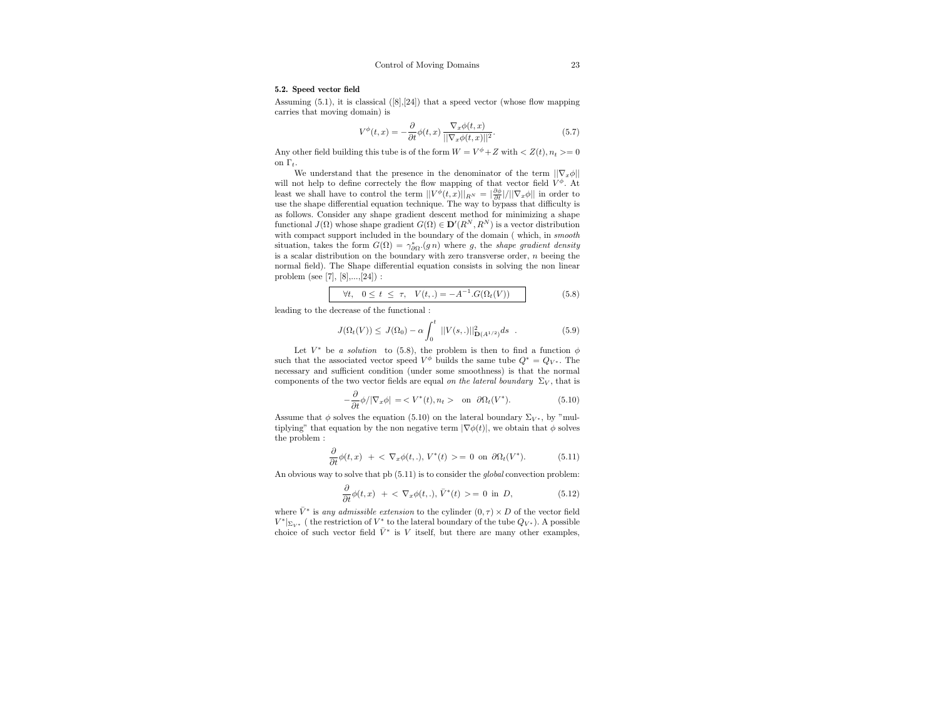#### 5.2. Speed vector field

Assuming  $(5.1)$ , it is classical  $([8],[24])$  that a speed vector (whose flow mapping carries that moving domain) is

$$
V^{\phi}(t,x) = -\frac{\partial}{\partial t}\phi(t,x) \frac{\nabla_x \phi(t,x)}{\|\nabla_x \phi(t,x)\|^2}.
$$
\n(5.7)

Any other field building this tube is of the form  $W = V^{\phi} + Z$  with  $Z(t), n_t \geq 0$ on  $\Gamma_t$ .

We understand that the presence in the denominator of the term  $||\nabla_x \phi||$ will not help to define correctely the flow mapping of that vector field  $V^{\phi}$ . At least we shall have to control the term  $||V^{\phi}(t,x)||_{R^N} = |\frac{\partial \phi}{\partial t}|/||\nabla_x \phi||$  in order to use the shape differential equation technique. The way to bypass that difficulty is as follows. Consider any shape gradient descent method for minimizing a shape functional  $J(\Omega)$  whose shape gradient  $G(\Omega) \in \mathbf{D}'(R^N, R^N)$  is a vector distribution with compact support included in the boundary of the domain (which, in smooth situation, takes the form  $G(\Omega) = \gamma_{\partial\Omega}^* (gn)$  where g, the shape gradient density is a scalar distribution on the boundary with zero transverse order,  $n$  beeing the normal field). The Shape differential equation consists in solving the non linear problem (see [7], [8],...,[24]) :

$$
\forall t, \ \ 0 \le t \le \tau, \ \ V(t,.) = -A^{-1}.G(\Omega_t(V)) \tag{5.8}
$$

leading to the decrease of the functional :

$$
J(\Omega_t(V)) \leq J(\Omega_0) - \alpha \int_0^t ||V(s,.)||^2_{\mathbf{D}(A^{1/2})} ds . \tag{5.9}
$$

Let  $V^*$  be a solution to (5.8), the problem is then to find a function  $\phi$ such that the associated vector speed  $V^{\phi}$  builds the same tube  $Q^* = Q_{V^*}$ . The necessary and sufficient condition (under some smoothness) is that the normal components of the two vector fields are equal on the lateral boundary  $\Sigma_V$ , that is

$$
-\frac{\partial}{\partial t}\phi/|\nabla_x \phi| = \langle V^*(t), n_t \rangle \quad \text{on} \ \partial\Omega_t(V^*). \tag{5.10}
$$

Assume that  $\phi$  solves the equation (5.10) on the lateral boundary  $\Sigma_{V^*}$ , by "multiplying" that equation by the non negative term  $|\nabla \phi(t)|$ , we obtain that  $\phi$  solves the problem :

$$
\frac{\partial}{\partial t}\phi(t,x) + \langle \nabla_x \phi(t,.) , V^*(t) \rangle = 0 \text{ on } \partial \Omega_t(V^*). \tag{5.11}
$$

An obvious way to solve that pb (5.11) is to consider the global convection problem:

$$
\frac{\partial}{\partial t}\phi(t,x) + \langle \nabla_x \phi(t,.) , \bar{V}^*(t) \rangle = 0 \text{ in } D,
$$
\n(5.12)

where  $\bar{V}^*$  is any admissible extension to the cylinder  $(0, \tau) \times D$  of the vector field  $V^*|_{\Sigma_{V^*}}$  ( the restriction of  $V^*$  to the lateral boundary of the tube  $Q_{V^*}$ ). A possible choice of such vector field  $\bar{V}^*$  is V itself, but there are many other examples,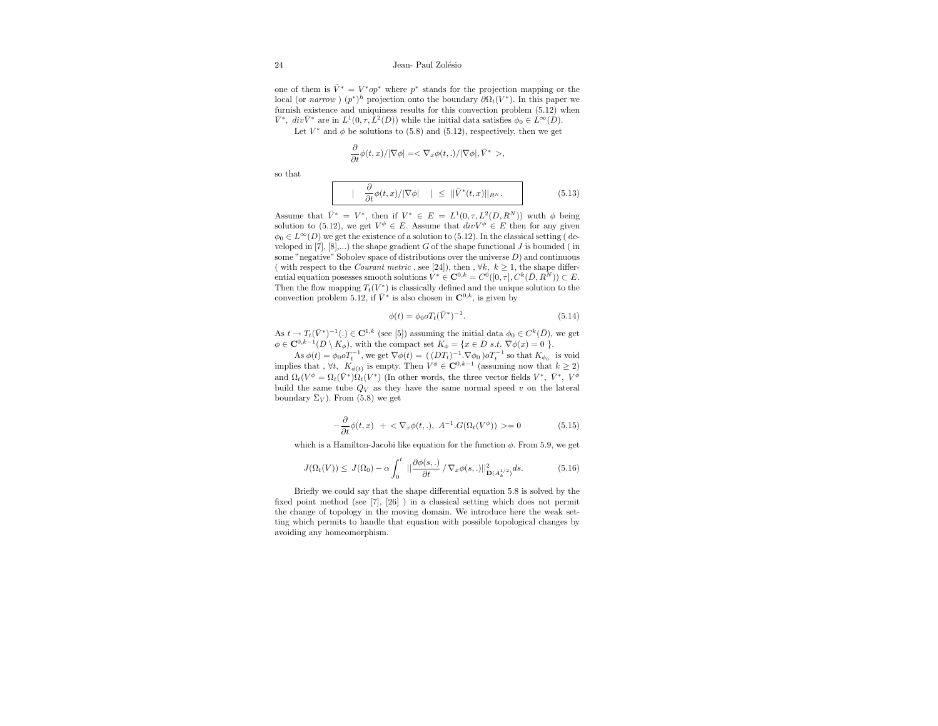one of them is  $\bar{V}^* = V^*op^*$  where  $p^*$  stands for the projection mapping or the local (or narrow)  $(p^*)^h$  projection onto the boundary  $\partial \Omega_t(V^*)$ . In this paper we furnish existence and uniquiness results for this convection problem (5.12) when  $\bar{V}^*$ ,  $div\bar{V}^*$  are in  $L^1(0,\tau,L^2(D))$  while the initial data satisfies  $\phi_0 \in L^{\infty}(D)$ .

Let  $V^*$  and  $\phi$  be solutions to (5.8) and (5.12), respectively, then we get

$$
\frac{\partial}{\partial t}\phi(t,x)/|\nabla \phi|=<\nabla_x\phi(t,.)/|\nabla \phi|,\bar V^*>,\nonumber
$$

so that

$$
\vert \frac{\partial}{\partial t} \phi(t, x) / \vert \nabla \phi \vert \vert \leq \vert \vert \bar{V}^*(t, x) \vert \vert_{R^N}.
$$
 (5.13)

Assume that  $\bar{V}^* = V^*$ , then if  $V^* \in E = L^1(0, \tau, L^2(D, R^N))$  wuth  $\phi$  being solution to (5.12), we get  $V^{\phi} \in E$ . Assume that  $div V^{\phi} \in E$  then for any given  $\phi_0 \in L^{\infty}(D)$  we get the existence of a solution to (5.12). In the classical setting (developed in [7],  $[8]$ ,...) the shape gradient G of the shape functional J is bounded (in some "negative" Sobolev space of distributions over the universe  $D$ ) and continuous ( with respect to the *Courant metric*, see [24]), then ,  $\forall k, k \ge 1$ , the shape differential equation posesses smooth solutions  $V^* \in \mathbf{C}^{0,k} = C^0([0,\tau], C^k(\bar{D}, R^{\bar{N}})) \subset E$ . Then the flow mapping  $T_t(V^*)$  is classically defined and the unique solution to the convection problem 5.12, if  $\bar{V}^*$  is also chosen in  $\mathbf{C}^{0,k}$ , is given by

$$
\phi(t) = \phi_0 \, o \, T_t (\bar{V}^*)^{-1}.\tag{5.14}
$$

As  $t \to T_t(\bar{V}^*)^{-1}$ .  $\in \mathbb{C}^{1,k}$  (see [5]) assuming the initial data  $\phi_0 \in C^k(\bar{D})$ , we get  $\phi \in \mathbb{C}^{0,k-1}(D \setminus K_{\phi})$ , with the compact set  $K_{\phi} = \{x \in D \text{ s.t. } \nabla \phi(x) = 0 \}$ .

As  $\phi(t) = \phi_0 \sigma T_t^{-1}$ , we get  $\nabla \phi(t) = (D_t T_t)^{-1} \nabla \phi_0 \sigma T_t^{-1}$  so that  $K_{\phi_0}$  is void implies that ,  $\forall t$ ,  $K_{\phi(t)}$  is empty. Then  $V^{\phi} \in \mathbb{C}^{0,k-1}$  (assuming now that  $k \geq 2$ ) and  $\Omega_t(V^{\phi} = \Omega_t(\bar{V}^*)\Omega_t(V^*)$  (In other words, the three vector fields  $V^*$ ,  $\bar{V}^*$ ,  $V^{\phi}$ build the same tube  $Q_V$  as they have the same normal speed v on the lateral boundary  $\Sigma_V$ ). From (5.8) we get

$$
-\frac{\partial}{\partial t}\phi(t,x) + \langle \nabla_x \phi(t,.), A^{-1}.G(\Omega_t(V^{\phi})) \rangle = 0
$$
\n(5.15)

which is a Hamilton-Jacobi like equation for the function  $\phi$ . From 5.9, we get

$$
J(\Omega_t(V)) \leq J(\Omega_0) - \alpha \int_0^t \|\frac{\partial \phi(s,.)}{\partial t} / \nabla_x \phi(s,.)\|_{\mathbf{D}(A_k^{1/2})}^2 ds. \tag{5.16}
$$

Briefly we could say that the shape differential equation 5.8 is solved by the fixed point method (see [7], [26] ) in a classical setting which does not permit the change of topology in the moving domain. We introduce here the weak setting which permits to handle that equation with possible topological changes by avoiding any homeomorphism.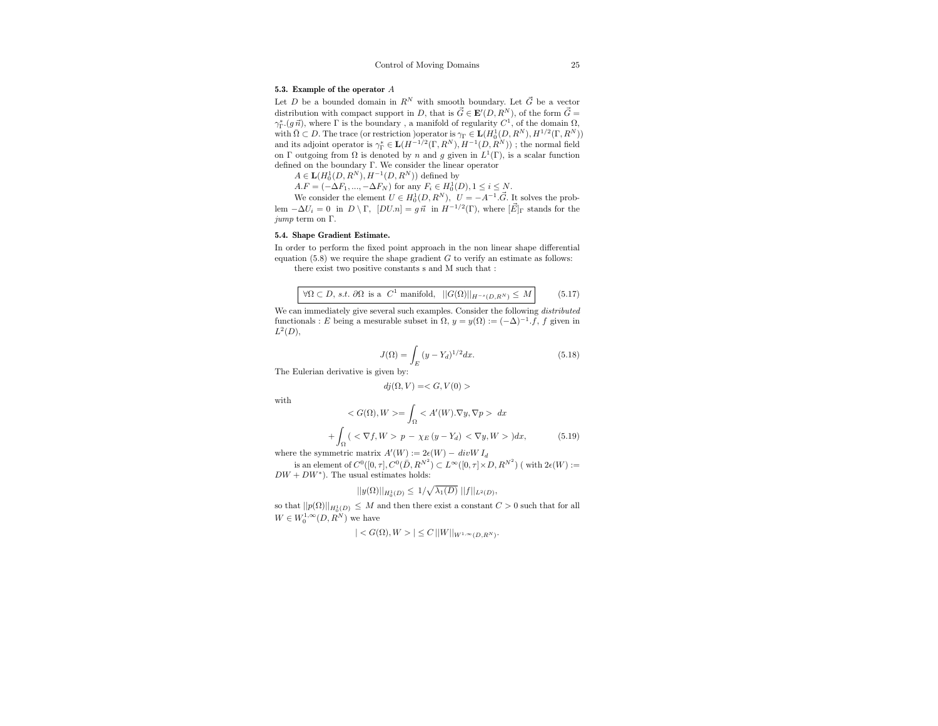#### 5.3. Example of the operator A

Let D be a bounded domain in  $R^N$  with smooth boundary. Let  $\vec{G}$  be a vector distribution with compact support in D, that is  $\vec{G} \in \mathbf{E}'(D, R^N)$ , of the form  $\vec{G} =$  $γ_Γ.(g\vec{n})$ , where Γ is the boundary, a manifold of regularity  $C^1$ , of the domain  $Ω$ , with  $\bar{\Omega} \subset D$ . The trace (or restriction )operator is  $\gamma_{\Gamma} \in \mathbf{L}(H_0^1(D,R^N), H^{1/2}(\Gamma,R^N))$ and its adjoint operator is  $\gamma_{\Gamma}^*\in {\bf L}(H^{-1/2}(\Gamma,R^N),H^{-1}(D,R^N))$ ; the normal field on  $\Gamma$  outgoing from  $\Omega$  is denoted by n and g given in  $L^1(\Gamma)$ , is a scalar function defined on the boundary Γ. We consider the linear operator

 $A \in {\bf L}(H_0^1(D,R^N),H^{-1}(D,R^N))$  defined by

 $A.F = (-\Delta F_1, ..., -\Delta F_N)$  for any  $F_i \in H_0^1(D), 1 \le i \le N$ .

We consider the element  $U \in H_0^1(D, R^N)$ ,  $U = -A^{-1} \cdot \vec{G}$ . It solves the problem  $-\Delta U_i = 0$  in  $D \setminus \Gamma$ ,  $[DUn] = g \vec{n}$  in  $H^{-1/2}(\Gamma)$ , where  $[\vec{E}]_{\Gamma}$  stands for the jump term on Γ.

#### 5.4. Shape Gradient Estimate.

In order to perform the fixed point approach in the non linear shape differential equation  $(5.8)$  we require the shape gradient G to verify an estimate as follows: there exist two positive constants s and M such that :

 $\forall \Omega \subset D$ , s.t.  $\partial \Omega$  is a  $C^1$  manifold,  $||G(\Omega)||_{H^{-s}(D,R^N)} \leq M$  (5.17)

We can immediately give several such examples. Consider the following *distributed* functionals : E being a mesurable subset in  $\Omega$ ,  $y = y(\Omega) := (-\Delta)^{-1} \cdot f$ , f given in  $L^2(D)$ ,

$$
J(\Omega) = \int_{E} (y - Y_d)^{1/2} dx.
$$
 (5.18)

The Eulerian derivative is given by:

$$
dj(\Omega, V) =
$$

with

$$
\langle G(\Omega), W \rangle = \int_{\Omega} \langle A'(W). \nabla y, \nabla p \rangle dx
$$

$$
+ \int_{\Omega} \left( \langle \nabla f, W \rangle p - \chi_E(y - Y_d) \langle \nabla y, W \rangle \right) dx, \tag{5.19}
$$

where the symmetric matrix  $A'(W) := 2\epsilon(W) - divW I_d$ 

is an element of  $C^0([0, \tau], C^0(\overline{D}, R^{N^2}) \subset L^{\infty}([0, \tau] \times D, R^{N^2})$  (with  $2\epsilon(W) :=$  $DW + DW^*$ ). The usual estimates holds:

$$
||y(\Omega)||_{H_0^1(D)} \le 1/\sqrt{\lambda_1(D)} \, ||f||_{L^2(D)},
$$

so that  $||p(\Omega)||_{H_0^1(D)} \leq M$  and then there exist a constant  $C > 0$  such that for all  $W\in W^{1,\infty}_0(D,R^N)$  we have

$$
| < G(\Omega), W > \le C \, ||W||_{W^{1,\infty}(D,R^N)}.
$$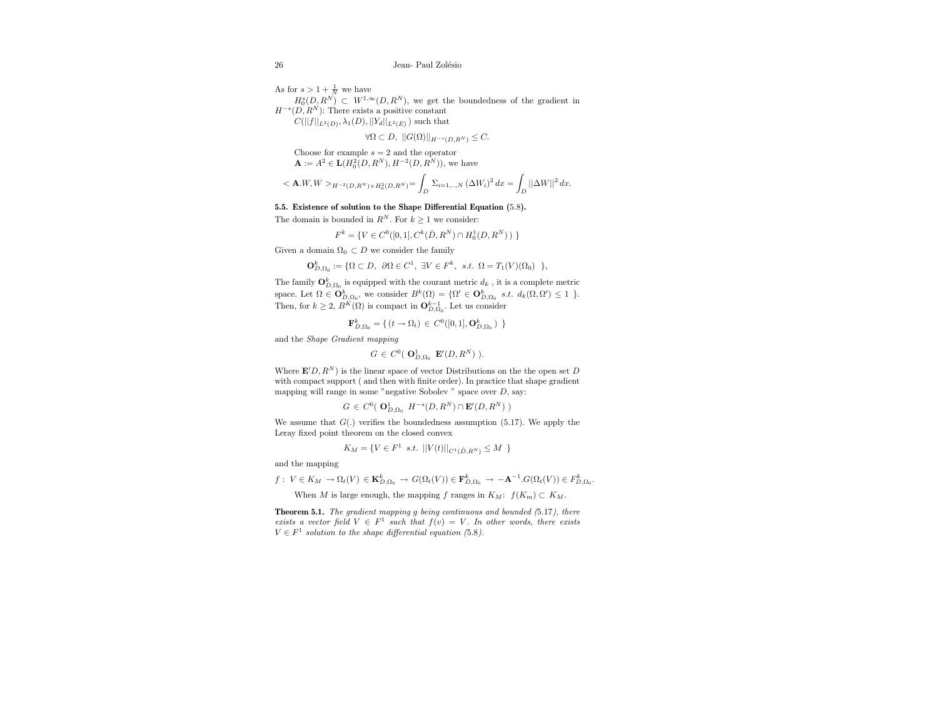As for  $s > 1 + \frac{1}{N}$  we have  $H_0^s(D, R^N) \subset W^{1,\infty}(D, R^N)$ , we get the boundedness of the gradient in  $H^{-s}(D, R^N)$ : There exists a positive constant  $C(||f||_{L^2(D)}, \lambda_1(D), ||Y_d||_{L^2(E)})$  such that

 $\forall \Omega \subset D, ||G(\Omega)||_{H^{-s}(D,R^N)} \leq C.$ 

Choose for example  $s = 2$  and the operator  $\mathbf{A} := A^2 \in \mathbf{L}(H_0^2(D, R^N), H^{-2}(D, R^N)),$  we have

$$
<{\bf A}.W,W>_{H^{-2}(D,R^N)\times H^2_0(D,R^N)}=\int_D\,\Sigma_{i=1,..,N}\,(\Delta W_i)^2\,dx=\int_D||\Delta W||^2\,dx.
$$

#### 5.5. Existence of solution to the Shape Differential Equation (5.8).

The domain is bounded in  $R^N$ . For  $k \geq 1$  we consider:

$$
F^{k} = \{ V \in C^{0}([0, 1], C^{k}(\bar{D}, R^{N}) \cap H_{0}^{1}(D, R^{N})) \}
$$

Given a domain  $\Omega_0 \subset D$  we consider the family

 $\mathbf{O}_{D,\Omega_0}^k := \{ \Omega \subset D, \ \partial \Omega \in C^1, \ \exists V \in F^k, \ s.t. \ \Omega = T_1(V)(\Omega_0) \ \},\$ 

The family  $\mathbf{O}_{D,\Omega_0}^k$  is equipped with the courant metric  $d_k$  , it is a complete metric space. Let  $\Omega \in \mathbf{O}_{D,\Omega_0}^k$ , we consider  $B^k(\Omega) = \{ \Omega' \in \mathbf{O}_{D,\Omega_0}^k \text{ s.t. } d_k(\Omega,\Omega') \leq 1 \}$ . Then, for  $k \geq 2$ ,  $B^K(\Omega)$  is compact in  $\mathbf{O}_{D,\Omega_0}^{k-1}$ . Let us consider

$$
\mathbf{F}_{D,\Omega_0}^k = \{ (t \to \Omega_t) \in C^0([0,1], \mathbf{O}_{D,\Omega_0}^k) \}
$$

and the Shape Gradient mapping

$$
G\in C^0(\mathbf{O}_{D,\Omega_0}^1\mathbf{E}'(D,R^N)).
$$

Where  $\mathbf{E}'D, R^N$  is the linear space of vector Distributions on the the open set D with compact support ( and then with finite order). In practice that shape gradient mapping will range in some "negative Sobolev " space over D, say:

$$
G \in C^0(\mathbf{O}_{D,\Omega_0}^1 \ H^{-s}(D,R^N) \cap \mathbf{E}'(D,R^N) )
$$

We assume that  $G(.)$  verifies the boundedness assumption (5.17). We apply the Leray fixed point theorem on the closed convex

$$
K_M = \{ V \in F^1 \text{ s.t. } ||V(t)||_{C^1(\bar{D}, R^N)} \le M \}
$$

and the mapping

$$
f: V \in K_M \to \Omega_t(V) \in \mathbf{K}^k_{D,\Omega_0} \to G(\Omega_t(V)) \in \mathbf{F}^k_{D,\Omega_0} \to -\mathbf{A}^{-1}.G(\Omega_t(V)) \in F^k_{D,\Omega_0}.
$$

When M is large enough, the mapping f ranges in  $K_M$ :  $f(K_m) \subset K_M$ .

Theorem 5.1. The gradient mapping g being continuous and bounded (5.17), there exists a vector field  $V \in F^1$  such that  $f(v) = V$ . In other words, there exists  $V \in F^1$  solution to the shape differential equation (5.8).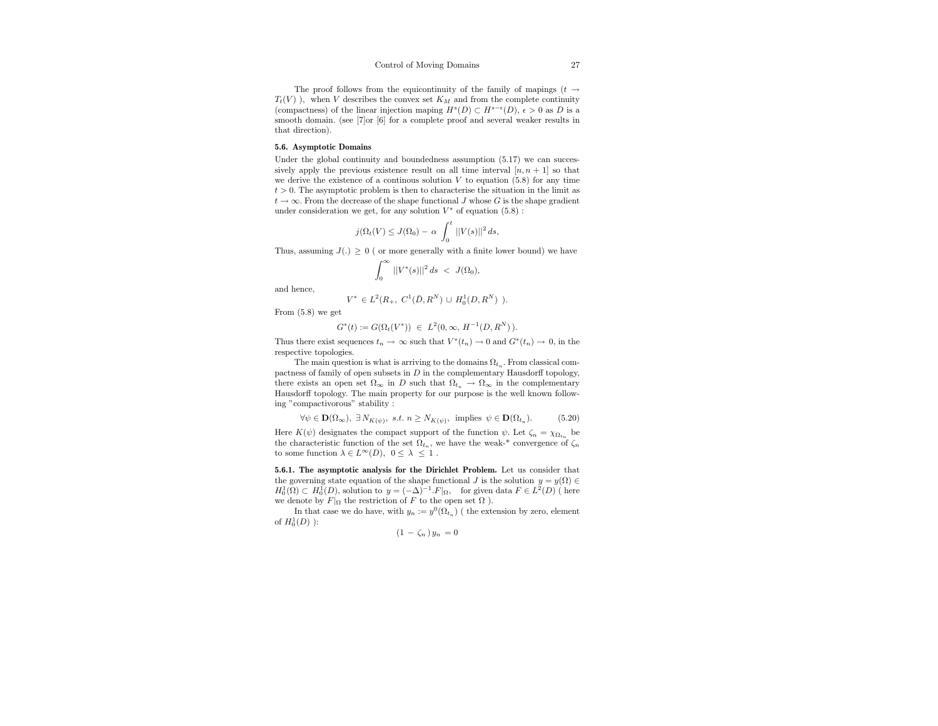The proof follows from the equicontinuity of the family of mapings  $(t \rightarrow$  $T_t(V)$ , when V describes the convex set  $K_M$  and from the complete continuity (compactness) of the linear injection maping  $H^s(D) \subset H^{s-\epsilon}(D)$ ,  $\epsilon > 0$  as D is a smooth domain. (see [7]or [6] for a complete proof and several weaker results in that direction).

#### 5.6. Asymptotic Domains

Under the global continuity and boundedness assumption  $(5.17)$  we can successively apply the previous existence result on all time interval  $[n, n + 1]$  so that we derive the existence of a continous solution  $V$  to equation (5.8) for any time  $t > 0$ . The asymptotic problem is then to characterise the situation in the limit as  $t \to \infty$ . From the decrease of the shape functional J whose G is the shape gradient under consideration we get, for any solution  $V^*$  of equation  $(5.8)$ :

$$
j(\Omega_t(V) \leq J(\Omega_0) - \alpha \int_0^t ||V(s)||^2 ds,
$$

Thus, assuming  $J(.) > 0$  ( or more generally with a finite lower bound) we have

$$
\int_0^\infty \, ||V^*(s)||^2 \, ds \; < \; J(\Omega_0),
$$

and hence,

$$
V^* \in L^2(R_+, C^1(\bar{D}, R^N) \cup H_0^1(D, R^N) ).
$$

From (5.8) we get

$$
G^*(t) := G(\Omega_t(V^*)) \ \in \ L^2(0, \infty, \ H^{-1}(D, R^N)).
$$

Thus there exist sequences  $t_n \to \infty$  such that  $V^*(t_n) \to 0$  and  $G^*(t_n) \to 0$ , in the respective topologies.

The main question is what is arriving to the domains  $\Omega_{t_n}$ . From classical compactness of family of open subsets in  $D$  in the complementary Hausdorff topology, there exists an open set  $\Omega_{\infty}$  in D such that  $\Omega_{t_n} \to \Omega_{\infty}$  in the complementary Hausdorff topology. The main property for our purpose is the well known following "compactivorous" stability :

$$
\forall \psi \in \mathbf{D}(\Omega_{\infty}), \ \exists \, N_{K(\psi)}, \ s.t. \ n \ge N_{K(\psi)}, \ \text{implies} \ \psi \in \mathbf{D}(\Omega_{t_n}). \tag{5.20}
$$

Here  $K(\psi)$  designates the compact support of the function  $\psi$ . Let  $\zeta_n = \chi_{\Omega_{t_n}}$  be the characteristic function of the set  $\Omega_{t_n}$ , we have the weak-\* convergence of  $\zeta_n$ to some function  $\lambda \in L^{\infty}(D)$ ,  $0 \leq \lambda \leq 1$ .

5.6.1. The asymptotic analysis for the Dirichlet Problem. Let us consider that the governing state equation of the shape functional J is the solution  $y = y(\Omega) \in$  $H_0^1(\Omega) \subset H_0^1(D)$ , solution to  $y = (-\Delta)^{-1} F|_{\Omega}$ , for given data  $F \in L^2(D)$  (here we denote by  $F|_{\Omega}$  the restriction of F to the open set  $\Omega$  ).

In that case we do have, with  $y_n := y^0(\Omega_{t_n})$  ( the extension by zero, element of  $H_0^1(D)$  ):

$$
(1 - \zeta_n) y_n = 0
$$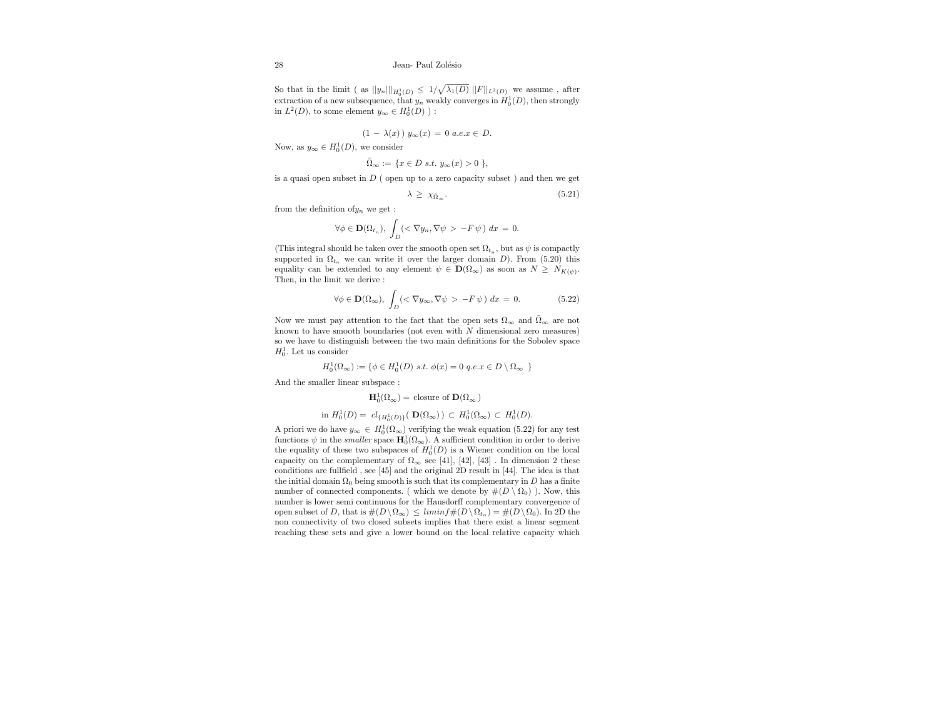So that in the limit ( as  $||y_n||_{H_0^1(D)} \leq 1/\sqrt{\lambda_1(D)} ||F||_{L^2(D)}$  we assume, after extraction of a new subsequence, that  $y_n$  weakly converges in  $H_0^1(D)$ , then strongly in  $L^2(D)$ , to some element  $y_\infty \in H_0^1(D)$  ):

$$
(1 - \lambda(x)) y_{\infty}(x) = 0 \text{ a.e.} x \in D.
$$

Now, as  $y_{\infty} \in H_0^1(D)$ , we consider

$$
\tilde{\Omega}_{\infty} := \{ x \in D \text{ s.t. } y_{\infty}(x) > 0 \},
$$

is a quasi open subset in  $D$  ( open up to a zero capacity subset ) and then we get

$$
\lambda \ge \chi_{\bar{\Omega}_{\infty}}.\tag{5.21}
$$

from the definition of  $y_n$  we get :

$$
\forall \phi \in \mathbf{D}(\Omega_{t_n}),\ \int_D (<\nabla y_n, \nabla \psi > -F\,\psi\,) \ dx \ = \ 0.
$$

(This integral should be taken over the smooth open set  $\Omega_{t_n}$ , but as  $\psi$  is compactly supported in  $\Omega_{t_n}$  we can write it over the larger domain D). From (5.20) this equality can be extended to any element  $\psi \in \mathbf{D}(\Omega_{\infty})$  as soon as  $N \geq N_{K(\psi)}$ . Then, in the limit we derive :

$$
\forall \phi \in \mathbf{D}(\Omega_{\infty}), \int_{D} \left( \langle \nabla y_{\infty}, \nabla \psi \rangle - F \psi \right) dx = 0. \tag{5.22}
$$

Now we must pay attention to the fact that the open sets  $\Omega_{\infty}$  and  $\tilde{\Omega}_{\infty}$  are not known to have smooth boundaries (not even with  $N$  dimensional zero measures) so we have to distinguish between the two main definitions for the Sobolev space  $H_0^1$ . Let us consider

$$
H_0^1(\Omega_\infty) := \{ \phi \in H_0^1(D) \text{ s.t. } \phi(x) = 0 \text{ q.e.} x \in D \setminus \Omega_\infty \}
$$

And the smaller linear subspace :

$$
\mathbf{H}_0^1(\Omega_\infty) = \text{closure of } \mathbf{D}(\Omega_\infty)
$$

$$
\text{ in } H^1_0(D) = \ cl_{\{H^1_0(D)\}} \big( \ \mathbf{D}(\Omega_{\infty}) \ \big) \ \subset \ H^1_0(\Omega_{\infty}) \ \subset \ H^1_0(D).
$$

A priori we do have  $y_{\infty} \in H_0^1(\Omega_{\infty})$  verifying the weak equation (5.22) for any test functions  $\psi$  in the *smaller* space  $\mathbf{H}_0^1(\Omega_\infty)$ . A sufficient condition in order to derive the equality of these two subspaces of  $H_0^1(D)$  is a Wiener condition on the local capacity on the complementary of  $\Omega_{\infty}$  see [41], [42], [43]. In dimension 2 these conditions are fullfield , see [45] and the original 2D result in [44]. The idea is that the initial domain  $\Omega_0$  being smooth is such that its complementary in D has a finite number of connected components. ( which we denote by  $#(D \setminus \Omega_0)$  ). Now, this number is lower semi continuous for the Hausdorff complementary convergence of open subset of D, that is  $\#(D \setminus \Omega_{\infty}) \leq \liminf \#(D \setminus \Omega_{t_n}) = \#(D \setminus \Omega_0)$ . In 2D the non connectivity of two closed subsets implies that there exist a linear segment reaching these sets and give a lower bound on the local relative capacity which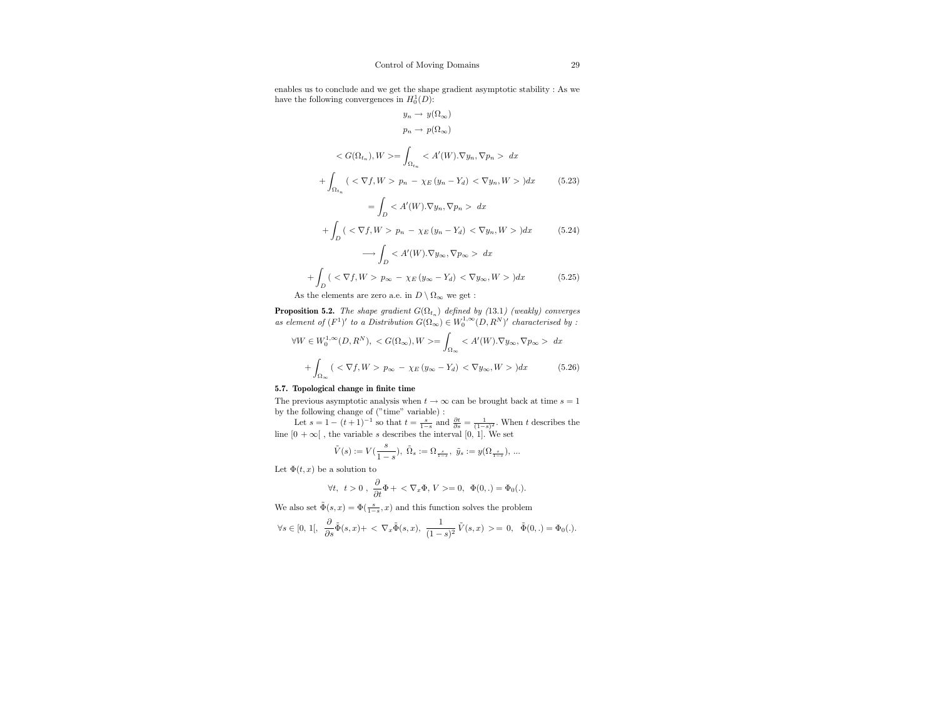enables us to conclude and we get the shape gradient asymptotic stability : As we have the following convergences in  $H_0^1(D)$ :

$$
y_n \to y(\Omega_{\infty})
$$
  
\n
$$
p_n \to p(\Omega_{\infty})
$$
  
\n
$$
\langle G(\Omega_{t_n}), W \rangle = \int_{\Omega_{t_n}} \langle A'(W). \nabla y_n, \nabla p_n \rangle dx
$$
  
\n
$$
+ \int_{\Omega_{t_n}} (\langle \nabla f, W \rangle p_n - \chi_E (y_n - Y_d) \langle \nabla y_n, W \rangle) dx
$$
(5.23)  
\n
$$
= \int_D \langle A'(W). \nabla y_n, \nabla p_n \rangle dx
$$
  
\n
$$
+ \int_D (\langle \nabla f, W \rangle p_n - \chi_E (y_n - Y_d) \langle \nabla y_n, W \rangle) dx
$$
(5.24)  
\n
$$
\longrightarrow \int_D \langle A'(W). \nabla y_\infty, \nabla p_\infty \rangle dx
$$
  
\n
$$
+ \int_D (\langle \nabla f, W \rangle p_\infty - \chi_E (y_\infty - Y_d) \langle \nabla y_\infty, W \rangle) dx
$$
(5.25)

 $\frac{J_D}{J_B}$  As the elements are zero a.e. in  $D \setminus \Omega_{\infty}$  we get :

**Proposition 5.2.** The shape gradient  $G(\Omega_{t_n})$  defined by (13.1) (weakly) converges as element of  $(F^1)'$  to a Distribution  $G(\Omega_\infty) \in W_0^{1,\infty}(D,R^N)'$  characterised by :

$$
\forall W \in W_0^{1,\infty}(D, R^N), \langle G(\Omega_{\infty}), W \rangle = \int_{\Omega_{\infty}} \langle A'(W). \nabla y_{\infty}, \nabla p_{\infty} \rangle dx
$$

$$
+ \int_{\Omega_{\infty}} (\langle \nabla f, W \rangle p_{\infty} - \chi_E (y_{\infty} - Y_d) \langle \nabla y_{\infty}, W \rangle) dx \qquad (5.26)
$$

#### 5.7. Topological change in finite time

The previous asymptotic analysis when  $t \to \infty$  can be brought back at time  $s = 1$ by the following change of ("time" variable) :

Let  $s = 1 - (t+1)^{-1}$  so that  $t = \frac{s}{1-s}$  and  $\frac{\partial t}{\partial s} = \frac{1}{(1-s)^2}$ . When t describes the line  $[0 + \infty]$ , the variable s describes the interval  $[0, 1]$ . We set

$$
\tilde{V}(s) := V(\frac{s}{1-s}), \ \tilde{\Omega}_s := \Omega_{\frac{s}{1-s}}, \ \tilde{y}_s := y(\Omega_{\frac{s}{1-s}}), \dots
$$

Let  $\Phi(t, x)$  be a solution to

$$
\forall t, t > 0 , \frac{\partial}{\partial t} \Phi + \langle \nabla_x \Phi, V \rangle = 0, \Phi(0, .) = \Phi_0(.).
$$

We also set  $\tilde{\Phi}(s,x)=\Phi(\frac{s}{1-s},x)$  and this function solves the problem

$$
\forall s \in [0, 1[, \frac{\partial}{\partial s} \tilde{\Phi}(s, x) + \langle \nabla_x \tilde{\Phi}(s, x), \frac{1}{(1 - s)^2} \tilde{V}(s, x) \rangle = 0, \ \tilde{\Phi}(0, .) = \Phi_0(.).
$$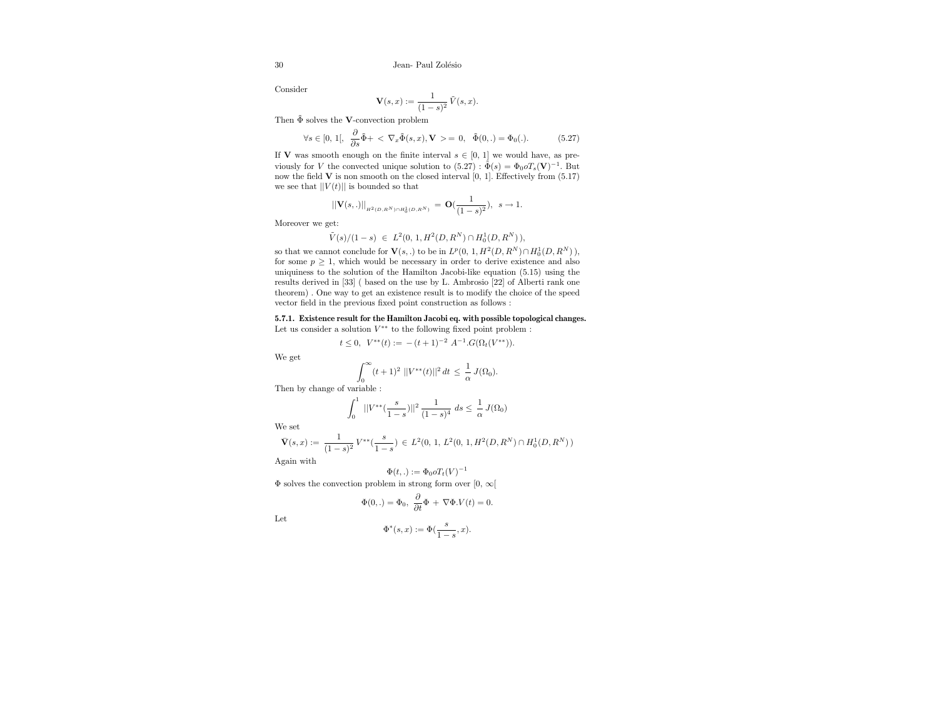Consider

$$
\mathbf{V}(s,x) := \frac{1}{(1-s)^2} \,\tilde{V}(s,x).
$$

Then  $\tilde{\Phi}$  solves the **V**-convection problem

$$
\forall s \in [0, 1[, \frac{\partial}{\partial s} \tilde{\Phi} + \langle \nabla_x \tilde{\Phi}(s, x), \mathbf{V} \rangle = 0, \quad \tilde{\Phi}(0, .) = \Phi_0(.). \tag{5.27}
$$

If **V** was smooth enough on the finite interval  $s \in [0, 1]$  we would have, as previously for V the convected unique solution to  $(5.27)$ :  $\tilde{\Phi}(s) = \Phi_0 \sigma T_s(\mathbf{V})^{-1}$ . But now the field  $V$  is non smooth on the closed interval  $[0, 1]$ . Effectively from  $(5.17)$ we see that  $||V(t)||$  is bounded so that

$$
||\mathbf{V}(s, .)||_{_{H^2(D, R^N)\cap H^1_0(D, R^N)}} = \mathbf{O}(\frac{1}{(1-s)^2}), \ \ s \to 1.
$$

Moreover we get:

$$
\tilde V(s)/(1-s) \ \in \ L^2(0,\, 1, H^2(D,R^N) \cap H^1_0(D,R^N)\,),
$$

so that we cannot conclude for  $\mathbf{V}(s,.)$  to be in  $L^p(0, 1, H^2(D, R^N) \cap H_0^1(D, R^N)),$ for some  $p \geq 1$ , which would be necessary in order to derive existence and also uniquiness to the solution of the Hamilton Jacobi-like equation (5.15) using the results derived in [33] ( based on the use by L. Ambrosio [22] of Alberti rank one theorem) . One way to get an existence result is to modify the choice of the speed vector field in the previous fixed point construction as follows :

5.7.1. Existence result for the Hamilton Jacobi eq. with possible topological changes. Let us consider a solution  $V^{**}$  to the following fixed point problem :

$$
t \leq 0
$$
,  $V^{**}(t) := -(t+1)^{-2} A^{-1} \cdot G(\Omega_t(V^{**}))$ .

We get

$$
\int_0^\infty (t+1)^2 \, ||V^{**}(t)||^2 \, dt \, \leq \, \frac{1}{\alpha} \, J(\Omega_0).
$$

0 Then by change of variable :

$$
\int_0^1 ||V^{**}(\frac{s}{1-s})||^2 \frac{1}{(1-s)^4} ds \le \frac{1}{\alpha} J(\Omega_0)
$$

We set

$$
\bar{\mathbf{V}}(s,x) := \frac{1}{(1-s)^2} \, V^{**}(\frac{s}{1-s}) \, \in \, L^2(0,\,1,\,L^2(0,\,1,H^2(D,R^N)\cap H^1_0(D,R^N)\,)
$$

Again with

$$
\Phi(t,.) := \Phi_0 o T_t(V)^{-1}
$$

 $\Phi$  solves the convection problem in strong form over  $[0, \infty[$ 

$$
\Phi(0,.) = \Phi_0, \ \frac{\partial}{\partial t} \Phi + \nabla \Phi.V(t) = 0.
$$

Let

$$
\Phi^*(s,x):=\Phi(\frac{s}{1-s},x).
$$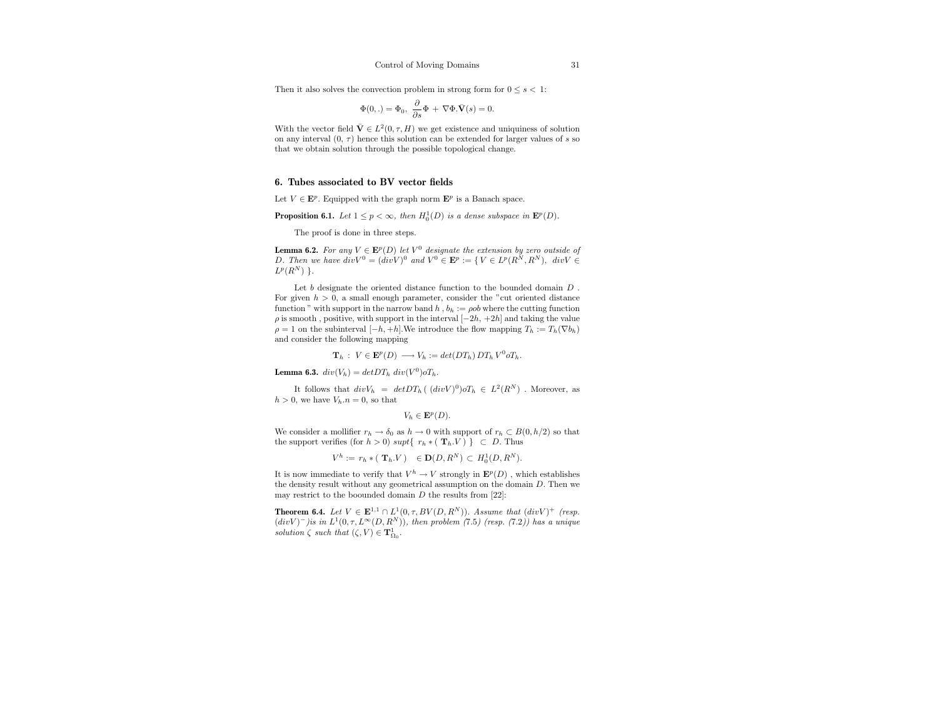Then it also solves the convection problem in strong form for  $0 \leq s < 1$ :

$$
\Phi(0,.) = \Phi_0, \ \frac{\partial}{\partial s} \Phi + \nabla \Phi . \bar{\mathbf{V}}(s) = 0.
$$

With the vector field  $\bar{\mathbf{V}} \in L^2(0, \tau, H)$  we get existence and uniquiness of solution on any interval  $(0, \tau)$  hence this solution can be extended for larger values of s so that we obtain solution through the possible topological change.

#### 6. Tubes associated to BV vector fields

Let  $V \in \mathbf{E}^p$ . Equipped with the graph norm  $\mathbf{E}^p$  is a Banach space.

**Proposition 6.1.** Let  $1 \leq p < \infty$ , then  $H_0^1(D)$  is a dense subspace in  $\mathbf{E}^p(D)$ .

The proof is done in three steps.

**Lemma 6.2.** For any  $V \in \mathbf{E}^p(D)$  let  $V^0$  designate the extension by zero outside of D. Then we have  $div V^0 = (div V)^0$  and  $V^0 \in \mathbf{E}^p := \{ V \in L^p(R^N, R^N), \ div V \in$  $L^p(R^N)$  }.

Let b designate the oriented distance function to the bounded domain  $D$ . For given  $h > 0$ , a small enough parameter, consider the "cut oriented distance function " with support in the narrow band  $h, b_h := \rho ob$  where the cutting function  $\rho$  is smooth, positive, with support in the interval  $[-2h, +2h]$  and taking the value  $\rho = 1$  on the subinterval  $[-h, +h]$ . We introduce the flow mapping  $T_h := T_h(\nabla b_h)$ and consider the following mapping

$$
\mathbf{T}_h: V \in \mathbf{E}^p(D) \longrightarrow V_h := det(DT_h) DT_h V^0 \circ T_h.
$$

**Lemma 6.3.**  $div(V_h) = detDT_h \ div(V^0) \circ T_h$ .

It follows that  $div V_h = detDT_h (div V)^0 \dot{v}$  $T_h \in L^2(R^N)$ . Moreover, as  $h > 0$ , we have  $V_h.n = 0$ , so that

 $V_h \in \mathbf{E}^p(D).$ 

We consider a mollifier  $r_h \to \delta_0$  as  $h \to 0$  with support of  $r_h \subset B(0, h/2)$  so that the support verifies (for  $h > 0$ ) supt $\{r_h * (T_h, V)\}\subset D$ . Thus

$$
V^h := r_h * (\mathbf{T}_h.V) \in \mathbf{D}(D, R^N) \subset H_0^1(D, R^N).
$$

It is now immediate to verify that  $V^h \to V$  strongly in  $\mathbf{E}^p(D)$ , which establishes the density result without any geometrical assumption on the domain D. Then we may restrict to the boounded domain  $D$  the results from [22]:

**Theorem 6.4.** Let  $V \in \mathbf{E}^{1,1} \cap L^1(0,\tau,BV(D,R^N))$ . Assume that  $(\text{div}V)^+$  (resp.  $div V)^-$ )is in  $L^1(0,\tau,L^{\infty}(D,R^N))$ , then problem (7.5) (resp. (7.2)) has a unique solution  $\zeta$  such that  $(\zeta, V) \in {\bf T}_{\Omega_0}^1$ .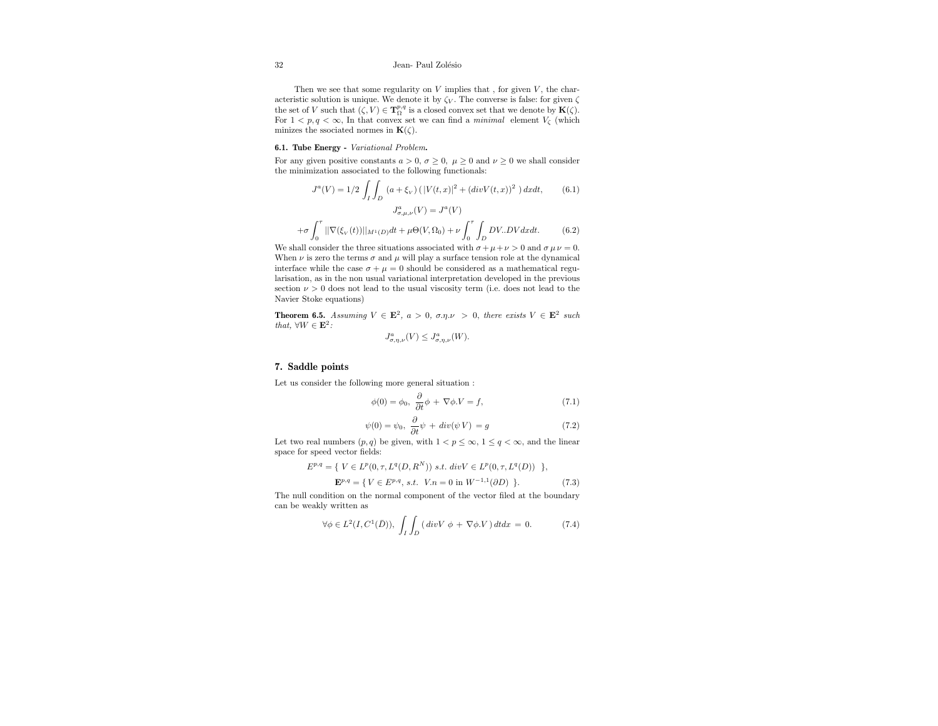#### 32 Jean- Paul Zolésio

Then we see that some regularity on  $V$  implies that, for given  $V$ , the characteristic solution is unique. We denote it by  $\zeta_V.$  The converse is false: for given  $\zeta$ the set of V such that  $(\zeta, V) \in \mathbf{T}_{\Omega}^{p,q}$  is a closed convex set that we denote by  $\mathbf{K}(\zeta)$ . For  $1 < p, q < \infty$ , In that convex set we can find a *minimal* element  $V_{\zeta}$  (which minizes the ssociated normes in  $\mathbf{K}(\zeta)$ .

#### 6.1. Tube Energy - Variational Problem.

For any given positive constants  $a > 0$ ,  $\sigma \ge 0$ ,  $\mu \ge 0$  and  $\nu \ge 0$  we shall consider the minimization associated to the following functionals:

$$
J^{a}(V) = 1/2 \int_{I} \int_{D} (a + \xi_{V}) \left( |V(t, x)|^{2} + (div V(t, x))^{2} \right) dxdt, \qquad (6.1)
$$

$$
J^{a}_{\sigma, \mu, \nu}(V) = J^{a}(V)
$$

$$
+ \sigma \int_{0}^{\tau} ||\nabla(\xi_{V}(t))||_{M^{1}(D)} dt + \mu \Theta(V, \Omega_{0}) + \nu \int_{0}^{\tau} \int_{D} DV. DV dxdt. \qquad (6.2)
$$

We shall consider the three situations associated with  $\sigma + \mu + \nu > 0$  and  $\sigma \mu \nu = 0$ . When  $\nu$  is zero the terms  $\sigma$  and  $\mu$  will play a surface tension role at the dynamical interface while the case  $\sigma + \mu = 0$  should be considered as a mathematical regularisation, as in the non usual variational interpretation developed in the previous section  $\nu > 0$  does not lead to the usual viscosity term (i.e. does not lead to the Navier Stoke equations)

**Theorem 6.5.** Assuming  $V \in \mathbf{E}^2$ ,  $a > 0$ ,  $\sigma \eta \nu > 0$ , there exists  $V \in \mathbf{E}^2$  such that,  $\forall W \in \mathbf{E}^2$ :

$$
J^{a}_{\sigma,\eta,\nu}(V) \leq J^{a}_{\sigma,\eta,\nu}(W).
$$

#### 7. Saddle points

Let us consider the following more general situation :

$$
\phi(0) = \phi_0, \ \frac{\partial}{\partial t}\phi + \nabla\phi.V = f,\tag{7.1}
$$

$$
\psi(0) = \psi_0, \ \frac{\partial}{\partial t}\psi + div(\psi V) = g \tag{7.2}
$$

Let two real numbers  $(p, q)$  be given, with  $1 < p \leq \infty$ ,  $1 \leq q < \infty$ , and the linear space for speed vector fields:

$$
E^{p,q} = \{ V \in L^p(0, \tau, L^q(D, R^N)) \text{ s.t. } div V \in L^p(0, \tau, L^q(D)) \},
$$

$$
\mathbf{E}^{p,q} = \{ V \in E^{p,q}, \, s.t. \, V.n = 0 \text{ in } W^{-1,1}(\partial D) \}.
$$
 (7.3)

The null condition on the normal component of the vector filed at the boundary can be weakly written as

$$
\forall \phi \in L^2(I, C^1(\bar{D})), \int_I \int_D (\operatorname{div} V \, \phi + \nabla \phi. V) \, dtdx = 0. \tag{7.4}
$$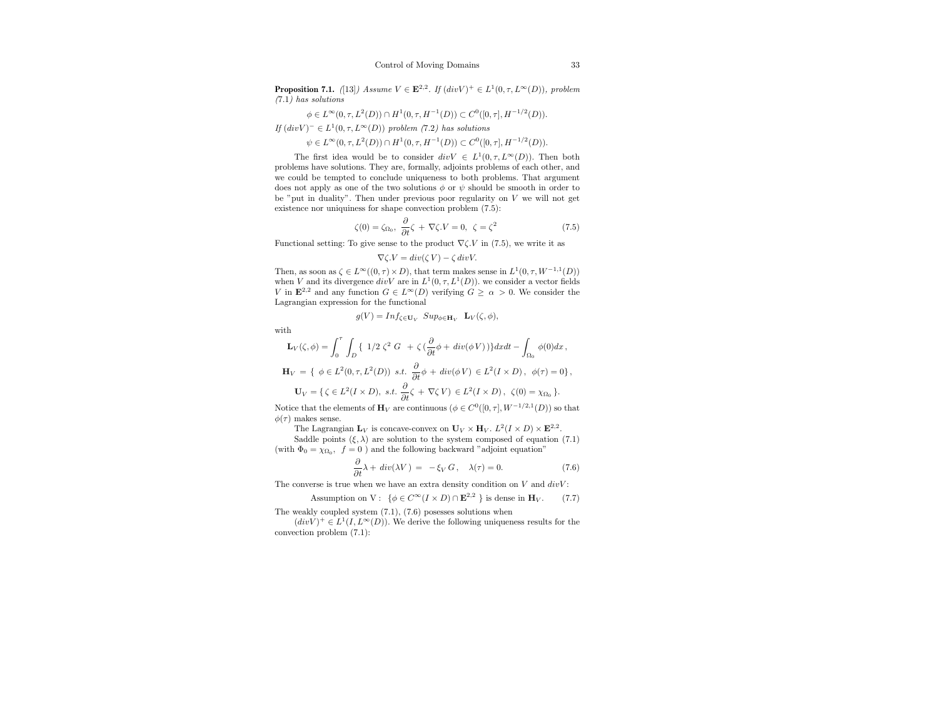**Proposition 7.1.** ([13]) Assume  $V \in \mathbb{E}^{2,2}$ . If  $\left(\text{div}V\right)^{+} \in L^{1}(0,\tau,L^{\infty}(D))$ , problem (7.1) has solutions

$$
\phi \in L^{\infty}(0, \tau, L^2(D)) \cap H^1(0, \tau, H^{-1}(D)) \subset C^0([0, \tau], H^{-1/2}(D)).
$$

If  $div V)^- \in L^1(0, \tau, L^{\infty}(D))$  problem (7.2) has solutions

 $\psi \in L^{\infty}(0, \tau, L^2(D)) \cap H^1(0, \tau, H^{-1}(D)) \subset C^0([0, \tau], H^{-1/2}(D)).$ 

The first idea would be to consider  $divV \in L^1(0, \tau, L^{\infty}(D))$ . Then both problems have solutions. They are, formally, adjoints problems of each other, and we could be tempted to conclude uniqueness to both problems. That argument does not apply as one of the two solutions  $\phi$  or  $\psi$  should be smooth in order to be "put in duality". Then under previous poor regularity on  $V$  we will not get existence nor uniquiness for shape convection problem (7.5):

$$
\zeta(0) = \zeta_{\Omega_0}, \ \frac{\partial}{\partial t}\zeta + \nabla \zeta.V = 0, \ \zeta = \zeta^2 \tag{7.5}
$$

Functional setting: To give sense to the product  $\nabla \zeta$ . *V* in (7.5), we write it as

$$
\nabla \zeta.V = div(\zeta V) - \zeta div V.
$$

Then, as soon as  $\zeta \in L^{\infty}((0, \tau) \times D)$ , that term makes sense in  $L^1(0, \tau, W^{-1,1}(D))$ when V and its divergence  $div V$  are in  $L^1(0, \tau, L^1(D))$ , we consider a vector fields V in  $\mathbf{E}^{2,2}$  and any function  $G \in L^{\infty}(D)$  verifying  $G \geq \alpha > 0$ . We consider the Lagrangian expression for the functional

$$
g(V) = Inf_{\zeta \in \mathbf{U}_V} \, Sup_{\phi \in \mathbf{H}_V} \, \mathbf{L}_V(\zeta, \phi),
$$

with

$$
\mathbf{L}_V(\zeta,\phi)=\int_0^\tau\,\int_D\left\{\ 1/2\ \zeta^2\ G\ +\ \zeta\,(\frac{\partial}{\partial t}\phi+\,div(\phi\,V)\,)\right\}dxdt-\int_{\Omega_0}\,\phi(0)dx\,,
$$

$$
\mathbf{H}_V = \{ \phi \in L^2(0, \tau, L^2(D)) \text{ s.t. } \frac{\partial}{\partial t} \phi + div(\phi V) \in L^2(I \times D), \phi(\tau) = 0 \},
$$

$$
\mathbf{U}_V = \{ \zeta \in L^2(I \times D), \text{ s.t. } \frac{\partial}{\partial t} \zeta + \nabla \zeta V \} \in L^2(I \times D), \ \zeta(0) = \chi_{\Omega_0} \}.
$$

Notice that the elements of  $\mathbf{H}_V$  are continuous  $(\phi \in C^0([0, \tau], W^{-1/2,1}(D))$  so that  $\phi(\tau)$  makes sense.

The Lagrangian  $\mathbf{L}_V$  is concave-convex on  $\mathbf{U}_V \times \mathbf{H}_V$ .  $L^2(I \times D) \times \mathbf{E}^{2,2}$ .

Saddle points  $(\xi, \lambda)$  are solution to the system composed of equation (7.1) (with  $\Phi_0 = \chi_{\Omega_0}$ ,  $f = 0$ ) and the following backward "adjoint equation"

$$
\frac{\partial}{\partial t}\lambda + \operatorname{div}(\lambda V) = -\xi_V G, \quad \lambda(\tau) = 0. \tag{7.6}
$$

The converse is true when we have an extra density condition on  $V$  and  $divV$ :

Assumption on V:  $\{\phi \in C^{\infty}(I \times D) \cap \mathbf{E}^{2,2} \}$  is dense in  $\mathbf{H}_V$ . (7.7)

The weakly coupled system (7.1), (7.6) posesses solutions when

 $(divV)^+ \in L^1(I, L^{\infty}(D))$ . We derive the following uniqueness results for the convection problem (7.1):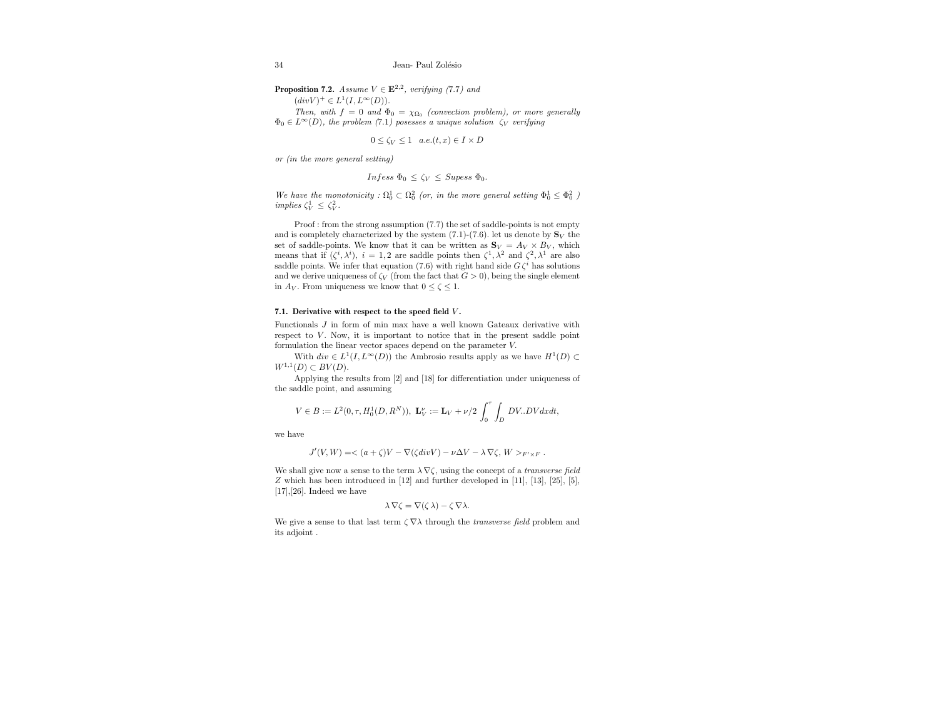**Proposition 7.2.** Assume  $V \in \mathbf{E}^{2,2}$ , verifying (7.7) and

 $(divV)^+ \in L^1(I, L^{\infty}(D)).$ 

Then, with  $f = 0$  and  $\Phi_0 = \chi_{\Omega_0}$  (convection problem), or more generally  $\Phi_0 \in L^{\infty}(D)$ , the problem (7.1) posesses a unique solution  $\zeta_V$  verifying

 $0 \le \zeta_V \le 1$  a.e. $(t, x) \in I \times D$ 

or (in the more general setting)

$$
Infess \ \Phi_0 \leq \zeta_V \leq \textit{Supess} \ \Phi_0.
$$

We have the monotonicity :  $\Omega_0^1 \subset \Omega_0^2$  (or, in the more general setting  $\Phi_0^1 \leq \Phi_0^2$ ) implies  $\zeta_V^1 \leq \zeta_V^2$ .

Proof : from the strong assumption  $(7.7)$  the set of saddle-points is not empty and is completely characterized by the system (7.1)-(7.6). let us denote by  $\mathbf{S}_V$  the set of saddle-points. We know that it can be written as  $S_V = A_V \times B_V$ , which means that if  $(\zeta^i, \lambda^i)$ ,  $i = 1, 2$  are saddle points then  $\zeta^1, \lambda^2$  and  $\zeta^2, \lambda^1$  are also saddle points. We infer that equation (7.6) with right hand side  $G\zeta^i$  has solutions and we derive uniqueness of  $\zeta_V$  (from the fact that  $G > 0$ ), being the single element in  $A_V$ . From uniqueness we know that  $0 \le \zeta \le 1$ .

#### 7.1. Derivative with respect to the speed field V.

Functionals J in form of min max have a well known Gateaux derivative with respect to  $V$ . Now, it is important to notice that in the present saddle point formulation the linear vector spaces depend on the parameter V.

With  $div \in L^1(I, L^{\infty}(D))$  the Ambrosio results apply as we have  $H^1(D) \subset$  $W^{1,1}(D) \subset BV(D).$ 

Applying the results from [2] and [18] for differentiation under uniqueness of the saddle point, and assuming

$$
V\in{\cal B}:={\cal L}^2(0,\tau,H^1_0(D,R^N)),\ \ {\bf L}_V^\nu:={\bf L}_V+\nu/2\,\int_0^\tau\int_D\,DV..DVdxdt,
$$

we have

$$
J'(V,W) = \langle (a+\zeta)V - \nabla(\zeta div V) - \nu \Delta V - \lambda \nabla \zeta, W \rangle_{F' \times F}.
$$

We shall give now a sense to the term  $\lambda \nabla \zeta$ , using the concept of a *transverse field* Z which has been introduced in [12] and further developed in [11], [13], [25], [5],  $[17], [26]$ . Indeed we have

$$
\lambda \nabla \zeta = \nabla(\zeta \lambda) - \zeta \nabla \lambda.
$$

We give a sense to that last term  $\zeta \nabla \lambda$  through the *transverse field* problem and its adjoint .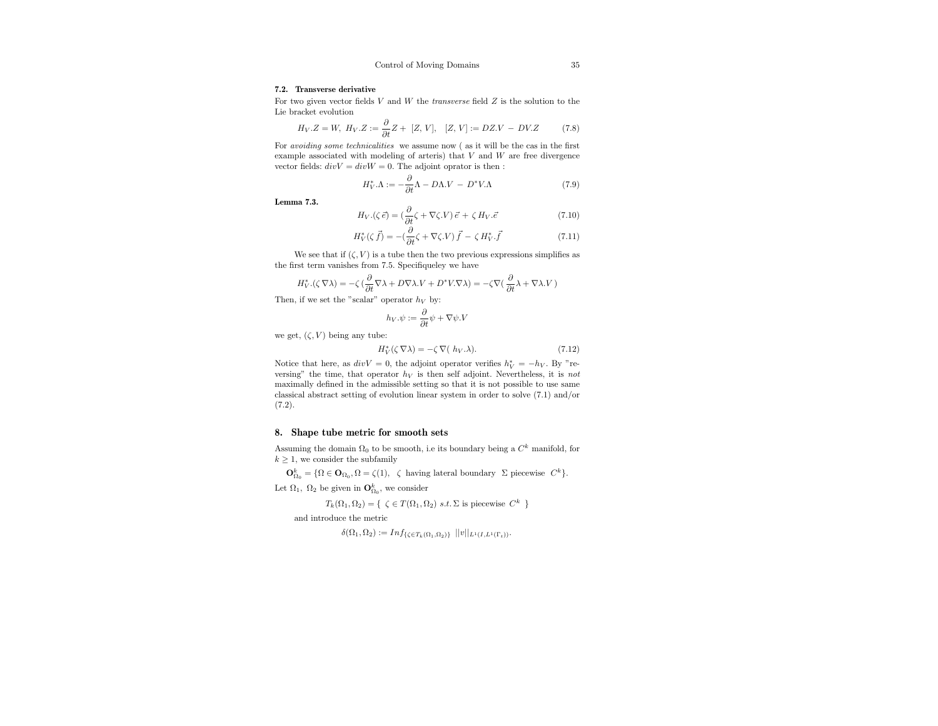#### 7.2. Transverse derivative

For two given vector fields  $V$  and  $W$  the *transverse* field  $Z$  is the solution to the Lie bracket evolution

$$
H_V.Z = W, H_V.Z := \frac{\partial}{\partial t} Z + [Z, V], [Z, V] := DZ.V - DV.Z \tag{7.8}
$$

For avoiding some technicalities we assume now ( as it will be the cas in the first example associated with modeling of arteris) that  $V$  and  $W$  are free divergence vector fields:  $divV = divW = 0$ . The adjoint oprator is then :

$$
H_V^* \Lambda := -\frac{\partial}{\partial t} \Lambda - D\Lambda V - D^* V \Lambda \tag{7.9}
$$

Lemma 7.3.

$$
H_V.(\zeta \, \vec{e}) = \left(\frac{\partial}{\partial t} \zeta + \nabla \zeta. V\right) \vec{e} + \zeta \, H_V. \vec{e} \tag{7.10}
$$

$$
H_V^*(\zeta \vec{f}) = -(\frac{\partial}{\partial t}\zeta + \nabla \zeta.V)\vec{f} - \zeta H_V^*, \vec{f}
$$
\n(7.11)

We see that if  $(\zeta, V)$  is a tube then the two previous expressions simplifies as the first term vanishes from 7.5. Specifiqueley we have

$$
H_V^*\left(\zeta\,\nabla\lambda\right)=-\zeta\left(\frac{\partial}{\partial t}\nabla\lambda+D\nabla\lambda.V+D^*V\cdot\nabla\lambda\right)=-\zeta\nabla\big(\,\frac{\partial}{\partial t}\lambda+\nabla\lambda.V\,\big)
$$

Then, if we set the "scalar" operator  $h_V$  by:

$$
h_V.\psi := \frac{\partial}{\partial t}\psi + \nabla\psi.V
$$

we get,  $(\zeta, V)$  being any tube:

$$
H_V^*(\zeta \nabla \lambda) = -\zeta \nabla (h_V \lambda). \tag{7.12}
$$

Notice that here, as  $div V = 0$ , the adjoint operator verifies  $h_V^* = -h_V$ . By "reversing" the time, that operator  $h_V$  is then self adjoint. Nevertheless, it is not maximally defined in the admissible setting so that it is not possible to use same classical abstract setting of evolution linear system in order to solve (7.1) and/or (7.2).

## 8. Shape tube metric for smooth sets

Assuming the domain  $\Omega_0$  to be smooth, i.e its boundary being a  $C^k$  manifold, for  $k \geq 1$ , we consider the subfamily

 $\mathbf{O}_{\Omega_0}^k = \{ \Omega \in \mathbf{O}_{\Omega_0}, \Omega = \zeta(1), \; \; \zeta \; \text{ having lateral boundary } \; \Sigma \; \text{piecewise } \; C^k \}.$ 

Let  $\Omega_1$ ,  $\Omega_2$  be given in  $\mathbf{O}_{\Omega_0}^k$ , we consider

 $T_k(\Omega_1, \Omega_2) = \{ \zeta \in T(\Omega_1, \Omega_2) \text{ s.t. } \Sigma \text{ is piecewise } C^k \}$ 

and introduce the metric

 $\delta(\Omega_1,\Omega_2):=Inf_{\{\zeta\in T_k(\Omega_1,\Omega_2)\}}\ ||v||_{L^1(I,L^1(\Gamma_t))}.$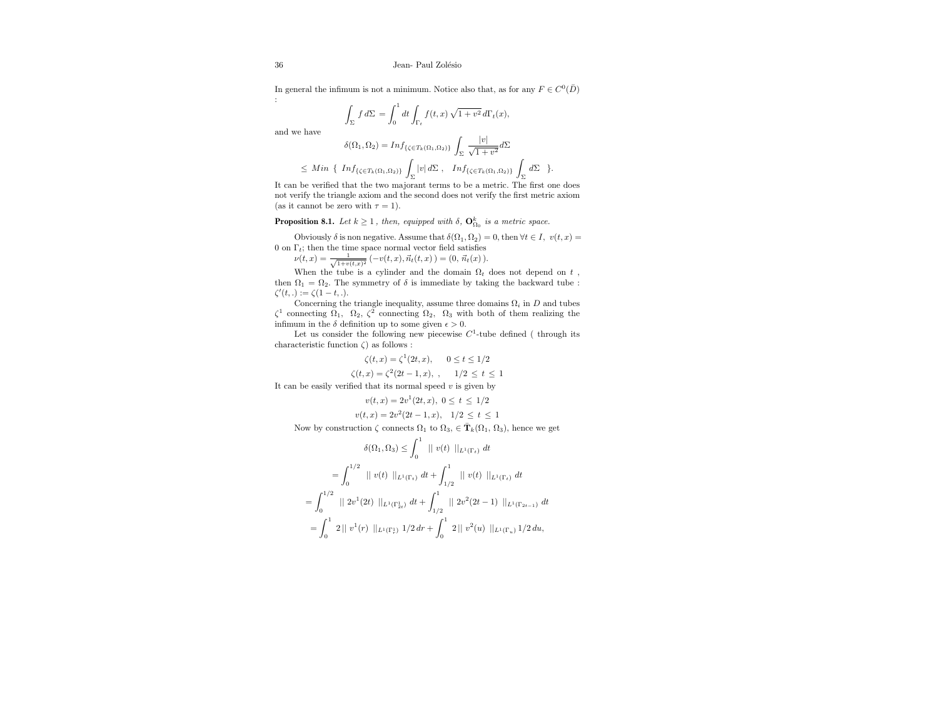In general the infimum is not a minimum. Notice also that, as for any  $F \in C^0(\overline{D})$ :

$$
\int_{\Sigma} f d\Sigma = \int_0^1 dt \int_{\Gamma_t} f(t, x) \sqrt{1 + v^2} d\Gamma_t(x),
$$

and we have

$$
\delta(\Omega_1, \Omega_2) = Inf_{\{\zeta \in T_k(\Omega_1, \Omega_2)\}} \int_{\Sigma} \frac{|v|}{\sqrt{1 + v^2}} d\Sigma
$$
  

$$
\leq Min \{ Inf_{\{\zeta \in T_k(\Omega_1, \Omega_2)\}} \int_{\Sigma} |v| d\Sigma, Inf_{\{\zeta \in T_k(\Omega_1, \Omega_2)\}} \int_{\Sigma} d\Sigma \}.
$$

It can be verified that the two majorant terms to be a metric. The first one does not verify the triangle axiom and the second does not verify the first metric axiom (as it cannot be zero with  $\tau = 1$ ).

**Proposition 8.1.** Let  $k \geq 1$ , then, equipped with  $\delta$ ,  $\mathbf{O}_{\Omega_0}^k$  is a metric space.

Obviously  $\delta$  is non negative. Assume that  $\delta(\Omega_1, \Omega_2) = 0$ , then  $\forall t \in I$ ,  $v(t, x) =$ 0 on  $\Gamma_t$ ; then the time space normal vector field satisfies

 $\nu(t,x) = \frac{1}{\sqrt{1+v(t,x)^2}}\left(-v(t,x), \vec{n_t}(t,x)\right) = (0, \vec{n_t}(x)).$ 

When the tube is a cylinder and the domain  $\Omega_t$  does not depend on t, then  $\Omega_1 = \Omega_2$ . The symmetry of  $\delta$  is immediate by taking the backward tube :  $\zeta'(t,.) := \zeta(1-t,.)$ .

Concerning the triangle inequality, assume three domains  $\Omega_i$  in D and tubes  $\zeta^1$  connecting  $\Omega_1$ ,  $\Omega_2$ ,  $\zeta^2$  connecting  $\Omega_2$ ,  $\Omega_3$  with both of them realizing the infimum in the  $\delta$  definition up to some given  $\epsilon > 0$ .

Let us consider the following new piecewise  $C^1$ -tube defined (through its characteristic function  $\zeta$ ) as follows :

$$
\zeta(t, x) = \zeta^1(2t, x), \quad 0 \le t \le 1/2
$$
  

$$
\zeta(t, x) = \zeta^2(2t - 1, x), \quad 1/2 \le t \le 1
$$

It can be easily verified that its normal speed  $v$  is given by

$$
v(t,x) = 2v^{1}(2t,x), \ 0 \leq t \leq 1/2
$$

$$
v(t, x) = 2v^2(2t - 1, x), \quad 1/2 \le t \le 1
$$

Now by construction  $\zeta$  connects  $\Omega_1$  to  $\Omega_3$ ,  $\in \mathbf{\bar{T}}_k(\Omega_1, \Omega_3)$ , hence we get

$$
\delta(\Omega_1, \Omega_3) \le \int_0^1 ||v(t)||_{L^1(\Gamma_t)} dt
$$
  
= 
$$
\int_0^{1/2} ||v(t)||_{L^1(\Gamma_t)} dt + \int_{1/2}^1 ||v(t)||_{L^1(\Gamma_t)} dt
$$
  
= 
$$
\int_0^{1/2} ||2v^1(2t)||_{L^1(\Gamma_{2t}^1)} dt + \int_{1/2}^1 ||2v^2(2t-1)||_{L^1(\Gamma_{2t-1})} dt
$$
  
= 
$$
\int_0^1 2||v^1(r)||_{L^1(\Gamma_t^1)} 1/2 dr + \int_0^1 2||v^2(u)||_{L^1(\Gamma_u)} 1/2 du,
$$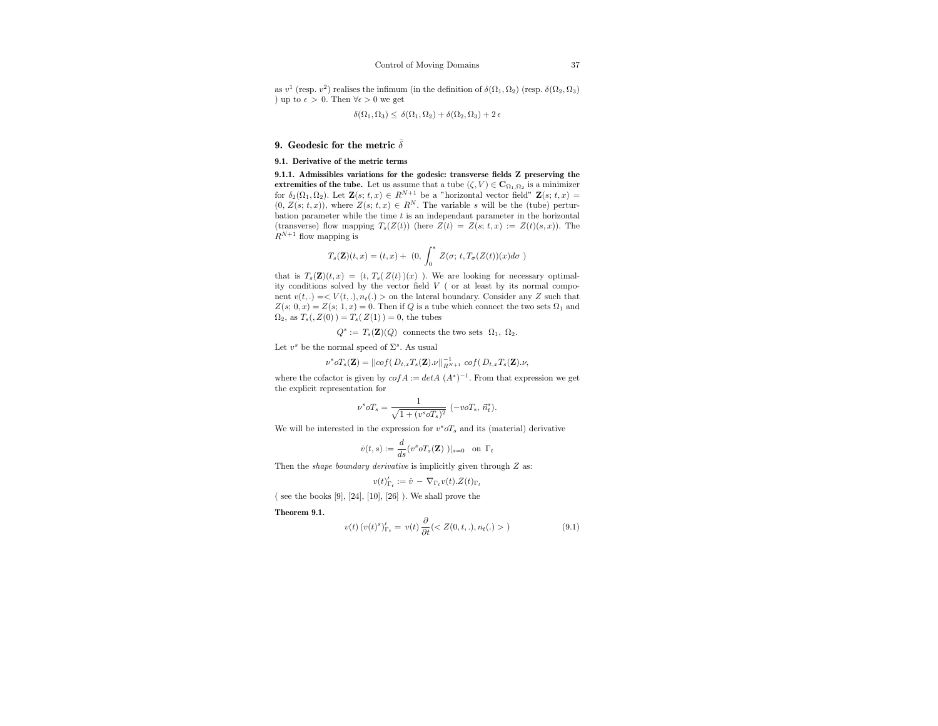as  $v^1$  (resp.  $v^2$ ) realises the infimum (in the definition of  $\delta(\Omega_1, \Omega_2)$  (resp.  $\delta(\Omega_2, \Omega_3)$ ) ) up to  $\epsilon > 0$ . Then  $\forall \epsilon > 0$  we get

$$
\delta(\Omega_1,\Omega_3)\leq\,\delta(\Omega_1,\Omega_2)+\delta(\Omega_2,\Omega_3)+2\,\epsilon
$$

#### 9. Geodesic for the metric  $\bar{\delta}$

#### 9.1. Derivative of the metric terms

9.1.1. Admissibles variations for the godesic: transverse fields Z preserving the extremities of the tube. Let us assume that a tube  $(\zeta, V) \in \mathbb{C}_{\Omega_1, \Omega_2}$  is a minimizer for  $\delta_2(\Omega_1, \Omega_2)$ . Let  $\mathbf{Z}(s; t, x) \in R^{N+1}$  be a "horizontal vector field"  $\mathbf{Z}(s; t, x) =$  $(0, Z(s; t, x))$ , where  $Z(s; t, x) \in R^N$ . The variable s will be the (tube) perturbation parameter while the time  $t$  is an independant parameter in the horizontal (transverse) flow mapping  $T_s(Z(t))$  (here  $Z(t) = Z(s; t, x) := Z(t)(s, x)$ ). The  $R^{N+1}$  flow mapping is

$$
T_s(\mathbf{Z})(t,x)=(t,x)+~(0,\,\int_0^s\,Z(\sigma;\,t,T_\sigma(Z(t))(x)d\sigma~)
$$

that is  $T_s(\mathbf{Z})(t, x) = (t, T_s(Z(t))(x))$ . We are looking for necessary optimality conditions solved by the vector field V ( or at least by its normal component  $v(t,.) = \langle V(t,.) , n_t(.) \rangle$  on the lateral boundary. Consider any Z such that  $Z(s; 0, x) = Z(s; 1, x) = 0$ . Then if Q is a tube which connect the two sets  $\Omega_1$  and  $\Omega_2$ , as  $T_s($ ,  $Z(0)$   $) = T_s(Z(1)) = 0$ , the tubes

$$
Q^s := T_s(\mathbf{Z})(Q) \text{ connects the two sets } \Omega_1, \Omega_2.
$$

Let  $v^s$  be the normal speed of  $\Sigma^s$ . As usual

$$
\nu^s o T_s(\mathbf{Z}) = ||cof(\left.D_{t,x} T_s(\mathbf{Z}).\nu||_{R^{N+1}}^{-1} \;cof(\left.D_{t,x} T_s(\mathbf{Z}).\nu, \right.\right.
$$

where the cofactor is given by  $\omega f A := \det A (A^*)^{-1}$ . From that expression we get the explicit representation for

$$
\nu^s o T_s = \frac{1}{\sqrt{1+(v^soT_s)^2}} \ (-voT_s, \, \vec{n}^s_t).
$$

We will be interested in the expression for  $v^s o T_s$  and its (material) derivative

$$
\dot{v}(t,s) := \frac{d}{ds}(v^s \circ T_s(\mathbf{Z}))|_{s=0} \text{ on } \Gamma_t
$$

Then the *shape boundary derivative* is implicitly given through  $Z$  as:

$$
v(t)_{\Gamma_t}' := \dot{v} - \nabla_{\Gamma_t} v(t).Z(t)_{\Gamma_t}
$$

 $($  see the books  $[9]$ ,  $[24]$ ,  $[10]$ ,  $[26]$  ). We shall prove the

Theorem 9.1.

$$
v(t) (v(t)^s)_{\Gamma_t}^{\prime} = v(t) \frac{\partial}{\partial t} ()
$$
\n(9.1)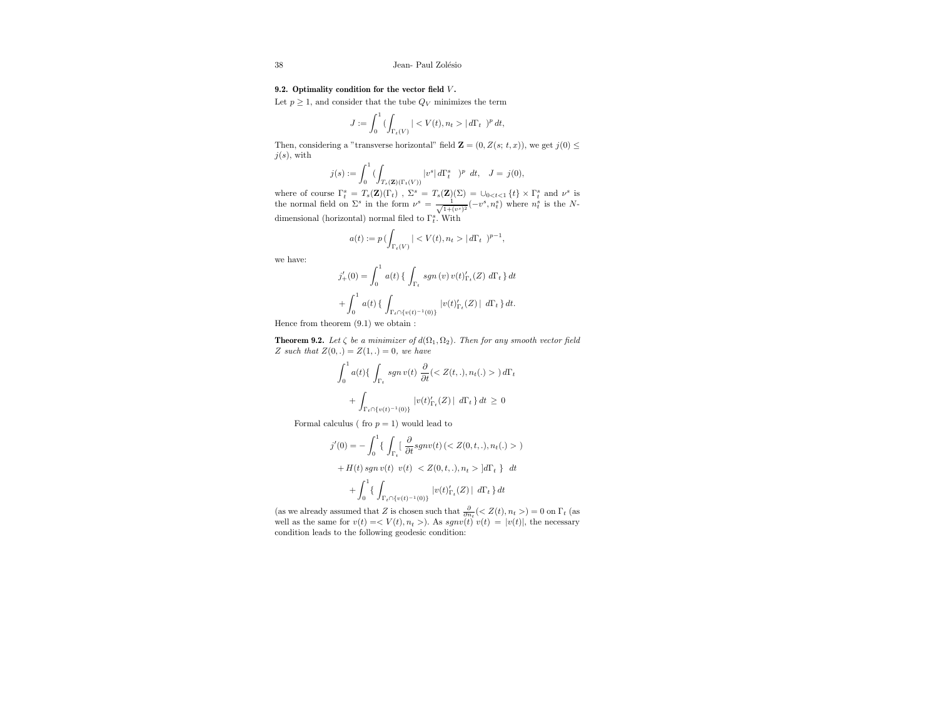## 9.2. Optimality condition for the vector field  $V$ .

Let  $p \geq 1$ , and consider that the tube  $Q_V$  minimizes the term

$$
J:=\int_0^1 (\int_{\Gamma_t(V)} ||d\Gamma_t|)^p\,dt,
$$

Then, considering a "transverse horizontal" field  $\mathbf{Z} = (0, Z(s; t, x))$ , we get  $j(0) \leq$  $j(s)$ , with

$$
j(s):=\int_0^1 (\int_{T_s({\bf Z})(\Gamma_t(V))} |v^s|\, d\Gamma_t^s\ \ )^p\ \, dt,\ \ J=j(0),
$$

where of course  $\Gamma_t^s = T_s(\mathbf{Z})(\Gamma_t)$ ,  $\Sigma^s = T_s(\mathbf{Z})(\Sigma) = \bigcup_{0 \le t \le 1} \{t\} \times \Gamma_t^s$  and  $\nu^s$  is the normal field on  $\Sigma^s$  in the form  $\nu^s = \frac{1}{\sqrt{1 + (v^s)^2}}(-v^s, n_t^s)$  where  $n_t^s$  is the Ndimensional (horizontal) normal filed to  $\Gamma_t^s$ . With

$$
a(t):=p\,(\int_{\Gamma_t(V)}||d\Gamma_t|)^{p-1},
$$

we have:

$$
j'_{+}(0) = \int_{0}^{1} a(t) \{ \int_{\Gamma_{t}} sgn(v) v(t)'_{\Gamma_{t}}(Z) d\Gamma_{t} \} dt + \int_{0}^{1} a(t) \{ \int_{\Gamma_{t} \cap \{v(t)^{-1}(0)\}} |v(t)'_{\Gamma_{t}}(Z)| d\Gamma_{t} \} dt.
$$

Hence from theorem (9.1) we obtain :

**Theorem 9.2.** Let  $\zeta$  be a minimizer of  $d(\Omega_1, \Omega_2)$ . Then for any smooth vector field Z such that  $Z(0,.) = Z(1,.) = 0$ , we have

$$
\int_0^1 a(t) \{ \int_{\Gamma_t} sgn \, v(t) \, \frac{\partial}{\partial t} \left( \langle Z(t,.) , n_t(.) \rangle \right) d\Gamma_t
$$

$$
+ \int_{\Gamma_t \cap \{v(t)^{-1}(0)\}} |v(t)'_{\Gamma_t}(Z)| d\Gamma_t \, dt \ge 0
$$

Formal calculus ( fro  $p = 1$ ) would lead to

$$
j'(0) = -\int_0^1 \{ \int_{\Gamma_t} \left[ \frac{\partial}{\partial t} sgnv(t) \left( \langle Z(0, t, .), n_t(.) \rangle \right) \right. \\ \left. + H(t) \, sgn \, v(t) \, v(t) \, \langle Z(0, t, .), n_t \rangle \right] d\Gamma_t \} \, dt \\ + \int_0^1 \{ \int_{\Gamma_t \cap \{v(t)^{-1}(0)\}} |v(t)'_{\Gamma_t}(Z)| \, d\Gamma_t \} dt
$$

(as we already assumed that  $Z$  is chosen such that  $\frac{\partial}{\partial n_t}()=0$  on  $\Gamma_t$  (as well as the same for  $v(t) = \langle V(t), n_t \rangle$ . As  $sgnv(t) v(t) = |v(t)|$ , the necessary condition leads to the following geodesic condition: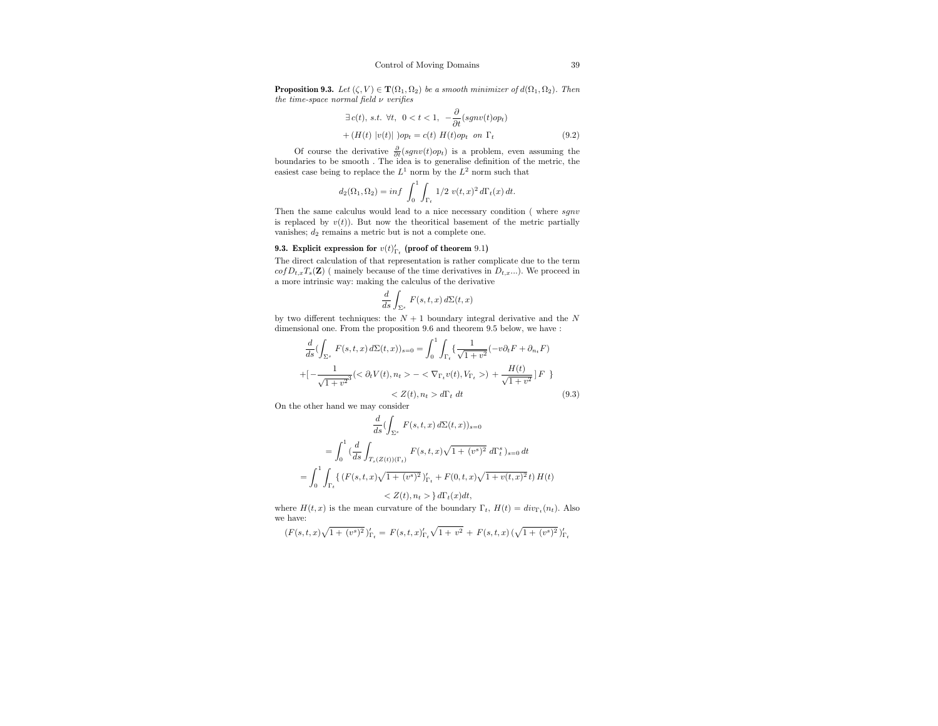**Proposition 9.3.** Let  $(\zeta, V) \in \mathbf{T}(\Omega_1, \Omega_2)$  be a smooth minimizer of  $d(\Omega_1, \Omega_2)$ . Then the time-space normal field  $\nu$  verifies

$$
\exists c(t), s.t. \forall t, \ 0 < t < 1, \ -\frac{\partial}{\partial t}(sgnv(t)op_t)
$$

$$
+ (H(t) |v(t)|)op_t = c(t) H(t)op_t on \Gamma_t
$$
(9.2)

Of course the derivative  $\frac{\partial}{\partial t}(sgn v(t)op_t)$  is a problem, even assuming the boundaries to be smooth . The idea is to generalise definition of the metric, the easiest case being to replace the  $L^1$  norm by the  $L^2$  norm such that

$$
d_2(\Omega_1, \Omega_2) = \inf \, \int_0^1 \int_{\Gamma_t} \, 1/2 \, v(t, x)^2 \, d\Gamma_t(x) \, dt.
$$

Then the same calculus would lead to a nice necessary condition (where  $sgnv$ is replaced by  $v(t)$ ). But now the theoritical basement of the metric partially vanishes;  $d_2$  remains a metric but is not a complete one.

## **9.3.** Explicit expression for  $v(t)_{\Gamma_t}$  (proof of theorem 9.1)

The direct calculation of that representation is rather complicate due to the term  $cofD_{t,x}T_s(\mathbf{Z})$  (mainely because of the time derivatives in  $D_{t,x}$ ...). We proceed in a more intrinsic way: making the calculus of the derivative

$$
\frac{d}{ds} \int_{\Sigma^s} F(s, t, x) d\Sigma(t, x)
$$

by two different techniques: the  $N + 1$  boundary integral derivative and the  $N$ dimensional one. From the proposition 9.6 and theorem 9.5 below, we have :

$$
\frac{d}{ds}(\int_{\Sigma^s} F(s, t, x) d\Sigma(t, x))_{s=0} = \int_0^1 \int_{\Gamma_t} {\{\frac{1}{\sqrt{1 + v^2}}(-v\partial_t F + \partial_{n_t} F) + \left[ -\frac{1}{\sqrt{1 + v^2}}( \langle \partial_t V(t), n_t \rangle - \langle \nabla_{\Gamma_t} v(t), V_{\Gamma_t} \rangle) + \frac{H(t)}{\sqrt{1 + v^2}} \right] F} + \frac{H(t)}{\sqrt{1 + v^2}} \Big| F \Big|
$$
\n
$$
< Z(t), n_t > d\Gamma_t dt \qquad (9.3)
$$

On the other hand we may consider

$$
\frac{d}{ds}(\int_{\Sigma^s} F(s,t,x) d\Sigma(t,x))_{s=0}
$$
\n
$$
= \int_0^1 (\frac{d}{ds} \int_{T_s(Z(t))(\Gamma_t)} F(s,t,x) \sqrt{1 + (v^s)^2} d\Gamma_t^s)_{s=0} dt
$$
\n
$$
= \int_0^1 \int_{\Gamma_t} \{ (F(s,t,x) \sqrt{1 + (v^s)^2})'_{\Gamma_t} + F(0,t,x) \sqrt{1 + v(t,x)^2} t \} H(t)
$$
\n
$$
< Z(t), n_t > \} d\Gamma_t(x) dt,
$$

where  $H(t, x)$  is the mean curvature of the boundary  $\Gamma_t$ ,  $H(t) = div_{\Gamma_t}(n_t)$ . Also we have:

$$
(F(s,t,x)\sqrt{1+(v^{s})^2})'_{\Gamma_t} = F(s,t,x)_{\Gamma_t}'\sqrt{1+v^2} + F(s,t,x)\left(\sqrt{1+(v^{s})^2}\right)'_{\Gamma_t}
$$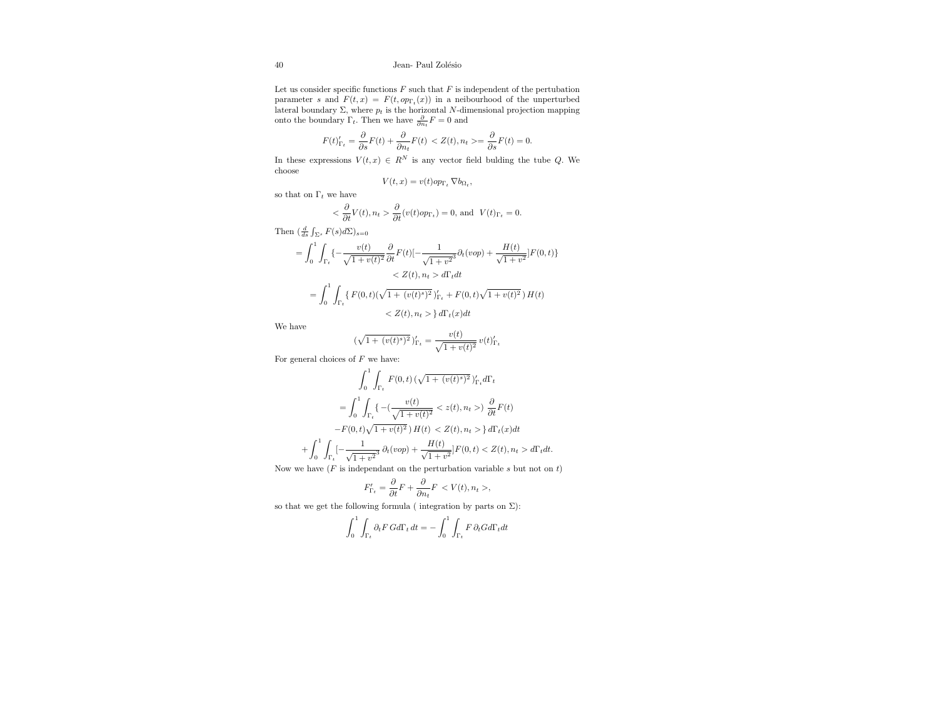Let us consider specific functions  ${\cal F}$  such that  ${\cal F}$  is independent of the pertubation parameter s and  $F(t, x) = F(t, op_{\Gamma_t}(x))$  in a neibourhood of the unperturbed lateral boundary Σ, where  $p_t$  is the horizontal N-dimensional projection mapping onto the boundary Γ<sub>t</sub>. Then we have  $\frac{\partial}{\partial n_t} F = 0$  and

$$
F(t)_{\Gamma_t}' = \frac{\partial}{\partial s} F(t) + \frac{\partial}{\partial n_t} F(t) \, < Z(t), n_t > = \frac{\partial}{\partial s} F(t) = 0.
$$

In these expressions  $V(t, x) \in R^N$  is any vector field bulding the tube Q. We choose

$$
V(t,x) = v(t)op_{\Gamma_t} \nabla b_{\Omega_t},
$$

so that on  $\Gamma_t$  we have

$$
<\frac{\partial}{\partial t}V(t),n_t>\frac{\partial}{\partial t}(v(t)op_{\Gamma_t})=0,\,\text{and}\ \ V(t)_{\Gamma_t}=0.
$$

Then  $\left(\frac{d}{ds}\int_{\Sigma^s} F(s)d\Sigma\right)_{s=0}$ 

$$
= \int_0^1 \int_{\Gamma_t} \left\{ -\frac{v(t)}{\sqrt{1+v(t)^2}} \frac{\partial}{\partial t} F(t) \right\} - \frac{1}{\sqrt{1+v^2^3}} \partial_t (v \circ p) + \frac{H(t)}{\sqrt{1+v^2}} F(0, t) \right\}
$$
  

$$
< Z(t), n_t > d\Gamma_t dt
$$
  

$$
= \int_0^1 \int_{\Gamma_t} \left\{ F(0, t) (\sqrt{1+(v(t)^2)})'_{\Gamma_t} + F(0, t) \sqrt{1+v(t)^2} \right\} H(t)
$$
  

$$
< Z(t), n_t > \frac{1}{2} d\Gamma_t(x) dt
$$

We have

$$
(\sqrt{1+(v(t)^s)^2})'_{\Gamma_t} = \frac{v(t)}{\sqrt{1+v(t)^2}} v(t)'_{\Gamma_t}
$$

For general choices of  $F$  we have:

$$
\int_0^1 \int_{\Gamma_t} F(0,t) \left(\sqrt{1 + (v(t)^s)^2}\right)'_{\Gamma_t} d\Gamma_t
$$
\n
$$
= \int_0^1 \int_{\Gamma_t} \left\{ -\left(\frac{v(t)}{\sqrt{1 + v(t)^2}} < z(t), n_t > \right) \frac{\partial}{\partial t} F(t) \right. \\ \left. - F(0,t) \sqrt{1 + v(t)^2} \right) H(t) < Z(t), n_t > \frac{1}{2} d\Gamma_t(x) dt
$$
\n
$$
+ \int_0^1 \int_{\Gamma_t} \left[ -\frac{1}{\sqrt{1 + v^2}^3} \partial_t (v \, op) + \frac{H(t)}{\sqrt{1 + v^2}} \right] F(0,t) < Z(t), n_t > d\Gamma_t dt.
$$

Now we have  $(F$  is independant on the perturbation variable s but not on t)

$$
F'_{\Gamma_t} = \frac{\partial}{\partial t} F + \frac{\partial}{\partial n_t} F \langle V(t), n_t \rangle,
$$

so that we get the following formula ( integration by parts on  $\Sigma$ ):

$$
\int_0^1 \int_{\Gamma_t} \partial_t F \, G d\Gamma_t \, dt = -\int_0^1 \int_{\Gamma_t} F \, \partial_t G d\Gamma_t dt
$$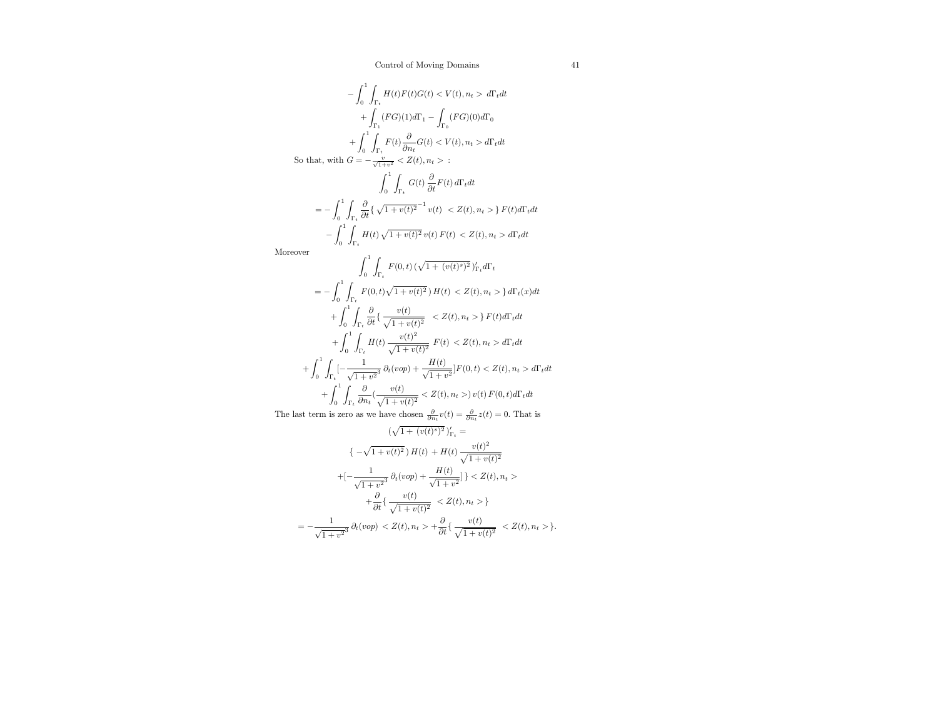$$
-\int_{0}^{1} \int_{\Gamma_{t}} H(t)F(t)G(t) \leq V(t), n_{t} > d\Gamma_{t}dt
$$
  
+  $\int_{\Gamma_{1}} (FG)(1)d\Gamma_{1} - \int_{\Gamma_{0}} (FG)(0)d\Gamma_{0}$   
+  $\int_{\Gamma_{1}}^{1} F(t) \frac{\partial}{\partial n_{t}} G(t) \leq V(t), n_{t} > d\Gamma_{t}dt$   
So that, with  $G = -\frac{v}{\sqrt{1+v^{2}}} \leq Z(t), n_{t} > \frac{1}{2}$   

$$
\int_{0}^{1} \int_{\Gamma_{t}} G(t) \frac{\partial}{\partial t} F(t) d\Gamma_{t}dt
$$
  
=  $-\int_{0}^{1} \int_{\Gamma_{t}} \frac{\partial}{\partial t} \{ \sqrt{1 + v(t)^{2}}^{-1} v(t) \leq Z(t), n_{t} > \} F(t) d\Gamma_{t}dt$   
-  $\int_{0}^{1} \int_{\Gamma_{t}} H(t) \sqrt{1 + v(t)^{2}} v(t) F(t) \leq Z(t), n_{t} > d\Gamma_{t}dt$   
Moreover  

$$
\int_{0}^{1} \int_{\Gamma_{t}} F(0, t) (\sqrt{1 + (v(t)^{s})^{2}})'_{\Gamma_{t}} d\Gamma_{t}
$$
  
=  $-\int_{0}^{1} \int_{\Gamma_{t}} F(0, t) \sqrt{1 + v(t)^{2}} H(t) \leq Z(t), n_{t} > \} d\Gamma_{t}(x)dt$   
+  $\int_{0}^{1} \int_{\Gamma_{t}} \frac{\partial}{\partial t} \{ \frac{v(t)}{\sqrt{1 + v(t)^{2}}} \leq Z(t), n_{t} > \} F(t) d\Gamma_{t}dt$   
+  $\int_{0}^{1} \int_{\Gamma_{t}} \frac{\partial}{\partial t} \{ \frac{v(t)}{\sqrt{1 + v(t)^{2}}} F(t) \leq Z(t), n_{t} > d\Gamma_{t}dt$   
+  $\int_{0}^{1} \int_{\Gamma_{t}} [-\frac{1}{\sqrt{1 + v^{2}}} \frac{\partial}{\partial t} (vop) + \frac{H(t)}{\sqrt{1 + v^{2}}}] F(0, t) \leq Z(t), n_{t} > d\Gamma_{t}dt$   
+  $\int_{0}^{1} \int_{\Gamma_{t}} \frac{\partial}{$ 

The last term is zero as we have chosen  $\frac{\partial}{\partial n_i}v(t) = \frac{\partial}{\partial n_i}z(t) = 0$ . That is

$$
(\sqrt{1 + (v(t)^s)^2})'_{r_t} =
$$
  

$$
\{-\sqrt{1 + v(t)^2}\} H(t) + H(t) \frac{v(t)^2}{\sqrt{1 + v(t)^2}}
$$
  

$$
+[-\frac{1}{\sqrt{1 + v^2}^3} \partial_t (vop) + \frac{H(t)}{\sqrt{1 + v^2}}]\} < Z(t), n_t >
$$
  

$$
+ \frac{\partial}{\partial t} \{\frac{v(t)}{\sqrt{1 + v(t)^2}} < Z(t), n_t >\}
$$
  

$$
= -\frac{1}{\sqrt{1 + v^2}^3} \partial_t (vop) < Z(t), n_t > + \frac{\partial}{\partial t} \{\frac{v(t)}{\sqrt{1 + v(t)^2}} < Z(t), n_t >\}.
$$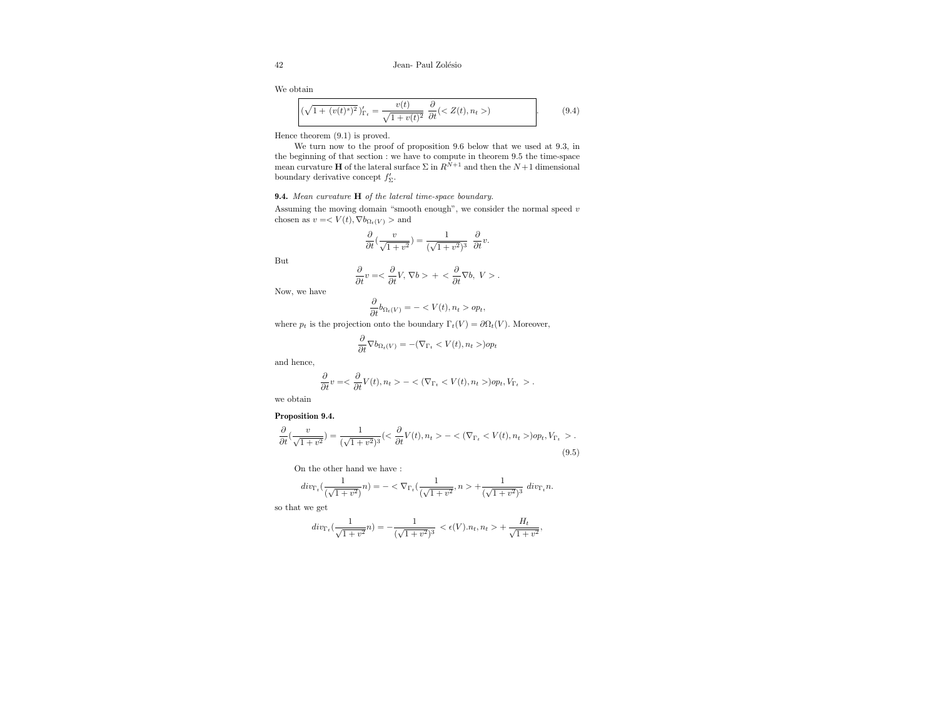42 Jean- Paul Zolésio

We obtain

$$
(\sqrt{1+(v(t)^s)^2})'_{\Gamma_t} = \frac{v(t)}{\sqrt{1+v(t)^2}} \frac{\partial}{\partial t} (Z(t), n_t>) \tag{9.4}
$$

Hence theorem (9.1) is proved.

We turn now to the proof of proposition 9.6 below that we used at 9.3, in the beginning of that section : we have to compute in theorem 9.5 the time-space mean curvature **H** of the lateral surface  $\Sigma$  in  $R^{N+1}$  and then the  $N+1$  dimensional boundary derivative concept  $f'_{\Sigma}$ .

## 9.4. Mean curvature H of the lateral time-space boundary.

Assuming the moving domain "smooth enough", we consider the normal speed v chosen as  $v=< V(t), \nabla b_{\Omega_t(V)} >$  and

$$
\frac{\partial}{\partial t}(\frac{v}{\sqrt{1+v^2}})=\frac{1}{(\sqrt{1+v^2})^3}\;\;\frac{\partial}{\partial t}v.
$$

But

$$
\frac{\partial}{\partial t}v = \langle \frac{\partial}{\partial t}V, \nabla b \rangle + \langle \frac{\partial}{\partial t} \nabla b, V \rangle.
$$

Now, we have

$$
\frac{\partial}{\partial t}b_{\Omega_t(V)} = - \langle V(t), n_t \rangle \langle \overline{v_t},
$$

where  $p_t$  is the projection onto the boundary  $\Gamma_t(V) = \partial \Omega_t(V)$ . Moreover,

$$
\frac{\partial}{\partial t}\nabla b_{\Omega_t(V)}=-(\nabla_{\Gamma_t})op_t
$$

and hence,

$$
\frac{\partial}{\partial t}v = <\frac{\partial}{\partial t}V(t), n_t> - <(\nabla_{\Gamma_t} < V(t), n_t>)\rho_t, V_{\Gamma_t}>.
$$

we obtain

**Proposition 9.4.**  
\n
$$
\frac{\partial}{\partial t}(\frac{v}{\sqrt{1+v^2}}) = \frac{1}{(\sqrt{1+v^2})^3} (<\frac{\partial}{\partial t}V(t), n_t> - <(\nabla_{\Gamma_t} < V(t), n_t>)\text{op}_t, V_{\Gamma_t}>.
$$
\n(9.5)

On the other hand we have :

$$
div_{\Gamma_t}\left(\frac{1}{(\sqrt{1+v^2})}n\right) = -\langle \nabla_{\Gamma_t}\left(\frac{1}{(\sqrt{1+v^2}},n\rangle + \frac{1}{(\sqrt{1+v^2})^3}div_{\Gamma_t}n.\right)
$$

so that we get

$$
div_{\Gamma_t}\left(\frac{1}{\sqrt{1+v^2}}n\right) = -\frac{1}{(\sqrt{1+v^2})^3} < \epsilon(V).n_t, n_t > +\frac{H_t}{\sqrt{1+v^2}},
$$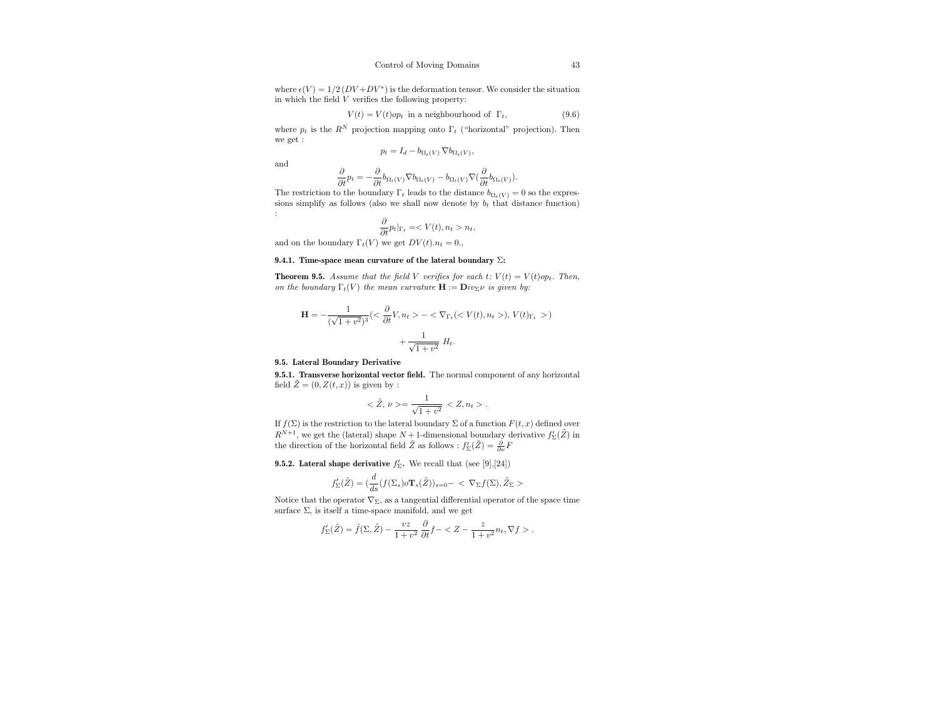where  $\epsilon(V) = 1/2 (DV + DV^*)$  is the deformation tensor. We consider the situation in which the field V verifies the following property:

$$
V(t) = V(t)op_t
$$
 in a neighbourhood of  $\Gamma_t$ , (9.6)

where  $p_t$  is the  $R^N$  projection mapping onto  $\Gamma_t$  ("horizontal" projection). Then we get :

$$
p_t = I_d - b_{\Omega_t(V)} \nabla b_{\Omega_t(V)},
$$

and

$$
\frac{\partial}{\partial t}p_t = -\frac{\partial}{\partial t}b_{\Omega_t(V)}\nabla b_{\Omega_t(V)} - b_{\Omega_t(V)}\nabla \big(\frac{\partial}{\partial t}b_{\Omega_t(V)}\big).
$$

The restriction to the boundary  $\Gamma_t$  leads to the distance  $b_{\Omega_t(V)} = 0$  so the expressions simplify as follows (also we shall now denote by  $b_t$  that distance function) :

$$
\frac{\partial}{\partial t}p_t|_{\Gamma_t} = \langle V(t), n_t > n_t,
$$

and on the boundary  $\Gamma_t(V)$  we get  $DV(t).n_t = 0$ .

#### 9.4.1. Time-space mean curvature of the lateral boundary  $\Sigma$ :

**Theorem 9.5.** Assume that the field V verifies for each  $t: V(t) = V(t)op_t$ . Then, on the boundary  $\Gamma_t(V)$  the mean curvature  $\mathbf{H} := \mathbf{D}iv_{\Sigma}\nu$  is given by:

$$
\mathbf{H} = -\frac{1}{(\sqrt{1+v^2})^3} \left( \langle \frac{\partial}{\partial t} V, n_t \rangle - \langle \nabla_{\Gamma_t} (\langle V(t), n_t \rangle), V(t)_{\Gamma_t} \rangle \right) + \frac{1}{\sqrt{1+v^2}} H_t.
$$

#### 9.5. Lateral Boundary Derivative

9.5.1. Transverse horizontal vector field. The normal component of any horizontal field  $\tilde{Z} = (0, Z(t, x))$  is given by :

$$
\langle \tilde{Z}, \nu \rangle = \frac{1}{\sqrt{1+v^2}} \langle Z, n_t \rangle.
$$

If  $f(\Sigma)$  is the restriction to the lateral boundary  $\Sigma$  of a function  $F(t, x)$  defined over  $R^{N+1},$  we get the (lateral) shape  $N+1$  -dimensional boundary derivative  $f_\Sigma'(\tilde Z)$  in the direction of the horizontal field  $\tilde{Z}$  as follows :  $f'_{\Sigma}(\tilde{Z}) = \frac{\partial}{\partial \nu} F$ 

**9.5.2.** Lateral shape derivative  $f'_{\Sigma}$ . We recall that (see [9],[24])

$$
f'_{\Sigma}(\tilde{Z})=(\frac{d}{ds}(f(\Sigma_{s})o\mathbf{T}_{s}(\tilde{Z}))_{s=0}-<\nabla_{\Sigma}f(\Sigma),\tilde{Z}_{\Sigma}>
$$

Notice that the operator  $\nabla_{\Sigma}$ , as a tangential differential operator of the space time surface  $\Sigma$ , is itself a time-space manifold, and we get

$$
f'_{\Sigma}(\tilde{Z}) = \dot{f}(\Sigma, \tilde{Z}) - \frac{vz}{1+v^2} \frac{\partial}{\partial t} f - \langle Z - \frac{z}{1+v^2} n_t, \nabla f \rangle.
$$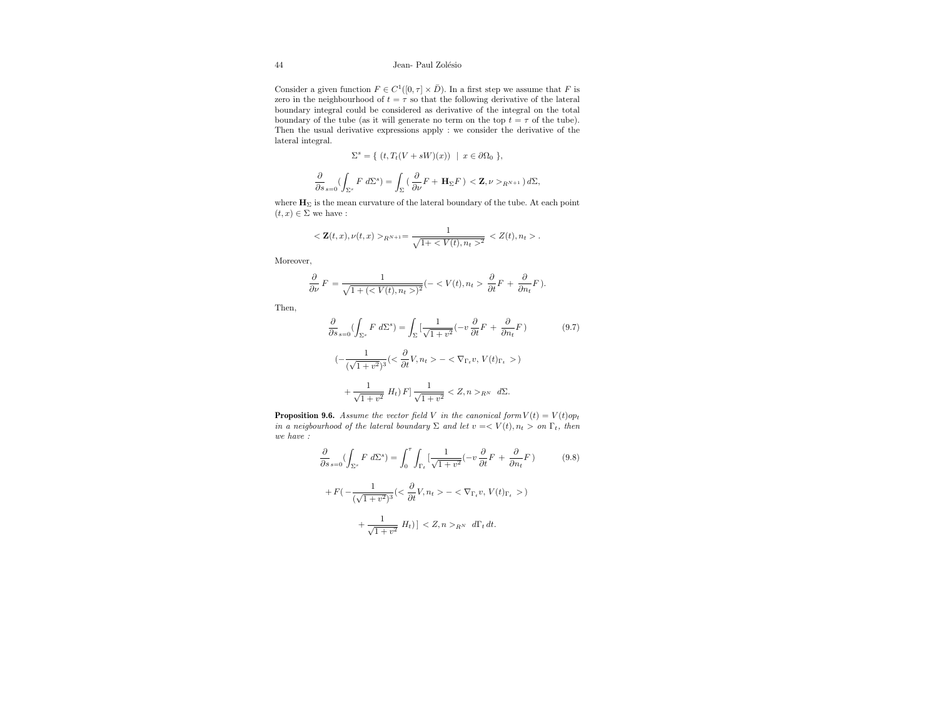## 44 Jean- Paul Zolésio

Consider a given function  $F \in C^1([0, \tau] \times \overline{D})$ . In a first step we assume that F is zero in the neighbourhood of  $t = \tau$  so that the following derivative of the lateral boundary integral could be considered as derivative of the integral on the total boundary of the tube (as it will generate no term on the top  $t = \tau$  of the tube). Then the usual derivative expressions apply : we consider the derivative of the lateral integral.

$$
\Sigma^s = \{ (t, T_t(V + sW)(x)) \mid x \in \partial \Omega_0 \},
$$
  

$$
\frac{\partial}{\partial s}_{s=0} (\int_{\Sigma^s} F d\Sigma^s) = \int_{\Sigma} (\frac{\partial}{\partial \nu} F + \mathbf{H}_{\Sigma} F) < \mathbf{Z}, \nu >_{R^{N+1}} d\Sigma,
$$

where  $\mathbf{H}_{\Sigma}$  is the mean curvature of the lateral boundary of the tube. At each point  $(t, x) \in \Sigma$  we have :

$$
<{\bf Z}(t,x),\nu(t,x)>_{R^{N+1}}=\frac{1}{\sqrt{1+^2}}\,.
$$

Moreover,

$$
\frac{\partial}{\partial \nu} F = \frac{1}{\sqrt{1 + (< V(t), n_t >)^2}} (-< V(t), n_t > \frac{\partial}{\partial t} F + \frac{\partial}{\partial n_t} F).
$$

Then,

$$
\frac{\partial}{\partial s}_{s=0} \left( \int_{\Sigma^s} F \ d\Sigma^s \right) = \int_{\Sigma} \left[ \frac{1}{\sqrt{1+v^2}} \left( -v \ \frac{\partial}{\partial t} F + \frac{\partial}{\partial n_t} F \right) \right] \tag{9.7}
$$
\n
$$
\left( -\frac{1}{(\sqrt{1+v^2})^3} \left( \langle \frac{\partial}{\partial t} V, n_t \rangle - \langle \nabla_{\Gamma_t} v, V(t)_{\Gamma_t} \rangle \right) \right) + \frac{1}{\sqrt{1+v^2}} H_t \right) F \left[ \frac{1}{\sqrt{1+v^2}} \langle Z, n \rangle_{R^N} d\Sigma. \right]
$$

**Proposition 9.6.** Assume the vector field V in the canonical form  $V(t) = V(t)op_t$ in a neigbourhood of the lateral boundary  $\Sigma$  and let  $v = \langle V(t), n_t \rangle$  on  $\Gamma_t$ , then we have :

$$
\frac{\partial}{\partial s}_{s=0} \left( \int_{\Sigma^s} F \, d\Sigma^s \right) = \int_0^{\tau} \int_{\Gamma_t} \left[ \frac{1}{\sqrt{1+v^2}} \left( -v \, \frac{\partial}{\partial t} F + \frac{\partial}{\partial n_t} F \right) \right] \tag{9.8}
$$
\n
$$
+ F \left( -\frac{1}{(\sqrt{1+v^2})^3} \left( \langle \frac{\partial}{\partial t} V, n_t \rangle - \langle \nabla_{\Gamma_t} v, V(t) \rangle \right) \right) + \frac{1}{\sqrt{1+v^2}} H_t \right) \left( \langle Z, n \rangle_{R^N} \right) d\Gamma_t dt.
$$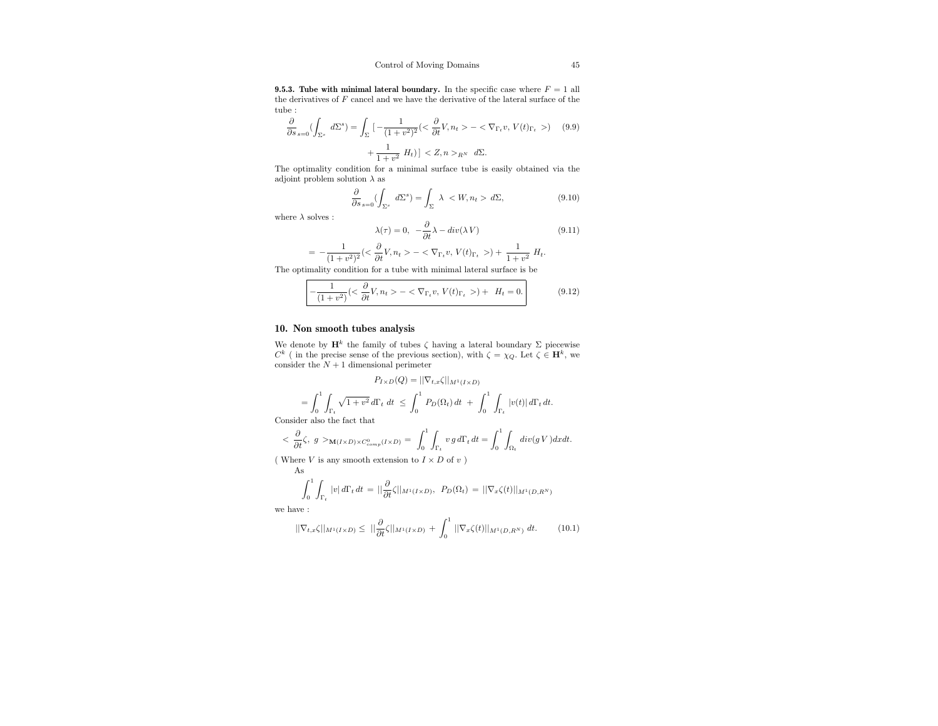**9.5.3. Tube with minimal lateral boundary.** In the specific case where  $F = 1$  all the derivatives of  $F$  cancel and we have the derivative of the lateral surface of the tube :

$$
\frac{\partial}{\partial s}_{s=0} \left( \int_{\Sigma^s} d\Sigma^s \right) = \int_{\Sigma} \left[ -\frac{1}{(1+v^2)^2} \left( \langle \frac{\partial}{\partial t} V, n_t \rangle - \langle \nabla_{\Gamma_t} v, V(t)_{\Gamma_t} \rangle \right) \right] (9.9) + \frac{1}{1+v^2} H_t \right] \langle Z, n \rangle_{RN} d\Sigma.
$$

The optimality condition for a minimal surface tube is easily obtained via the adjoint problem solution  $\lambda$  as

$$
\frac{\partial}{\partial s}_{s=0} \left( \int_{\Sigma^s} d\Sigma^s \right) = \int_{\Sigma} \lambda \langle W, n_t \rangle \, d\Sigma, \tag{9.10}
$$

where  $\lambda$  solves :

$$
\lambda(\tau) = 0, \quad -\frac{\partial}{\partial t}\lambda - div(\lambda V) \tag{9.11}
$$

$$
= -\frac{1}{(1+v^2)^2} \left( \langle \frac{\partial}{\partial t} V, n_t \rangle - \langle \nabla_{\Gamma_t} v, V(t)_{\Gamma_t} \rangle \right) + \frac{1}{1+v^2} H_t.
$$

The optimality condition for a tube with minimal lateral surface is be

$$
-\frac{1}{(1+v^2)} \left( < \frac{\partial}{\partial t} V, n_t > - < \nabla_{\Gamma_t} v, V(t)_{\Gamma_t} \right) + H_t = 0. \tag{9.12}
$$

## 10. Non smooth tubes analysis

We denote by  $\mathbf{H}^k$  the family of tubes  $\zeta$  having a lateral boundary  $\Sigma$  piecewise  $C^k$  (in the precise sense of the previous section), with  $\zeta = \chi_Q$ . Let  $\zeta \in \mathbf{H}^k$ , we consider the  $N+1$  dimensional perimeter

$$
P_{I\times D}(Q) = ||\nabla_{t,x}\zeta||_{M^1(I\times D)}
$$
  
=  $\int_0^1 \int_{\Gamma_t} \sqrt{1+v^2} d\Gamma_t dt \le \int_0^1 P_D(\Omega_t) dt + \int_0^1 \int_{\Gamma_t} |v(t)| d\Gamma_t dt$ .  
der also the fact that

Consid

$$
\langle \frac{\partial}{\partial t} \zeta, \ g \rangle_{\mathbf{M}(I \times D) \times C^0_{comp}(I \times D)} = \int_0^1 \int_{\Gamma_t} v \, g \, d\Gamma_t \, dt = \int_0^1 \int_{\Omega_t} div(g \, V) dx dt.
$$

( Where  $V$  is any smooth extension to  $I \times D$  of  $v$  )  $A \subseteq$ 

$$
\mathbf{A}\mathbf{s}
$$

$$
\int_0^1 \int_{\Gamma_t} |v| d\Gamma_t dt = ||\frac{\partial}{\partial t} \zeta||_{M^1(I \times D)}, \ P_D(\Omega_t) = ||\nabla_x \zeta(t)||_{M^1(D, R^N)}
$$

we have :

$$
\|\nabla_{t,x}\zeta\|_{M^1(I\times D)} \leq \|\frac{\partial}{\partial t}\zeta\|_{M^1(I\times D)} + \int_0^1 \|\nabla_x\zeta(t)\|_{M^1(D,R^N)} dt. \tag{10.1}
$$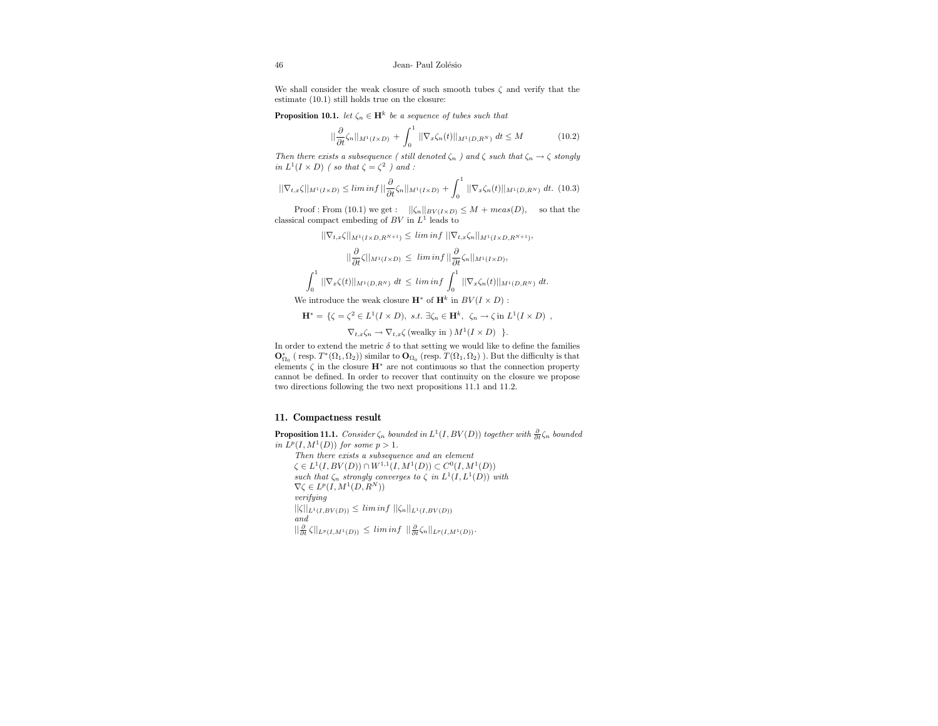We shall consider the weak closure of such smooth tubes  $\zeta$  and verify that the estimate (10.1) still holds true on the closure:

**Proposition 10.1.** let  $\zeta_n \in \mathbf{H}^k$  be a sequence of tubes such that

$$
\|\frac{\partial}{\partial t}\zeta_n\|_{M^1(I\times D)} + \int_0^1 \|\nabla_x\zeta_n(t)\|_{M^1(D,R^N)} dt \le M \tag{10.2}
$$

Then there exists a subsequence ( still denoted  $\zeta_n$  ) and  $\zeta$  such that  $\zeta_n \to \zeta$  stongly in  $L^1(I \times D)$  (so that  $\zeta = \zeta^2$ ) and:

$$
||\nabla_{t,x}\zeta||_{M^{1}(I\times D)} \leq \liminf ||\frac{\partial}{\partial t}\zeta_{n}||_{M^{1}(I\times D)} + \int_{0}^{1} ||\nabla_{x}\zeta_{n}(t)||_{M^{1}(D,R^{N})} dt. (10.3)
$$

Proof : From (10.1) we get :  $||\zeta_n||_{BV(I \times D)} \leq M + meas(D)$ , so that the classical compact embeding of  $BV$  in  $L^1$  leads to

 $||\nabla_{t,x}\zeta||_{M^1(I\times D, R^{N+1})} \leq \liminf ||\nabla_{t,x}\zeta_n||_{M^1(I\times D, R^{N+1})},$ 

$$
\|\frac{\partial}{\partial t}\zeta\|_{M^1(I\times D)} \le \liminf \|\frac{\partial}{\partial t}\zeta_n\|_{M^1(I\times D)},
$$
  

$$
\int_0^1 \|\nabla_x\zeta(t)\|_{M^1(D,R^N)} dt \le \liminf \int_0^1 \|\nabla_x\zeta_n(t)\|_{M^1(D,R^N)} dt.
$$

We introduce the weak closure  $\mathbf{H}^*$  of  $\mathbf{H}^k$  in  $BV(I \times D)$ :

$$
\mathbf{H}^* = \{ \zeta = \zeta^2 \in L^1(I \times D), \ s.t. \ \exists \zeta_n \in \mathbf{H}^k, \ \zeta_n \to \zeta \text{ in } L^1(I \times D) \ ,
$$

$$
\nabla_{t,x}\zeta_n \to \nabla_{t,x}\zeta \text{ (weakly in } M^1(I \times D) \text{ } \}.
$$

In order to extend the metric  $\delta$  to that setting we would like to define the families  $\mathbf{O}^*_{\Omega_0}$  ( resp.  $T^*(\Omega_1,\Omega_2))$  similar to  $\mathbf{O}_{\Omega_0}$  (resp.  $T(\Omega_1,\Omega_2)$  ). But the difficulty is that elements  $\zeta$  in the closure  $\mathbf{H}^*$  are not continuous so that the connection property cannot be defined. In order to recover that continuity on the closure we propose two directions following the two next propositions 11.1 and 11.2.

## 11. Compactness result

**Proposition 11.1.** Consider  $\zeta_n$  bounded in  $L^1(I, BV(D))$  together with  $\frac{\partial}{\partial t} \zeta_n$  bounded in  $L^p(I, M^1(D))$  for some  $p > 1$ . Then there exists a subsequence and an element  $\zeta \in L^1(I, BV(D)) \cap W^{1,1}(I, M^1(D)) \subset C^0(I, M^1(D))$ such that  $\zeta_n$  strongly converges to  $\zeta$  in  $L^1(I, L^1(D))$  with  $\nabla \zeta \in L^p(I, M^1(D, R^N))$ verifying  $||\zeta||_{L^1(I, BV(D))} \leq \liminf ||\zeta_n||_{L^1(I, BV(D))}$ and  $\|\frac{\partial}{\partial t}\zeta\|_{L^p(I,M^1(D))} \leq \liminf \|\frac{\partial}{\partial t}\zeta_n\|_{L^p(I,M^1(D))}.$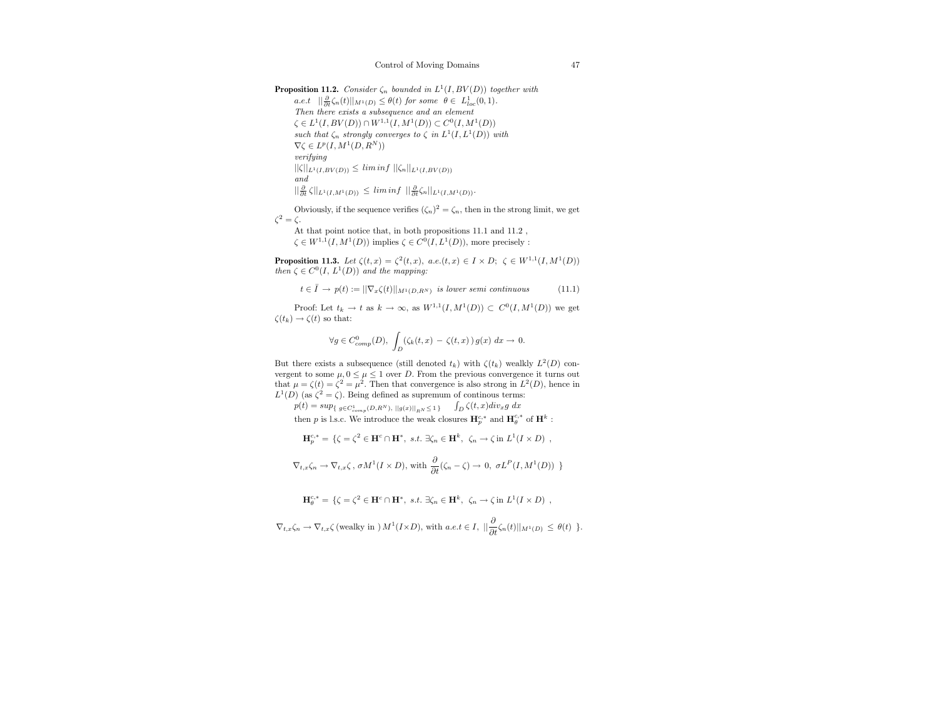**Proposition 11.2.** Consider  $\zeta_n$  bounded in  $L^1(I, BV(D))$  together with  $a.e. t \quad ||\frac{\partial}{\partial t}\zeta_n(t)||_{M^1(D)} \leq \theta(t) \text{ for some } \theta \in L^1_{loc}(0,1).$ Then there exists a subsequence and an element  $\zeta \in L^1(I, BV(D)) \cap W^{1,1}(I, M^1(D)) \subset C^0(I, M^1(D))$ such that  $\zeta_n$  strongly converges to  $\zeta$  in  $L^1(I, L^1(D))$  with  $\nabla \zeta \in L^p(I, M^1(D, R^N))$ verifying  $||\zeta||_{L^1(I, BV(D))} \leq \liminf ||\zeta_n||_{L^1(I, BV(D))}$ and  $\|\frac{\partial}{\partial t}\zeta\|_{L^1(I,M^1(D))} \leq \liminf \|\frac{\partial}{\partial t}\zeta_n\|_{L^1(I,M^1(D))}.$ 

Obviously, if the sequence verifies  $(\zeta_n)^2 = \zeta_n$ , then in the strong limit, we get  $\zeta^2 = \zeta$ .

At that point notice that, in both propositions  $11.1$  and  $11.2$ ,  $\zeta \in W^{1,1}(I, M^1(D))$  implies  $\zeta \in C^0(I, L^1(D))$ , more precisely :

**Proposition 11.3.** Let  $\zeta(t,x) = \zeta^2(t,x)$ , a.e. $(t,x) \in I \times D$ ;  $\zeta \in W^{1,1}(I, M^1(D))$ then  $\zeta \in C^0(I, L^1(D))$  and the mapping:

 $t \in \overline{I} \to p(t) := ||\nabla_x \zeta(t)||_{M^1(D,R^N)}$  is lower semi continuous (11.1)

Proof: Let  $t_k \to t$  as  $k \to \infty$ , as  $W^{1,1}(I, M^1(D)) \subset C^0(I, M^1(D))$  we get  $\zeta(t_k) \to \zeta(t)$  so that:

$$
\forall g \in C_{comp}^{0}(D), \ \int_{D} (\zeta_k(t,x) \, - \, \zeta(t,x) \,) \, g(x) \, dx \to \, 0.
$$

But there exists a subsequence (still denoted  $t_k$ ) with  $\zeta(t_k)$  wealkly  $L^2(D)$  convergent to some  $\mu$ ,  $0 \leq \mu \leq 1$  over D. From the previous convergence it turns out that  $\mu = \zeta(t) = \zeta^2 = \mu^2$ . Then that convergence is also strong in  $L^2(D)$ , hence in  $L^1(D)$  (as  $\zeta^2 = \zeta$ ). Being defined as supremum of continous terms:

 $p(t) = \sup_{\{g \in C_{comp}^1(D, R^N), ||g(x)||_{R^N} \le 1\}}$   $\int_D \zeta(t, x) \, div_x g \, dx$ 

then  $p$  is l.s.c. We introduce the weak closures  $\mathbf{H}^{c, *}_{p}$  and  $\mathbf{H}^{c, *}_{\theta}$  of  $\mathbf{H}^{k}$  :

$$
\mathbf{H}_{p}^{c,*} = \{ \zeta = \zeta^{2} \in \mathbf{H}^{c} \cap \mathbf{H}^{*}, \ s.t. \ \exists \zeta_{n} \in \mathbf{H}^{k}, \ \zeta_{n} \to \zeta \text{ in } L^{1}(I \times D) \ ,
$$

$$
\nabla_{t,x}\zeta_n \to \nabla_{t,x}\zeta, \sigma M^1(I \times D), \text{ with } \frac{\partial}{\partial t}(\zeta_n - \zeta) \to 0, \sigma L^P(I, M^1(D)) \}
$$

$$
\mathbf{H}_{\theta}^{c,*} = \{ \zeta = \zeta^2 \in \mathbf{H}^c \cap \mathbf{H}^*, \ s.t. \ \exists \zeta_n \in \mathbf{H}^k, \ \zeta_n \to \zeta \ \text{in} \ L^1(I \times D) \ ,
$$

 $\nabla_{t,x}\zeta_n \to \nabla_{t,x}\zeta$  (wealky in )  $M^1(I\times D)$ , with  $a.e.t \in I$ ,  $\|\frac{\partial}{\partial t}\zeta_n(t)\|_{M^1(D)} \leq \theta(t)$  }.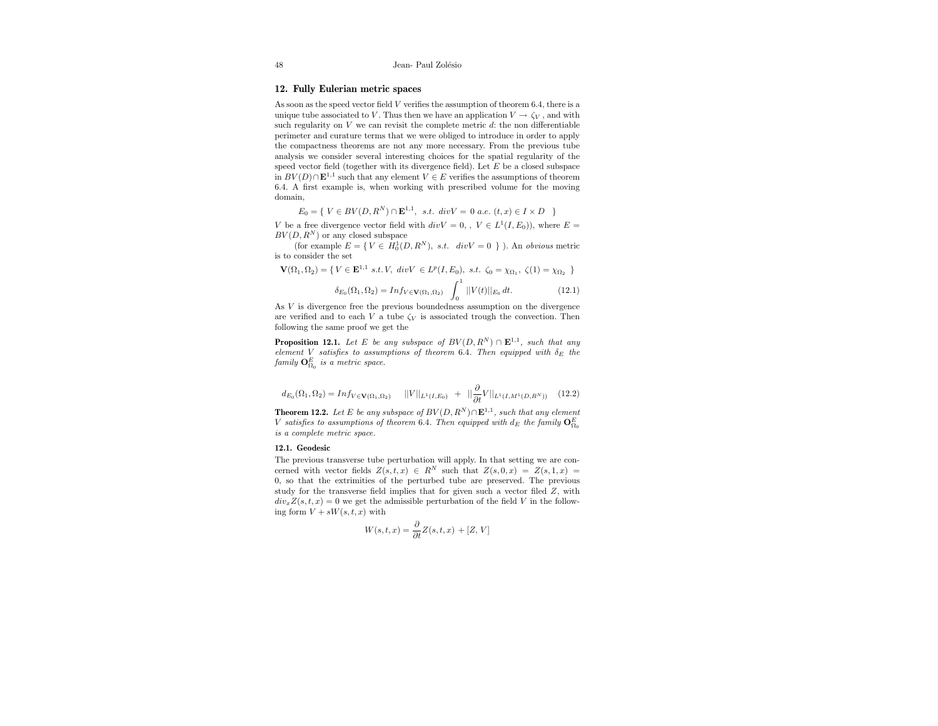## 12. Fully Eulerian metric spaces

As soon as the speed vector field V verifies the assumption of theorem 6.4, there is a unique tube associated to V. Thus then we have an application  $V \to \zeta_V$ , and with such regularity on  $V$  we can revisit the complete metric  $d$ : the non differentiable perimeter and curature terms that we were obliged to introduce in order to apply the compactness theorems are not any more necessary. From the previous tube analysis we consider several interesting choices for the spatial regularity of the speed vector field (together with its divergence field). Let  $E$  be a closed subspace in  $BV(D) \cap \mathbf{E}^{1,1}$  such that any element  $V \in E$  verifies the assumptions of theorem 6.4. A first example is, when working with prescribed volume for the moving domain,

$$
E_0 = \{ V \in BV(D, R^N) \cap \mathbf{E}^{1,1}, \ s.t. \ div V = 0 \ a.e. \ (t, x) \in I \times D \}
$$

V be a free divergence vector field with  $div V = 0, V \in L^1(I, E_0)$ , where  $E =$  $BV(D, R^N)$  or any closed subspace

(for example  $E = \{ V \in H_0^1(D, R^N), \; s.t. \; div V = 0 \; \}$ ). An obvious metric is to consider the set

$$
\mathbf{V}(\Omega_1, \Omega_2) = \{ V \in \mathbf{E}^{1,1} \text{ s.t. } V, \text{ div } V \in L^p(I, E_0), \text{ s.t. } \zeta_0 = \chi_{\Omega_1}, \zeta(1) = \chi_{\Omega_2} \}
$$

$$
\delta_{E_0}(\Omega_1, \Omega_2) = Inf_{V \in \mathbf{V}(\Omega_1, \Omega_2)} \int_0^{\mathbb{I}} |V(t)| |_{E_0} dt.
$$
 (12.1)

As V is divergence free the previous boundedness assumption on the divergence are verified and to each V a tube  $\zeta_V$  is associated trough the convection. Then following the same proof we get the

**Proposition 12.1.** Let E be any subspace of  $BV(D, R^N) \cap \mathbf{E}^{1,1}$ , such that any element V satisfies to assumptions of theorem 6.4. Then equipped with  $\delta_E$  the  $family$   $\mathbf{O}_{\Omega_0}^E$  is a metric space.

$$
d_{E_0}(\Omega_1, \Omega_2) = Inf_{V \in \mathbf{V}(\Omega_1, \Omega_2)} \quad ||V||_{L^1(I, E_0)} \quad + \quad ||\frac{\partial}{\partial t}V||_{L^1(I, M^1(D, R^N))} \quad (12.2)
$$

**Theorem 12.2.** Let E be any subspace of  $BV(D, R^N) \cap \mathbf{E}^{1,1}$ , such that any element V satisfies to assumptions of theorem 6.4. Then equipped with  $d_E$  the family  $\mathbf{O}^E_{\Omega_0}$ is a complete metric space.

#### 12.1. Geodesic

The previous transverse tube perturbation will apply. In that setting we are concerned with vector fields  $Z(s,t,x) \in R^N$  such that  $Z(s,0,x) = Z(s,1,x) =$ 0, so that the extrimities of the perturbed tube are preserved. The previous study for the transverse field implies that for given such a vector filed Z, with  $div_x Z(s, t, x) = 0$  we get the admissible perturbation of the field V in the following form  $V + sW(s, t, x)$  with

$$
W(s,t,x) = \frac{\partial}{\partial t} Z(s,t,x) + [Z, V]
$$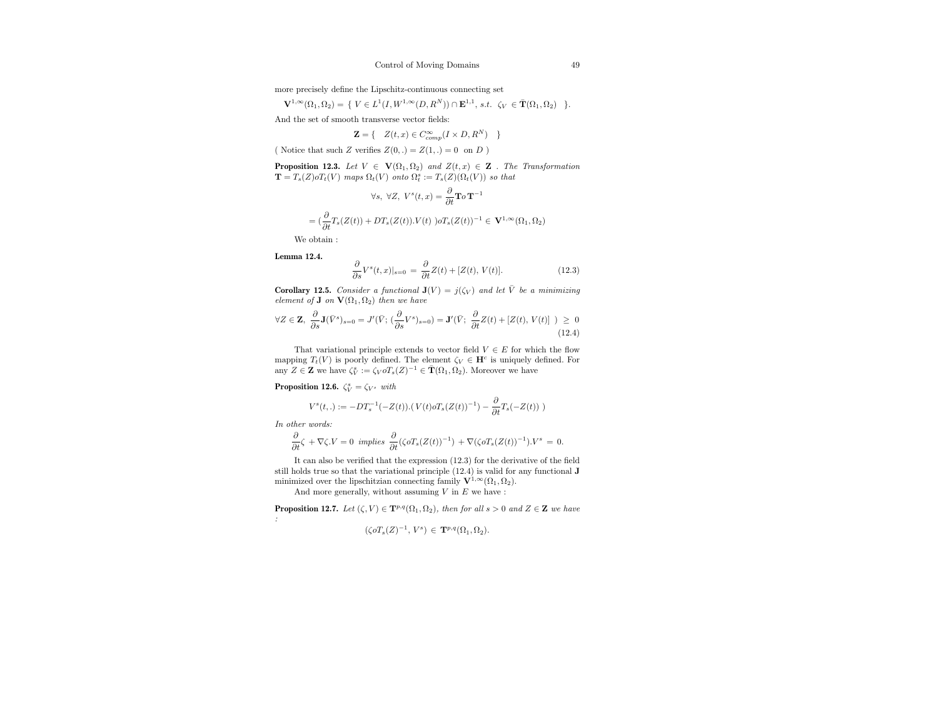more precisely define the Lipschitz-continuous connecting set

 ${\bf V}^{1,\infty}(\Omega_1,\Omega_2) = \{ \ V \in L^1(I,W^{1,\infty}(D,R^N)) \cap {\bf E}^{1,1}, \, s.t. \ \ \zeta_V \ \in \bar{\bf T}(\Omega_1,\Omega_2) \ \ \}.$ 

And the set of smooth transverse vector fields:

$$
\mathbf{Z} = \{ \quad Z(t, x) \in C_{comp}^{\infty}(I \times D, R^N) \quad \}
$$

( Notice that such Z verifies  $Z(0,.) = Z(1,.) = 0$  on D)

**Proposition 12.3.** Let  $V \in V(\Omega_1, \Omega_2)$  and  $Z(t, x) \in \mathbb{Z}$ . The Transformation  $\mathbf{T} = T_s(Z) \circ T_t(V)$  maps  $\Omega_t(V)$  onto  $\Omega_t^s := T_s(Z)(\Omega_t(V))$  so that

$$
\forall s, \ \forall Z, \ V^s(t, x) = \frac{\partial}{\partial t} \mathbf{T} \circ \mathbf{T}^{-1}
$$

$$
= \left(\frac{\partial}{\partial t} T_s(Z(t)) + DT_s(Z(t)).V(t)\right) \circ T_s(Z(t))^{-1} \in \mathbf{V}^{1, \infty}(\Omega_1, \Omega_2)
$$

We obtain :

Lemma 12.4.

$$
\frac{\partial}{\partial s}V^s(t,x)|_{s=0} = \frac{\partial}{\partial t}Z(t) + [Z(t), V(t)].
$$
\n(12.3)

**Corollary 12.5.** Consider a functional  $J(V) = j(\zeta_V)$  and let  $\overline{V}$  be a minimizing element of **J** on  $\mathbf{V}(\Omega_1, \Omega_2)$  then we have

$$
\forall Z \in \mathbf{Z}, \ \frac{\partial}{\partial s} \mathbf{J}(\bar{V}^s)_{s=0} = J'(\bar{V}; \ (\frac{\partial}{\partial s} V^s)_{s=0}) = \mathbf{J}'(\bar{V}; \ \frac{\partial}{\partial t} Z(t) + [Z(t), V(t)] \ ) \geq 0
$$
\n(12.4)

That variational principle extends to vector field  $V \in E$  for which the flow mapping  $T_t(V)$  is poorly defined. The element  $\zeta_V \in \mathbf{H}^c$  is uniquely defined. For any  $Z \in \mathbf{Z}$  we have  $\zeta_V^s := \zeta_V o T_s(Z)^{-1} \in \mathbf{T}(\Omega_1, \Omega_2)$ . Moreover we have

**Proposition 12.6.**  $\zeta_V^s = \zeta_{V^s}$  with

$$
V^{s}(t,.) := -DT_{s}^{-1}(-Z(t)).(V(t)\sigma T_{s}(Z(t))^{-1}) - \frac{\partial}{\partial t}T_{s}(-Z(t))
$$

In other words:

$$
\frac{\partial}{\partial t}\zeta\,+\,\nabla\zeta.V=0\ \, \textit{implies}\,\,\frac{\partial}{\partial t}(\zeta o T_s(Z(t))^{-1})\,+\,\nabla(\zeta o T_s(Z(t))^{-1}).V^s\,=\,0.
$$

It can also be verified that the expression (12.3) for the derivative of the field still holds true so that the variational principle (12.4) is valid for any functional J minimized over the lipschitzian connecting family  $\mathbf{V}^{1,\infty}(\Omega_1,\Omega_2)$ .

And more generally, without assuming  $V$  in  $E$  we have :

**Proposition 12.7.** Let  $(\zeta, V) \in \mathbf{T}^{p,q}(\Omega_1, \Omega_2)$ , then for all  $s > 0$  and  $Z \in \mathbf{Z}$  we have :

$$
(\zeta o T_s(Z)^{-1}, V^s) \in \mathbf{T}^{p,q}(\Omega_1, \Omega_2).
$$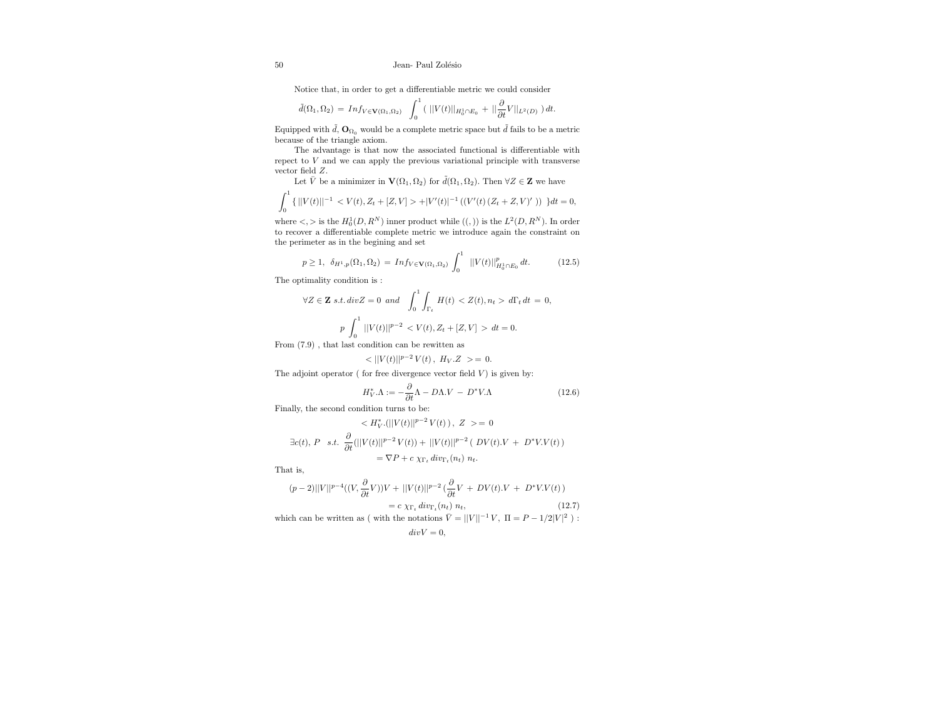Notice that, in order to get a differentiable metric we could consider

$$
\tilde d(\Omega_1,\Omega_2)\,=\,\text{Inf}_{V\in {\bf V}(\Omega_1,\Omega_2)}\quad \int_0^1\left(\,\,||V(t)||_{H^1_0\cap E_0}\,+\,||\frac{\partial}{\partial t}V||_{L^2(D)}\,\,\right)dt.
$$

Equipped with  $\tilde{d},$   $\mathbf{O}_{\Omega_0}$  would be a complete metric space but  $\tilde{d}$  fails to be a metric because of the triangle axiom.

The advantage is that now the associated functional is differentiable with repect to V and we can apply the previous variational principle with transverse vector field Z.

Let  $\bar{V}$  be a minimizer in  $\mathbf{V}(\Omega_1, \Omega_2)$  for  $\tilde{d}(\Omega_1, \Omega_2)$ . Then  $\forall Z \in \mathbf{Z}$  we have

$$
\int_0^1 \{ ||V(t)||^{-1} < V(t), Z_t + [Z, V] > + |V'(t)|^{-1} \left( (V'(t) \left( Z_t + Z, V)' \right) \right) \} dt = 0,
$$

where  $\lt,$  > is the  $H_0^1(D, R^N)$  inner product while  $((,))$  is the  $L^2(D, R^N)$ . In order to recover a differentiable complete metric we introduce again the constraint on the perimeter as in the begining and set

$$
p \ge 1, \ \ \delta_{H^1, p}(\Omega_1, \Omega_2) = \ Im f_{V \in \mathbf{V}(\Omega_1, \Omega_2)} \int_0^1 \ ||V(t)||^p_{H^1_0 \cap E_0} dt. \tag{12.5}
$$

The optimality condition is :

$$
\forall Z \in \mathbf{Z} \ s.t. \ div Z = 0 \ and \ \int_0^1 \int_{\Gamma_t} H(t) < Z(t), n_t > d\Gamma_t \, dt = 0,
$$
\n
$$
p \int_0^1 ||V(t)||^{p-2} < V(t), Z_t + [Z, V] > dt = 0.
$$

From (7.9) , that last condition can be rewitten as

$$
\langle ||V(t)||^{p-2}V(t) \, , \, H_V.Z \, > = \, 0.
$$

The adjoint operator ( for free divergence vector field  $V$ ) is given by:

$$
H_V^*.\Lambda := -\frac{\partial}{\partial t}\Lambda - D\Lambda.V - D^*V.\Lambda
$$
 (12.6)

Finally, the second condition turns to be:

$$
\langle H_V^* . (||V(t)||^{p-2} V(t)) , Z \rangle = 0
$$
  
\n
$$
\exists c(t), P \text{ s.t. } \frac{\partial}{\partial t} (||V(t)||^{p-2} V(t)) + ||V(t)||^{p-2} (DV(t).V + D^* V.V(t))
$$
  
\n
$$
= \nabla P + c \chi_{\Gamma_t} \operatorname{div}_{\Gamma_t}(n_t) n_t.
$$

That is,

$$
(p-2)||V||^{p-4}((V, \frac{\partial}{\partial t}V))V + ||V(t)||^{p-2}(\frac{\partial}{\partial t}V + DV(t).V + D^*VV(t))
$$
  
= c  $\chi_{\Gamma_t} \, div_{\Gamma_t}(n_t) \, n_t,$  (12.7)

which can be written as ( with the notations  $\overline{V} = ||V||^{-1}V$ ,  $\Pi = P - 1/2|V|^2$ ):  $divV = 0$ ,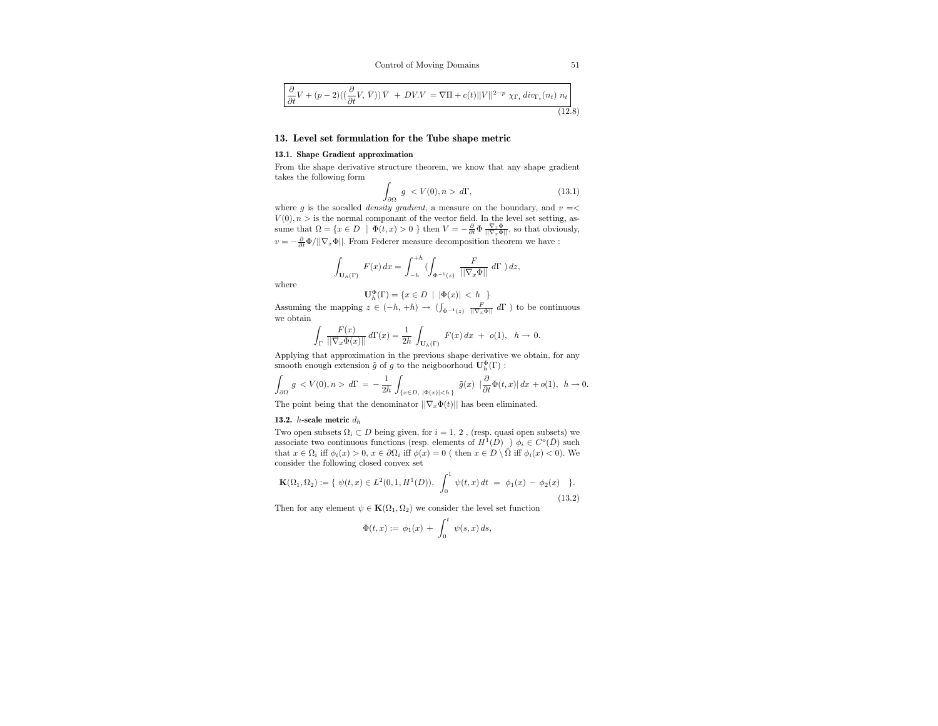$$
\frac{\partial}{\partial t}V + (p-2)((\frac{\partial}{\partial t}V, \bar{V}))\bar{V} + DV.V = \nabla\Pi + c(t)||V||^{2-p} \chi_{\Gamma_t} \operatorname{div}_{\Gamma_t}(n_t) n_t \Bigg]
$$
\n(12.8)

## 13. Level set formulation for the Tube shape metric

#### 13.1. Shape Gradient approximation

From the shape derivative structure theorem, we know that any shape gradient takes the following form

$$
\int_{\partial\Omega} g \langle V(0), n \rangle \, d\Gamma,\tag{13.1}
$$

 $J_{\partial\Omega}$ <br>where g is the socalled *density gradient*, a measure on the boundary, and  $v = \lt$  $V(0), n >$  is the normal componant of the vector field. In the level set setting, assume that  $\Omega = \{x \in D \mid \Phi(t, x) > 0 \}$  then  $V = -\frac{\partial}{\partial t} \Phi \frac{\nabla_x \Phi}{\|\nabla_x \Phi\|}$ , so that obviously,  $v=-\frac{\partial}{\partial t}\Phi/||\nabla_x\Phi||.$  From Federer measure decomposition theorem we have :

$$
\int_{{\bf U}_h(\Gamma)}\, F(x)\, dx = \int_{-h}^{+h} \, (\int_{\Phi^{-1}(z)}\, \frac{F}{||\nabla_x \Phi||}\, d\Gamma\, \big)\, dz,
$$

where

$$
\mathbf{U}_h^{\Phi}(\Gamma) = \{ x \in D \: \mid \: |\Phi(x)| \, < \, h \: \}
$$

Assuming the mapping  $z \in (-h, +h) \to (\int_{\Phi^{-1}(z)} \frac{F}{\|\nabla_x \Phi\|} d\Gamma)$  to be continuous we obtain

$$
\int_\Gamma \frac{F(x)}{||\nabla_x \Phi(x)||} \, d\Gamma(x) = \frac{1}{2h} \, \int_{\mathbf{U}_h(\Gamma)} \, F(x) \, dx \ + \ o(1), \ \ h \to 0.
$$

Applying that approximation in the previous shape derivative we obtain, for any smooth enough extension  $\tilde{g}$  of  $g$  to the neigboorhoud  $\mathbf{U}^{\Phi}_h(\Gamma)$  :

$$
\int_{\partial\Omega}\,g\,\,d\Gamma\,=\,-\,\frac{1}{2h}\,\int_{\{x\in D,\ |\Phi(x)|< h\,\}}\,\tilde g(x)\,\,\left|\frac{\partial}{\partial t}\Phi(t,x)\right|dx\,+o(1),\ \, h\to 0.
$$

The point being that the denominator  $||\nabla_x \Phi(t)||$  has been eliminated.

#### 13.2. *h*-scale metric  $d_h$

Two open subsets  $\Omega_i \subset D$  being given, for  $i = 1, 2$ , (resp. quasi open subsets) we associate two continuous functions (resp. elements of  $H^1(D)$ )  $\phi_i \in C^o(\overline{D})$  such that  $x \in \Omega_i$  iff  $\phi_i(x) > 0, x \in \partial\Omega_i$  iff  $\phi(x) = 0$  (then  $x \in D \setminus \overline{\Omega}$  iff  $\phi_i(x) < 0$ ). We consider the following closed convex set

$$
\mathbf{K}(\Omega_1, \Omega_2) := \{ \ \psi(t, x) \in L^2(0, 1, H^1(D)), \ \int_0^1 \psi(t, x) \, dt = \phi_1(x) - \phi_2(x) \ \}.
$$
\n(13.2)

Then for any element  $\psi \in \mathbf{K}(\Omega_1, \Omega_2)$  we consider the level set function

$$
\Phi(t,x) := \phi_1(x) \, + \, \int_0^t \, \psi(s,x) \, ds,
$$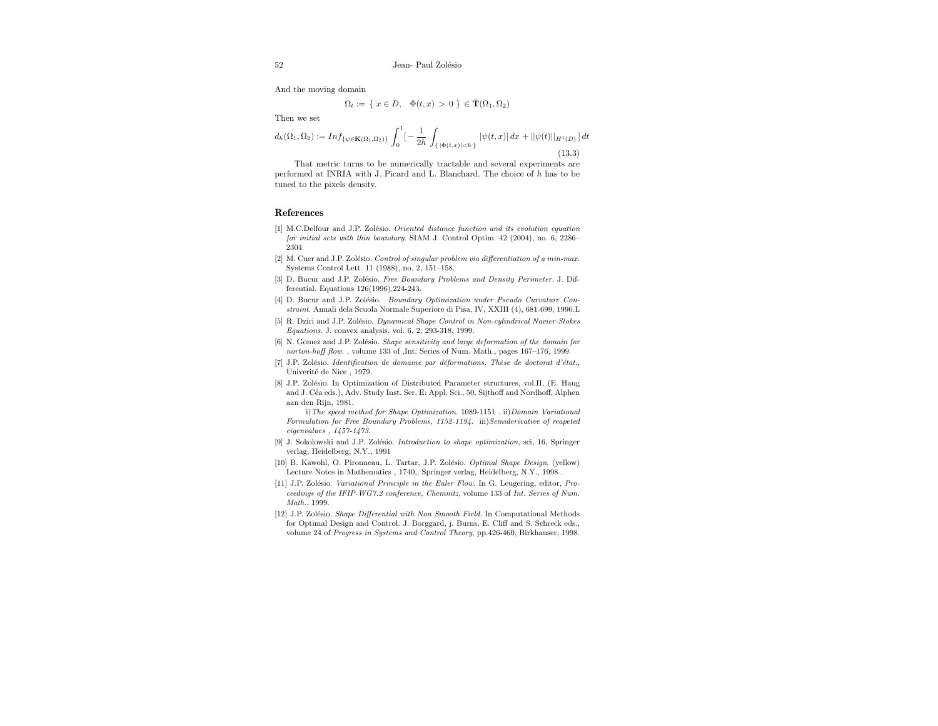And the moving domain

$$
\Omega_t := \{ x \in D, \quad \Phi(t, x) > 0 \} \in \overline{\mathbf{T}}(\Omega_1, \Omega_2)
$$

Then we set

$$
d_h(\Omega_1, \Omega_2) := Inf_{\{\psi \in \mathbf{K}(\Omega_1, \Omega_2)\}} \int_0^1 \left[-\frac{1}{2h} \int_{\{\,|\Phi(t,x)| < h\}} |\psi(t,x)| \, dx + ||\psi(t)||_{H^1(D)}\right] dt \tag{13.3}
$$

That metric turns to be numerically tractable and several experiments are performed at INRIA with J. Picard and L. Blanchard. The choice of h has to be tuned to the pixels density.

#### References

- [1] M.C.Delfour and J.P. Zolésio. Oriented distance function and its evolution equation for initial sets with thin boundary. SIAM J. Control Optim. 42 (2004), no. 6, 2286– 2304
- [2] M. Cuer and J.P. Zolésio. Control of singular problem via differentiation of a min-max. Systems Control Lett. 11 (1988), no. 2, 151–158.
- [3] D. Bucur and J.P. Zolésio. Free Boundary Problems and Density Perimeter. J. Differential. Equations 126(1996),224-243.
- [4] D. Bucur and J.P. Zolésio. Boundary Optimization under Pseudo Curvature Constraint. Annali dela Scuola Normale Superiore di Pisa, IV, XXIII (4), 681-699, 1996.L
- [5] R. Dziri and J.P. Zolésio. Dynamical Shape Control in Non-cylindrical Navier-Stokes Equations. J. convex analysis, vol. 6, 2, 293-318, 1999.
- [6] N. Gomez and J.P. Zolésio. Shape sensitivity and large deformation of the domain for norton-hoff flow. , volume 133 of ,Int. Series of Num. Math., pages 167–176, 1999.
- [7] J.P. Zolésio. Identification de domaine par déformations. Thèse de doctorat d'état., Univerité de Nice , 1979.
- [8] J.P. Zolésio. In Optimization of Distributed Parameter structures, vol.II, (E. Haug and J. Céa eds.), Adv. Study Inst. Ser. E: Appl. Sci., 50, Sijthoff and Nordhoff, Alphen aan den Rijn, 1981.

i)The speed method for Shape Optimization. 1089-1151 . ii)Domain Variational Formulation for Free Boundary Problems, 1152-1194. iii)Semiderivative of reapeted eigenvalues , 1457-1473.

- [9] J. Sokolowski and J.P. Zolésio. Introduction to shape optimization, sci, 16, Springer verlag, Heidelberg, N.Y., 1991
- [10] B. Kawohl, O. Pironneau, L. Tartar, J.P. Zolésio. Optimal Shape Design, (yellow) Lecture Notes in Mathematics , 1740,, Springer verlag, Heidelberg, N.Y., 1998 .
- [11] J.P. Zolésio. Variational Principle in the Euler Flow. In G. Leugering, editor, Proceedings of the IFIP-WG7.2 conference, Chemnitz, volume 133 of Int. Series of Num. Math., 1999.
- [12] J.P. Zolésio. Shape Differential with Non Smooth Field. In Computational Methods for Optimal Design and Control. J. Borggard, j. Burns, E. Cliff and S. Schreck eds., volume 24 of Progress in Systems and Control Theory, pp.426-460, Birkhauser, 1998.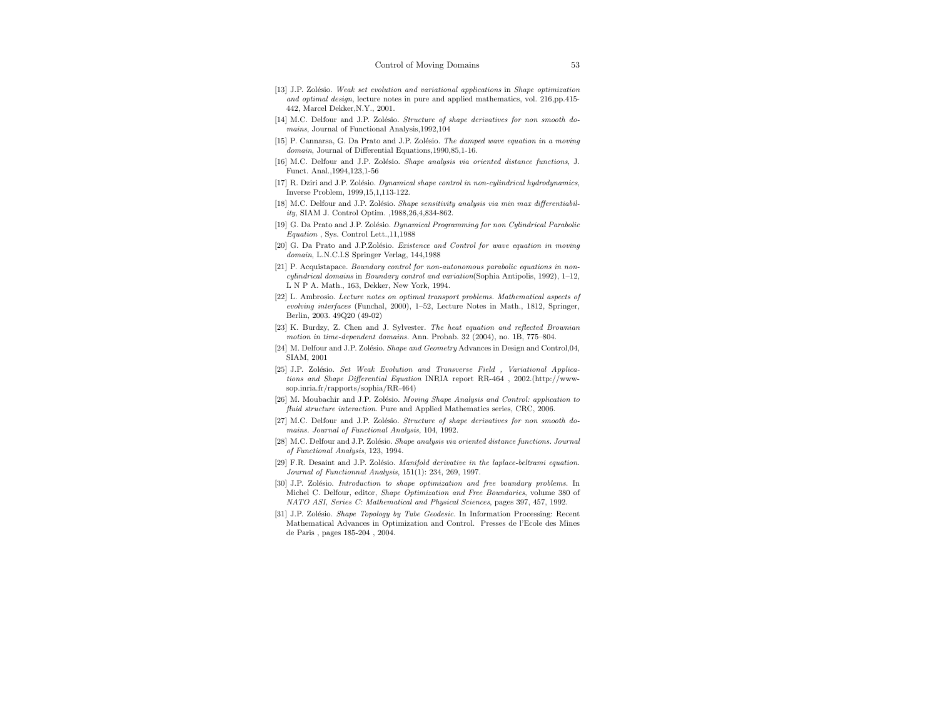- [13] J.P. Zolésio. Weak set evolution and variational applications in Shape optimization and optimal design, lecture notes in pure and applied mathematics, vol. 216,pp.415- 442, Marcel Dekker,N.Y., 2001.
- [14] M.C. Delfour and J.P. Zolésio. Structure of shape derivatives for non smooth domains, Journal of Functional Analysis,1992,104
- [15] P. Cannarsa, G. Da Prato and J.P. Zolésio. The damped wave equation in a moving domain, Journal of Differential Equations,1990,85,1-16.
- [16] M.C. Delfour and J.P. Zolésio. Shape analysis via oriented distance functions, J. Funct. Anal.,1994,123,1-56
- [17] R. Dziri and J.P. Zolésio. Dynamical shape control in non-cylindrical hydrodynamics, Inverse Problem, 1999,15,1,113-122.
- [18] M.C. Delfour and J.P. Zolésio. Shape sensitivity analysis via min max differentiability, SIAM J. Control Optim. ,1988,26,4,834-862.
- [19] G. Da Prato and J.P. Zolésio. Dynamical Programming for non Cylindrical Parabolic Equation , Sys. Control Lett.,11,1988
- [20] G. Da Prato and J.P.Zolésio. Existence and Control for wave equation in moving domain, L.N.C.I.S Springer Verlag, 144,1988
- [21] P. Acquistapace. Boundary control for non-autonomous parabolic equations in noncylindrical domains in Boundary control and variation(Sophia Antipolis, 1992), 1–12, L N P A. Math., 163, Dekker, New York, 1994.
- [22] L. Ambrosio. Lecture notes on optimal transport problems. Mathematical aspects of evolving interfaces (Funchal, 2000), 1–52, Lecture Notes in Math., 1812, Springer, Berlin, 2003. 49Q20 (49-02)
- [23] K. Burdzy, Z. Chen and J. Sylvester. The heat equation and reflected Brownian motion in time-dependent domains. Ann. Probab. 32 (2004), no. 1B, 775–804.
- [24] M. Delfour and J.P. Zolésio. *Shape and Geometry* Advances in Design and Control,04, SIAM, 2001
- [25] J.P. Zolésio. Set Weak Evolution and Transverse Field , Variational Applications and Shape Differential Equation INRIA report RR-464 , 2002.(http://wwwsop.inria.fr/rapports/sophia/RR-464)
- [26] M. Moubachir and J.P. Zolésio. *Moving Shape Analysis and Control: application to* fluid structure interaction. Pure and Applied Mathematics series, CRC, 2006.
- $[27]$  M.C. Delfour and J.P. Zolésio. Structure of shape derivatives for non smooth domains. Journal of Functional Analysis, 104, 1992.
- [28] M.C. Delfour and J.P. Zolésio. Shape analysis via oriented distance functions. Journal of Functional Analysis, 123, 1994.
- [29] F.R. Desaint and J.P. Zolésio. Manifold derivative in the laplace-beltrami equation. Journal of Functionnal Analysis, 151(1): 234, 269, 1997.
- [30] J.P. Zolésio. Introduction to shape optimization and free boundary problems. In Michel C. Delfour, editor, Shape Optimization and Free Boundaries, volume 380 of NATO ASI, Series C: Mathematical and Physical Sciences, pages 397, 457, 1992.
- [31] J.P. Zolésio. Shape Topology by Tube Geodesic. In Information Processing: Recent Mathematical Advances in Optimization and Control. Presses de l'Ecole des Mines de Paris , pages 185-204 , 2004.